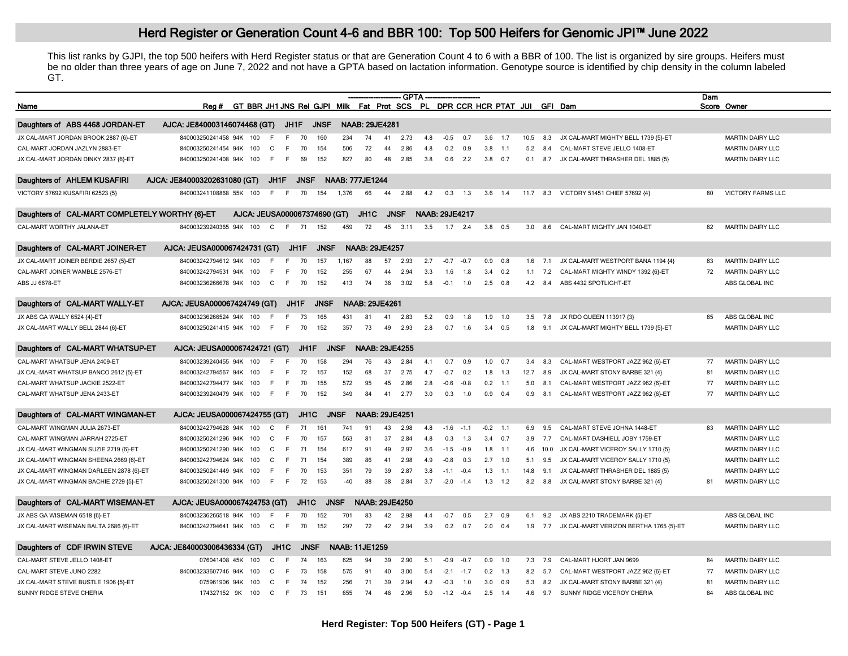## Herd Register or Generation Count 4-6 and BBR 100: Top 500 Heifers for Genomic JPI<sup>™</sup> June 2022

This list ranks by GJPI, the top 500 heifers with Herd Register status or that are Generation Count 4 to 6 with a BBR of 100. The list is organized by sire groups. Heifers must be no older than three years of age on June 7, 2022 and not have a GPTA based on lactation information. Genotype source is identified by chip density in the column labeled GT.

|                                                |                              |                                                                           |              |                   |                   |             |                        |                       |             | <b>GPTA</b> |     |                       |        |            |           |      |      |                                        | Dam |                          |
|------------------------------------------------|------------------------------|---------------------------------------------------------------------------|--------------|-------------------|-------------------|-------------|------------------------|-----------------------|-------------|-------------|-----|-----------------------|--------|------------|-----------|------|------|----------------------------------------|-----|--------------------------|
| Name                                           | Rea #                        | GT BBR JH1 JNS Rel GJPI Milk Fat Prot SCS PL DPR CCR HCR PTAT JUI GFI Dam |              |                   |                   |             |                        |                       |             |             |     |                       |        |            |           |      |      |                                        |     | Score Owner              |
| Daughters of ABS 4468 JORDAN-ET                | AJCA: JE840003146074468 (GT) |                                                                           |              | JH1F              |                   | <b>JNSF</b> |                        | <b>NAAB: 29JE4281</b> |             |             |     |                       |        |            |           |      |      |                                        |     |                          |
| JX CAL-MART JORDAN BROOK 2887 {6}-ET           | 840003250241458 94K          | 100                                                                       |              |                   | 70                | 160         | 234                    | 74                    | 41          | 2.73        | 4.8 | $-0.5$                | 0.7    | 3.6        | 1.7       | 10.5 | 8.3  | JX CAL-MART MIGHTY BELL 1739 {5}-ET    |     | <b>MARTIN DAIRY LLC</b>  |
| CAL-MART JORDAN JAZLYN 2883-ET                 | 840003250241454 94K          | 100                                                                       | $\mathsf{C}$ |                   | 70                | 154         | 506                    | 72                    | 44          | 2.86        | 4.8 | 0.2                   | 0.9    | 3.8        | 1.1       | 5.2  | 84   | CAL-MART STEVE JELLO 1408-ET           |     | <b>MARTIN DAIRY LLC</b>  |
|                                                |                              |                                                                           | E            |                   |                   | 152         | 827                    | 80                    | 48          | 2.85        |     |                       |        |            |           |      |      |                                        |     | MARTIN DAIRY LLC         |
| JX CAL-MART JORDAN DINKY 2837 {6}-ET           | 840003250241408 94K          | 100                                                                       |              |                   | 69                |             |                        |                       |             |             | 3.8 | 0.6                   | 2.2    | 3.8        | 0.7       | 0.1  | 8.7  | JX CAL-MART THRASHER DEL 1885 {5}      |     |                          |
| Daughters of AHLEM KUSAFIRI                    | AJCA: JE840003202631080 (GT) |                                                                           | JH1F         |                   | <b>JNSF</b>       |             | <b>NAAB: 777JE1244</b> |                       |             |             |     |                       |        |            |           |      |      |                                        |     |                          |
| VICTORY 57692 KUSAFIRI 62523 {5}               | 840003241108868 55K          | 100                                                                       | E            | E                 | 70                | 154         | 1,376                  | 66                    | 44          | 2.88        | 4.2 | 0.3                   | 1.3    | 3.6        | 1.4       | 11.7 | 8.3  | VICTORY 51451 CHIEF 57692 {4}          | 80  | <b>VICTORY FARMS LLC</b> |
| Daughters of CAL-MART COMPLETELY WORTHY {6}-ET |                              | AJCA: JEUSA000067374690 (GT)                                              |              |                   |                   |             |                        | JH <sub>1</sub> C     | <b>JNSF</b> |             |     | <b>NAAB: 29JE4217</b> |        |            |           |      |      |                                        |     |                          |
| CAL-MART WORTHY JALANA-ET                      | 840003239240365 94K 100      |                                                                           | $\mathbf{C}$ | E                 | 71                | 152         | 459                    | 72                    | 45          | 3.11        | 3.5 | 1.7                   | 2.4    | 3.8        | 0.5       | 3.0  | 8.6  | CAL-MART MIGHTY JAN 1040-ET            | 82  | <b>MARTIN DAIRY LLC</b>  |
|                                                |                              |                                                                           |              |                   |                   |             |                        |                       |             |             |     |                       |        |            |           |      |      |                                        |     |                          |
| Daughters of CAL-MART JOINER-ET                | AJCA: JEUSA000067424731 (GT) |                                                                           |              |                   | JH1F              | <b>JNSF</b> |                        | <b>NAAB: 29JE4257</b> |             |             |     |                       |        |            |           |      |      |                                        |     |                          |
| JX CAL-MART JOINER BERDIE 2657 {5}-ET          | 840003242794612 94K          | 100                                                                       |              |                   | 70                | 157         | 1.167                  | 88                    | 57          | 2.93        | 2.7 | $-0.7$                | $-0.7$ | 0.9        | 0.8       | 1.6  | 7.1  | JX CAL-MART WESTPORT BANA 1194 {4}     | 83  | <b>MARTIN DAIRY LLC</b>  |
| CAL-MART JOINER WAMBLE 2576-ET                 | 840003242794531 94K          | 100                                                                       |              |                   | 70                | 152         | 255                    | 67                    | 44          | 2.94        | 3.3 | 1.6                   | 1.8    |            | $3.4$ 0.2 | 1.1  | 7.2  | CAL-MART MIGHTY WINDY 1392 {6}-ET      | 72  | <b>MARTIN DAIRY LLC</b>  |
| ABS JJ 6678-ET                                 | 840003236266678 94K 100      |                                                                           | C            | F                 | 70                | 152         | 413                    | 74                    | 36          | 3.02        | 5.8 | $-0.1$                | 1.0    | 2.5        | 0.8       | 4.2  | 8.4  | ABS 4432 SPOTLIGHT-ET                  |     | ABS GLOBAL INC           |
| Daughters of CAL-MART WALLY-ET                 | AJCA: JEUSA000067424749 (GT) |                                                                           |              | JH1F              |                   | <b>JNSF</b> |                        | <b>NAAB: 29JE4261</b> |             |             |     |                       |        |            |           |      |      |                                        |     |                          |
| JX ABS GA WALLY 6524 {4}-ET                    | 840003236266524 94K          | 100                                                                       | -F           |                   | 73                | 165         | 431                    | 81                    | 41          | 2.83        | 5.2 | 0.9                   | 1.8    | 1.9        | 1.0       | 3.5  | 7.8  | JX RDO QUEEN 113917 (3)                | 85  | ABS GLOBAL INC           |
| JX CAL-MART WALLY BELL 2844 {6}-ET             | 840003250241415 94K 100      |                                                                           | F            | F.                | 70                | 152         | 357                    | 73                    | 49          | 2.93        | 2.8 | 0.7                   | 1.6    | 3.4        | 0.5       | 1.8  | 9.1  | JX CAL-MART MIGHTY BELL 1739 (5)-ET    |     | <b>MARTIN DAIRY LLC</b>  |
|                                                |                              |                                                                           |              |                   |                   |             |                        | <b>NAAB: 29JE4255</b> |             |             |     |                       |        |            |           |      |      |                                        |     |                          |
| Daughters of CAL-MART WHATSUP-ET               | AJCA: JEUSA000067424721 (GT) |                                                                           |              |                   | JH1F              |             | <b>JNSF</b>            |                       |             |             |     |                       |        |            |           |      |      |                                        |     |                          |
| CAL-MART WHATSUP JENA 2409-ET                  | 840003239240455 94K          | 100                                                                       |              |                   | 70                | 158         | 294                    | 76                    | 43          | 2.84        | 4.1 | 0.7                   | 0.9    | 1.0        | 0.7       | 3.4  | 8.3  | CAL-MART WESTPORT JAZZ 962 {6}-ET      | 77  | <b>MARTIN DAIRY LLC</b>  |
| JX CAL-MART WHATSUP BANCO 2612 {5}-ET          | 840003242794567 94K          | 100                                                                       |              |                   | 72                | 157         | 152                    | 68                    | 37          | 2.75        | 4.7 | $-0.7$                | 0.2    | 1.8        | 1.3       | 12.7 | 8.9  | JX CAL-MART STONY BARBE 321 {4}        | 81  | <b>MARTIN DAIRY LLC</b>  |
| CAL-MART WHATSUP JACKIE 2522-ET                | 840003242794477 94K          | 100                                                                       | E            | E                 | 70                | 155         | 572                    | 95                    | 45          | 2.86        | 2.8 | $-0.6$                | $-0.8$ |            | $0.2$ 1.1 | 5.0  | 8.1  | CAL-MART WESTPORT JAZZ 962 {6}-ET      | 77  | MARTIN DAIRY LLC         |
| CAL-MART WHATSUP JENA 2433-ET                  | 840003239240479 94K 100      |                                                                           | F            | E                 | 70                | 152         | 349                    | 84                    | 41          | 2.77        | 3.0 | 0.3                   | 1.0    | 0.9        | 0.4       | 0.9  | -8.1 | CAL-MART WESTPORT JAZZ 962 {6}-ET      | 77  | MARTIN DAIRY LLC         |
| Daughters of CAL-MART WINGMAN-ET               | AJCA: JEUSA000067424755 (GT) |                                                                           |              |                   | JH <sub>1</sub> C |             | <b>JNSF</b>            | <b>NAAB: 29JE4251</b> |             |             |     |                       |        |            |           |      |      |                                        |     |                          |
| CAL-MART WINGMAN JULIA 2673-ET                 | 840003242794628 94K          | 100                                                                       | C            |                   | 71                | 161         | 741                    | 91                    | 43          | 2.98        | 4.8 | $-1.6$                | $-1.1$ | $-0.2$ 1.1 |           | 6.9  | 9.5  | CAL-MART STEVE JOHNA 1448-ET           | 83  | MARTIN DAIRY LLC         |
| CAL-MART WINGMAN JARRAH 2725-ET                | 840003250241296 94K          | 100                                                                       | C            |                   | 70                | 157         | 563                    | 81                    | 37          | 2.84        | 4.8 | 0.3                   | 1.3    | 3.4        | 0.7       | 3.9  | 7.7  | CAL-MART DASHIELL JOBY 1759-ET         |     | <b>MARTIN DAIRY LLC</b>  |
| JX CAL-MART WINGMAN SUZIE 2719 {6}-ET          | 840003250241290 94K          | 100                                                                       | C            | F                 | 71                | 154         | 617                    | 91                    | 49          | 2.97        | 3.6 | $-1.5$                | $-0.9$ |            | $1.8$ 1.1 | 4.6  | 10.0 | JX CAL-MART VICEROY SALLY 1710 {5}     |     | <b>MARTIN DAIRY LLC</b>  |
| JX CAL-MART WINGMAN SHEENA 2669 {6}-ET         | 840003242794624 94K          | 100                                                                       | C            | E                 | 71                | 154         | 389                    | 86                    | 41          | 2.98        | 49  | $-0.8$                | 0.3    |            | $2.7$ 1.0 | 5.1  | 9.5  | JX CAL-MART VICEROY SALLY 1710 {5}     |     | <b>MARTIN DAIRY LLC</b>  |
| JX CAL-MART WINGMAN DARLEEN 2878 {6}-ET        | 840003250241449 94K          | 100                                                                       | E            | E                 | 70                | 153         | 351                    | 79                    | 39          | 2.87        | 3.8 | $-1.1$                | $-0.4$ | 1.3        | $-1.1$    | 14.8 | 9.1  | JX CAL-MART THRASHER DEL 1885 {5}      |     | <b>MARTIN DAIRY LLC</b>  |
| JX CAL-MART WINGMAN BACHIE 2729 {5}-ET         | 840003250241300 94K 100      |                                                                           | F.           | E                 | 72                | 153         | $-40$                  | 88                    | 38          | 2.84        | 3.7 | $-2.0$                | $-1.4$ | 1.3        | 1.2       | 8.2  | 8.8  | JX CAL-MART STONY BARBE 321 {4}        | 81  | <b>MARTIN DAIRY LLC</b>  |
| Daughters of CAL-MART WISEMAN-ET               | AJCA: JEUSA000067424753 (GT) |                                                                           |              |                   | JH <sub>1</sub> C | <b>JNSF</b> |                        | <b>NAAB: 29JE4250</b> |             |             |     |                       |        |            |           |      |      |                                        |     |                          |
| JX ABS GA WISEMAN 6518 {6}-ET                  | 840003236266518 94K          | 100                                                                       |              |                   | 70                | 152         | 701                    | 83                    | 42          | 2.98        | 4.4 | $-0.7$                | 0.5    | 2.7        | 0.9       | 6.1  | 9.2  | JX ABS 2210 TRADEMARK {5}-ET           |     | ABS GLOBAL INC           |
| JX CAL-MART WISEMAN BALTA 2686 {6}-ET          | 840003242794641 94K 100      |                                                                           | C            | E                 | 70                | 152         | 297                    | 72                    | 42          | 2.94        | 3.9 | 0.2                   | 0.7    | 2.0        | 0.4       | 1.9  | 7.7  | JX CAL-MART VERIZON BERTHA 1765 {5}-ET |     | <b>MARTIN DAIRY LLC</b>  |
|                                                |                              |                                                                           |              |                   |                   |             |                        |                       |             |             |     |                       |        |            |           |      |      |                                        |     |                          |
| Daughters of CDF IRWIN STEVE                   | AJCA: JE840003006436334 (GT) |                                                                           |              | JH <sub>1</sub> C | <b>JNSF</b>       |             | <b>NAAB: 11JE1259</b>  |                       |             |             |     |                       |        |            |           |      |      |                                        |     |                          |
| CAL-MART STEVE JELLO 1408-ET                   | 076041408 45K                | 100                                                                       | C            |                   | 74                | 163         | 625                    | 94                    | 39          | 2.90        | 5.1 | $-0.9$                | $-0.7$ | 0.9        | 1.0       | 7.3  | 7.9  | CAL-MART HJORT JAN 9699                | 84  | <b>MARTIN DAIRY LLC</b>  |
| CAL-MART STEVE JUNO 2282                       | 840003233607746 94K          | 100                                                                       | C            |                   | 73                | 158         | 575                    | 91                    | 40          | 3.00        | 5.4 | $-2.1$                | $-1.7$ |            | $0.2$ 1.3 | 8.2  | 5.7  | CAL-MART WESTPORT JAZZ 962 {6}-ET      | 77  | <b>MARTIN DAIRY LLC</b>  |
| JX CAL-MART STEVE BUSTLE 1906 {5}-ET           | 075961906 94K                | 100                                                                       | C            |                   |                   | 152         | 256                    | 71                    | 39          | 294         | 4.2 | $-0.3$                | 1.0    | 3.0        | 0.9       | 5.3  | 8.2  | JX CAL-MART STONY BARBE 321 {4}        | 81  | <b>MARTIN DAIRY LLC</b>  |
| SUNNY RIDGE STEVE CHERIA                       | 174327152 9K                 | 100                                                                       | C            | E                 | 73                | 151         | 655                    | 74                    | 46          | 2.96        | 5.0 | $-1.2$                | $-0.4$ |            | $2.5$ 1.4 | 4.6  | 9.7  | SUNNY RIDGE VICEROY CHERIA             | 84  | ABS GLOBAL INC           |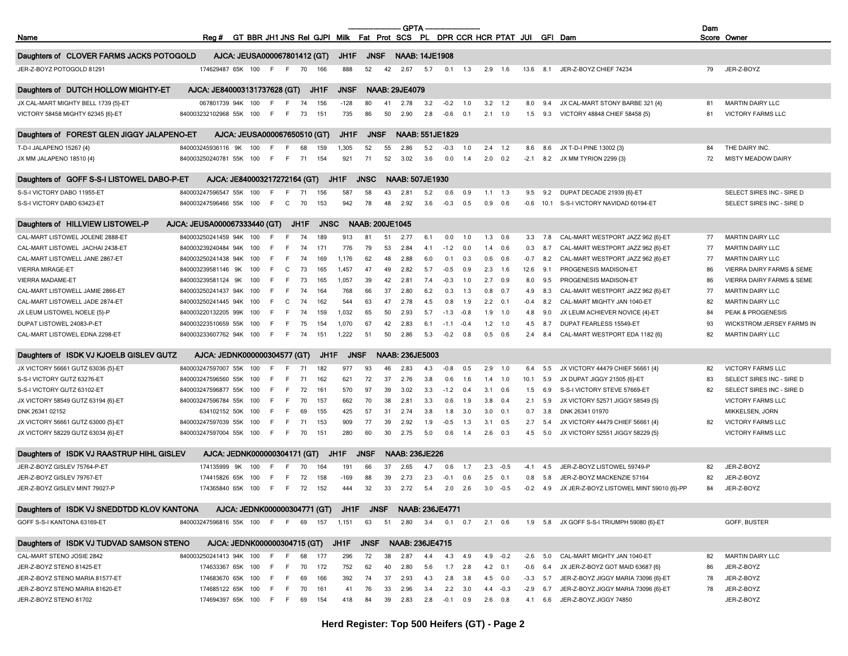|                                            |                                |                                                                           |     |     |      |             |             |                        |    | <b>GPTA</b>            |     |              |              |                |                |        |     |                                            | Dam |                           |
|--------------------------------------------|--------------------------------|---------------------------------------------------------------------------|-----|-----|------|-------------|-------------|------------------------|----|------------------------|-----|--------------|--------------|----------------|----------------|--------|-----|--------------------------------------------|-----|---------------------------|
| Name                                       | Reg #                          | GT BBR JH1 JNS Rel GJPI Milk Fat Prot SCS PL DPR CCR HCR PTAT JUI GFI Dam |     |     |      |             |             |                        |    |                        |     |              |              |                |                |        |     |                                            |     | Score Owner               |
| Daughters of CLOVER FARMS JACKS POTOGOLD   |                                | AJCA: JEUSA000067801412 (GT)                                              |     |     |      |             | JH1F        | <b>JNSF</b>            |    | <b>NAAB: 14JE1908</b>  |     |              |              |                |                |        |     |                                            |     |                           |
| JER-Z-BOYZ POTOGOLD 81291                  |                                | 174629487 65K 100                                                         | - F | F   | 70   | 166         | 888         | 52                     | 42 | 2.67                   | 5.7 | 0.1          | 1.3          |                | $2.9$ 1.6      | 13.6   | 8.1 | JER-Z-BOYZ CHIEF 74234                     | 79  | JER-Z-BOYZ                |
| Daughters of DUTCH HOLLOW MIGHTY-ET        | AJCA: JE840003131737628 (GT)   |                                                                           |     |     |      | JH1F        | JNSF        |                        |    | <b>NAAB: 29JE4079</b>  |     |              |              |                |                |        |     |                                            |     |                           |
| JX CAL-MART MIGHTY BELL 1739 {5}-ET        | 067801739 94K                  | 100                                                                       | F   |     | 74   | 156         | $-128$      | 80                     | 41 | 2.78                   | 3.2 | $-0.2$       | 1.0          | 3.2            | 1.2            | 8.0    | 9.4 | JX CAL-MART STONY BARBE 321 {4}            | 81  | <b>MARTIN DAIRY LLC</b>   |
| VICTORY 58458 MIGHTY 62345 {6}-ET          | 840003232102968 55K 100        |                                                                           | F.  | F.  | 73   | 151         | 735         | 86                     | 50 | 2.90                   | 2.8 | $-0.6$       | 0.1          |                | $2.1$ 1.0      | 1.5    |     | 9.3 VICTORY 48848 CHIEF 58458 {5}          | 81  | <b>VICTORY FARMS LLC</b>  |
| Daughters of FOREST GLEN JIGGY JALAPENO-ET |                                | AJCA: JEUSA000067650510 (GT)                                              |     |     |      |             | JH1F        | <b>JNSF</b>            |    | <b>NAAB: 551JE1829</b> |     |              |              |                |                |        |     |                                            |     |                           |
| T-D-I JALAPENO 15267 {4}                   | 840003245936116 9K             | 100                                                                       | F   |     | 68   | 159         | 1,305       | 52                     | 55 | 2.86                   | 5.2 | $-0.3$       | 1.0          | 2.4            | 1.2            | 8.6    | 8.6 | JX T-D-I PINE 13002 {3}                    | 84  | THE DAIRY INC.            |
| JX MM JALAPENO 18510 {4}                   | 840003250240781 55K 100        |                                                                           | F.  | - F | 71   | 154         | 921         | 71                     | 52 | 3.02                   | 3.6 | 0.0          | 1.4          | 2.0            | 0.2            | $-2.1$ |     | 8.2 JX MM TYRION 2299 {3}                  | 72  | MISTY MEADOW DAIRY        |
| Daughters of GOFF S-S-I LISTOWEL DABO-P-ET |                                | AJCA: JE840003217272164 (GT)                                              |     |     |      |             | JH1F        | <b>JNSC</b>            |    | <b>NAAB: 507JE1930</b> |     |              |              |                |                |        |     |                                            |     |                           |
| S-S-I VICTORY DABO 11955-ET                | 840003247596547 55K            | 100                                                                       |     |     | -71  | 156         | 587         | 58                     | 43 | 2.81                   | 5.2 | 0.6          | 0.9          | 1.1            | 1.3            | 9.5    | 9.2 | DUPAT DECADE 21939 {6}-ET                  |     | SELECT SIRES INC - SIRE D |
| S-S-I VICTORY DABO 63423-ET                | 840003247596466 55K 100        |                                                                           | F.  | C   | 70   | 153         | 942         | 78                     | 48 | 2.92                   | 3.6 | $-0.3$       | 0.5          |                | $0.9\quad 0.6$ | -0.6   |     | 10.1 S-S-I VICTORY NAVIDAD 60194-ET        |     | SELECT SIRES INC - SIRE D |
| Daughters of HILLVIEW LISTOWEL-P           | AJCA. JEUSA000067333440 (GT)   |                                                                           |     |     | JH1F | <b>JNSC</b> |             | <b>NAAB: 200JE1045</b> |    |                        |     |              |              |                |                |        |     |                                            |     |                           |
| CAL-MART LISTOWEL JOLENE 2888-ET           | 840003250241459 94K            | 100                                                                       | F   |     | 74   | 189         | 913         | 81                     | 51 | 2.77                   | 6.1 | 0.0          | 1.0          |                | $1.3$ 0.6      | 3.3    | 7.8 | CAL-MART WESTPORT JAZZ 962 {6}-ET          | 77  | <b>MARTIN DAIRY LLC</b>   |
| CAL-MART LISTOWEL JACHAI 2438-ET           | 840003239240484 94K            | 100                                                                       | F   |     | 74   | 171         | 776         | 79                     | 53 | 2.84                   | 4.1 | $-1.2$       | 0.0          | 1.4            | 0.6            | 0.3    | 8.7 | CAL-MART WESTPORT JAZZ 962 {6}-ET          | 77  | <b>MARTIN DAIRY LLC</b>   |
| CAL-MART LISTOWELL JANE 2867-ET            | 840003250241438 94K            | 100                                                                       | F   |     | 74   | 169         | 1,176       | 62                     | 48 | 2.88                   | 6.0 | 0.1          | 0.3          | 0.6            | 0.6            | $-0.7$ | 8.2 | CAL-MART WESTPORT JAZZ 962 {6}-ET          | 77  | <b>MARTIN DAIRY LLC</b>   |
| <b>VIERRA MIRAGE-ET</b>                    | 840003239581146 9K             | 100                                                                       | F   | C   | 73   | 165         | 1,457       | 47                     | 49 | 2.82                   | 5.7 | $-0.5$       | 0.9          | 2.3            | 1.6            | 12.6   | 9.1 | PROGENESIS MADISON-ET                      | 86  | VIERRA DAIRY FARMS & SEME |
| <b>VIERRA MADAME-ET</b>                    | 840003239581124 9K             | 100                                                                       | F   | -F  | 73   | 165         | 1,057       | 39                     | 42 | 2.81                   | 7.4 | $-0.3$       | 1.0          | 2.7            | 0.9            | 8.0    | 9.5 | PROGENESIS MADISON-ET                      | 86  | VIERRA DAIRY FARMS & SEME |
| CAL-MART LISTOWELL JAMIE 2866-ET           | 840003250241437 94K            | 100                                                                       |     |     | 74   | 164         | 768         | 66                     | 37 | 2.80                   | 6.2 | 0.3          | 1.3          | 0.8            | 0.7            | 4.9    | 8.3 | CAL-MART WESTPORT JAZZ 962 {6}-ET          | 77  | <b>MARTIN DAIRY LLC</b>   |
| CAL-MART LISTOWELL JADE 2874-ET            | 840003250241445 94K            | 100                                                                       | F   | C   | 74   | 162         | 544         | 63                     | 47 | 2.78                   | 4.5 | 0.8          | 1.9          | $2.2\quad 0.1$ |                | -0.4   | 8.2 | CAL-MART MIGHTY JAN 1040-ET                | 82  | <b>MARTIN DAIRY LLC</b>   |
| JX LEUM LISTOWEL NOELE {5}-P               | 840003220132205 99K            | 100                                                                       | -F  | -F  | 74   | 159         | 1,032       | 65                     | 50 | 2.93                   | 5.7 | $-1.3$       | $-0.8$       | 1.9            | 1.0            | 4.8    | 9.0 | JX LEUM ACHIEVER NOVICE {4}-ET             | 84  | PEAK & PROGENESIS         |
| DUPAT LISTOWEL 24083-P-ET                  | 840003223510659 55K            | 100                                                                       | F   | E   | 75   | 154         | 1.070       | 67                     | 42 | 2.83                   | 6.1 | $-1.1$       | $-0.4$       | 1.2            | 1.0            | 4.5    | 8.7 | <b>DUPAT FEARLESS 15549-ET</b>             | 93  | WICKSTROM JERSEY FARMS IN |
| CAL-MART LISTOWEL EDNA 2298-ET             | 840003233607762 94K 100        |                                                                           | F.  | F   | 74   | 151         | 1,222       | 51                     | 50 | 2.86                   | 5.3 | $-0.2$       | 0.8          | 0.5            | 0.6            | 2.4    | 8.4 | CAL-MART WESTPORT EDA 1182 {6}             | 82  | <b>MARTIN DAIRY LLC</b>   |
| Daughters of ISDK VJ KJOELB GISLEV GUTZ    | AJCA: JEDNK000000304577 (GT)   |                                                                           |     |     |      | JH1F        | <b>JNSF</b> |                        |    | <b>NAAB: 236JE5003</b> |     |              |              |                |                |        |     |                                            |     |                           |
| JX VICTORY 56661 GUTZ 63036 {5}-ET         | 840003247597007 55K            | 100                                                                       | F   |     |      | 182         | 977         | 93                     | 46 | 2.83                   | 4.3 | $-0.8$       | 0.5          | 2.9            | 1.0            | 6.4    | 5.5 | JX VICTORY 44479 CHIEF 56661 {4}           | 82  | <b>VICTORY FARMS LLC</b>  |
| S-S-I VICTORY GUTZ 63276-ET                | 840003247596560 55K            | 100                                                                       | E   | -F  | 71   | 162         | 621         | 72                     | 37 | 2.76                   | 3.8 | 0.6          | 1.6          | 1.4            | 1.0            | 10.1   | 5.9 | JX DUPAT JIGGY 21505 {6}-ET                | 83  | SELECT SIRES INC - SIRE D |
| S-S-I VICTORY GUTZ 63102-ET                | 840003247596877 55K            | 100                                                                       | F.  | -F  | 72   | 161         | 570         | 97                     | 39 | 3.02                   | 3.3 | $-1.2$       | 0.4          | 3.1            | 0.6            | 1.5    | 6.9 | S-S-I VICTORY STEVE 57669-ET               | 82  | SELECT SIRES INC - SIRE D |
| JX VICTORY 58549 GUTZ 63194 {6}-ET         | 840003247596784 55K            | 100                                                                       | F.  | E   | 70   | 157         | 662         | 70                     | 38 | 2.81                   | 3.3 | 0.6          | 1.9          | 3.8            | 0.4            | 2.1    | 5.9 | JX VICTORY 52571 JIGGY 58549 {5}           |     | <b>VICTORY FARMS LLC</b>  |
| DNK 26341 02152                            | 634102152 50K                  | 100                                                                       | F   | -F  | 69   | 155         | 425         | 57                     | 31 | 2.74                   | 3.8 | 1.8          | 3.0          | 3.0            | 0.1            | 0.7    | 3.8 | DNK 26341 01970                            |     | MIKKELSEN, JORN           |
| JX VICTORY 56661 GUTZ 63000 {5}-ET         | 840003247597039 55K            | 100                                                                       | F.  | -F  | 71   | 153         | 909         | 77                     | 39 | 2.92                   | 1.9 | $-0.5$       | 1.3          | 3.1            | 0.5            | 2.7    | 5.4 | JX VICTORY 44479 CHIEF 56661 {4}           | 82  | <b>VICTORY FARMS LLC</b>  |
| JX VICTORY 58229 GUTZ 63034 {6}-ET         | 840003247597004 55K            | 100                                                                       | F.  | F   | 70   | 151         | 280         | 60                     | 30 | 2.75                   | 5.0 | 0.6          | 1.4          | 2.6            | 0.3            | 4.5    | 5.0 | JX VICTORY 52551 JIGGY 58229 {5}           |     | <b>VICTORY FARMS LLC</b>  |
| Daughters of ISDK VJ RAASTRUP HIHL GISLEV  |                                | AJCA: JEDNK000000304171 (GT)                                              |     |     |      |             | JH1F        | <b>JNSF</b>            |    | <b>NAAB: 236JE226</b>  |     |              |              |                |                |        |     |                                            |     |                           |
| JER-Z-BOYZ GISLEV 75764-P-ET               | 174135999 9K                   | 100                                                                       | F   |     | 70   | 164         | 191         | 66                     | 37 | 2.65                   | 4.7 | 0.6          | 1.7          | 2.3            | $-0.5$         | $-4.1$ | 4.5 | JER-Z-BOYZ LISTOWEL 59749-P                | 82  | JER-Z-BOYZ                |
| JER-Z-BOYZ GISLEV 79767-ET                 | 174415826 65K                  | 100                                                                       |     |     | 72   | 158         | $-169$      | 88                     | 39 | 2.73                   | 2.3 | $-0.1$       | 0.6          | 2.5            | 0.1            | 0.8    | 5.8 | JER-Z-BOYZ MACKENZIE 57164                 | 82  | JER-Z-BOYZ                |
| JER-Z-BOYZ GISLEV MINT 79027-P             |                                | 174365840 65K 100                                                         | -F  | - F | 72   | 152         | 444         | 32                     | 33 | 2.72                   | 5.4 | 2.0          | 2.6          |                | $3.0 -0.5$     | $-0.2$ | 4.9 | JX JER-Z-BOYZ LISTOWEL MINT 59010 {6}-PP   | 84  | JER-Z-BOYZ                |
| Daughters of ISDK VJ SNEDDTDD KLOV KANTONA |                                | AJCA: JEDNK000000304771 (GT) JH1F JNSF NAAB: 236JE4771                    |     |     |      |             |             |                        |    |                        |     |              |              |                |                |        |     |                                            |     |                           |
| GOFF S-S-I KANTONA 63169-ET                | 840003247596816 55K 100 F F 69 |                                                                           |     |     |      | 157         | 1,151       | 63                     | 51 | 2.80                   | 3.4 |              | $0.1 \t 0.7$ |                | $2.1\quad 0.6$ |        |     | 1.9 5.8 JX GOFF S-S-I TRIUMPH 59080 {6}-ET |     | GOFF, BUSTER              |
| Daughters of ISDK VJ TUDVAD SAMSON STENO   |                                | AJCA: JEDNK000000304715 (GT)                                              |     |     |      |             | JH1F JNSF   |                        |    | <b>NAAB: 236JE4715</b> |     |              |              |                |                |        |     |                                            |     |                           |
| CAL-MART STENO JOSIE 2842                  | 840003250241413 94K 100        |                                                                           | - F | - F | 68   | 177         | 296         | 72                     | 38 | 2.87                   | 4.4 | 4.3          | 4.9          |                | $4.9 -0.2$     | -2.6   | 5.0 | CAL-MART MIGHTY JAN 1040-ET                | 82  | <b>MARTIN DAIRY LLC</b>   |
| JER-Z-BOYZ STENO 81425-ET                  |                                | 174633367 65K 100                                                         | F.  | F.  | 70   | 172         | 752         | 62                     | 40 | 2.80                   | 5.6 | 1.7          | 2.8          |                | 4.2 0.1        | -0.6   |     | 6.4 JX JER-Z-BOYZ GOT MAID 63687 {6}       | 86  | JER-Z-BOYZ                |
| JER-Z-BOYZ STENO MARIA 81577-ET            |                                | 174683670 65K 100                                                         | F.  | -F  | 69   | 166         | 392         | 74                     | 37 | 2.93                   | 4.3 | 2.8          | 3.8          |                | 4.5 0.0        | $-3.3$ | 5.7 | JER-Z-BOYZ JIGGY MARIA 73096 {6}-ET        | 78  | JER-Z-BOYZ                |
| JER-Z-BOYZ STENO MARIA 81620-ET            |                                | 174685122 65K 100                                                         |     | F F | 70   | 161         | 41          | 76                     | 33 | 2.96                   | 3.4 | 2.2          | 3.0          |                | $4.4 -0.3$     | -2.9   |     | 6.7 JER-Z-BOYZ JIGGY MARIA 73096 {6}-ET    | 78  | JER-Z-BOYZ                |
| JER-Z-BOYZ STENO 81702                     |                                | 174694397 65K 100 F F 69 154                                              |     |     |      |             | 418         | 84                     | 39 | 2.83                   |     | 2.8 -0.1 0.9 |              | $2.6$ 0.8      |                |        |     | 4.1 6.6 JER-Z-BOYZ JIGGY 74850             |     | JER-Z-BOYZ                |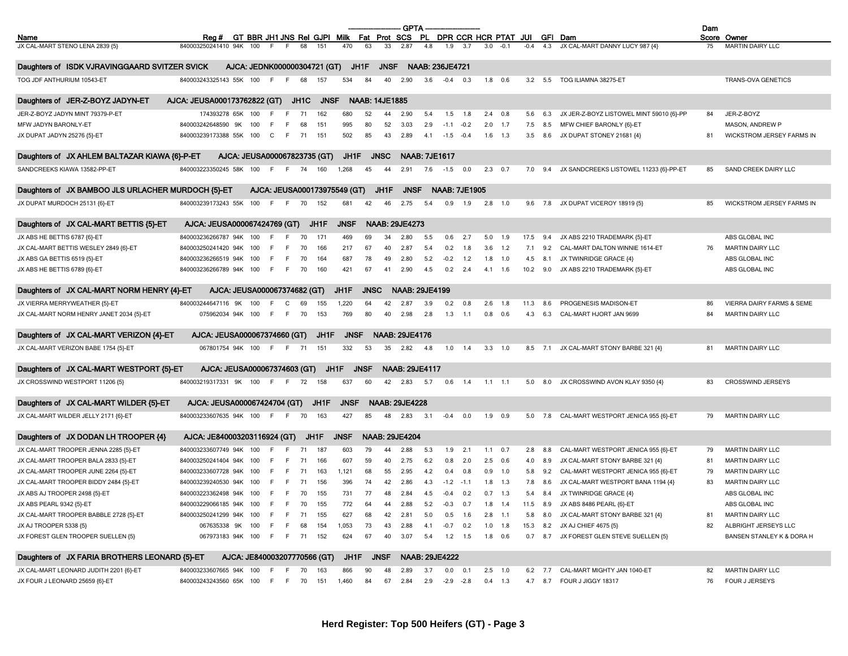|                                                    |                              |                                    |                                                                   |        |      |      |                              |             |             |                       | <b>GPTA</b>           |                        |                      |              |                |                |        |          |                                          | Dam |                                      |
|----------------------------------------------------|------------------------------|------------------------------------|-------------------------------------------------------------------|--------|------|------|------------------------------|-------------|-------------|-----------------------|-----------------------|------------------------|----------------------|--------------|----------------|----------------|--------|----------|------------------------------------------|-----|--------------------------------------|
| Name                                               |                              | Reg #                              | GT BBR JH1 JNS Rel GJPI Milk Fat Prot SCS PL DPR CCR HCR PTAT JUI |        |      |      |                              |             |             |                       |                       |                        |                      |              |                |                |        |          | GFI Dam                                  |     | Score Owner                          |
| JX CAL-MART STENO LENA 2839 {5}                    |                              | 840003250241410 94K                | 100                                                               |        |      | 68   | 151                          | 470         | 63          | 33                    | 2.87                  | 4.8                    | 1.9                  | 3.7          | 3.0            | $-0.1$         | $-0.4$ | 4.3      | JX CAL-MART DANNY LUCY 987 {4}           | 75  | <b>MARTIN DAIRY LLC</b>              |
| Daughters of ISDK VJRAVINGGAARD SVITZER SVICK      |                              |                                    | AJCA: JEDNK000000304721 (GT)                                      |        |      |      |                              | JH1F        |             | <b>JNSF</b>           |                       | <b>NAAB: 236JE4721</b> |                      |              |                |                |        |          |                                          |     |                                      |
| TOG JDF ANTHURIUM 10543-ET                         |                              | 840003243325143 55K 100            |                                                                   | -F     | - F  | 68   | 157                          | 534         | 84          | 40                    | 2.90                  | 3.6                    | $-0.4$               | 0.3          |                | $1.8$ 0.6      |        |          | 3.2 5.5 TOG ILIAMNA 38275-ET             |     | TRANS-OVA GENETICS                   |
|                                                    |                              |                                    |                                                                   |        |      |      |                              |             |             |                       |                       |                        |                      |              |                |                |        |          |                                          |     |                                      |
| Daughters of JER-Z-BOYZ JADYN-ET                   | AJCA: JEUSA000173762822 (GT) |                                    |                                                                   |        |      | JH1C | <b>JNSF</b>                  |             |             | <b>NAAB: 14JE1885</b> |                       |                        |                      |              |                |                |        |          |                                          |     |                                      |
| JER-Z-BOYZ JADYN MINT 79379-P-ET                   |                              | 174393278 65K 100                  |                                                                   | -F     |      | 71   | 162                          | 680         | 52          | 44                    | 2.90                  | 5.4                    | 1.5                  | 1.8          | 2.4            | 0.8            | 5.6    | 6.3      | JX JER-Z-BOYZ LISTOWEL MINT 59010 {6}-PP | 84  | JER-Z-BOYZ                           |
| MFW JADYN BARONLY-ET                               |                              | 840003242648590 9K                 | 100                                                               | F      |      | 68   | 151                          | 995         | 80          | 52                    | 3.03                  | 2.9                    | $-1.1$               | $-0.2$       |                | $2.0$ 1.7      | 7.5    | 8.5      | MFW CHIEF BARONLY {6}-ET                 |     | MASON, ANDREW P                      |
| JX DUPAT JADYN 25276 {5}-ET                        |                              | 840003239173388 55K 100 C          |                                                                   |        | F    | 71   | 151                          | 502         | 85          | 43                    | 2.89                  |                        | $4.1 -1.5 -0.4$      |              |                | $1.6$ 1.3      |        |          | 3.5 8.6 JX DUPAT STONEY 21681 {4}        | 81  | WICKSTROM JERSEY FARMS IN            |
| Daughters of JX AHLEM BALTAZAR KIAWA {6}-P-ET      |                              | AJCA: JEUSA000067823735 (GT)       |                                                                   |        |      |      |                              | JH1F        |             | <b>JNSC</b>           |                       | <b>NAAB: 7JE1617</b>   |                      |              |                |                |        |          |                                          |     |                                      |
| SANDCREEKS KIAWA 13582-PP-ET                       |                              | 840003223350245 58K 100            |                                                                   | F F 74 |      |      | 160                          | 1,268       | 45          | 44                    | 2.91                  | 7.6                    | $-1.5$               | 0.0          | $2.3\quad 0.7$ |                |        | 7.0 9.4  | JX SANDCREEKS LISTOWEL 11233 {6}-PP-ET   | 85  | SAND CREEK DAIRY LLC                 |
| Daughters of JX BAMBOO JLS URLACHER MURDOCH {5}-ET |                              |                                    |                                                                   |        |      |      | AJCA: JEUSA000173975549 (GT) |             |             | JH1F                  | <b>JNSF</b>           |                        | <b>NAAB: 7JE1905</b> |              |                |                |        |          |                                          |     |                                      |
| JX DUPAT MURDOCH 25131 {6}-ET                      |                              | 840003239173243 55K 100            |                                                                   | $-F$   | F.   | 70   | 152                          | 681         | 42          | 46                    | 2.75                  | 5.4                    |                      | $0.9$ 1.9    | 2.8            | 1.0            |        |          | 9.6 7.8 JX DUPAT VICEROY 18919 {5}       | 85  | WICKSTROM JERSEY FARMS IN            |
| Daughters of JX CAL-MART BETTIS {5}-ET             |                              | AJCA: JEUSA000067424769 (GT)       |                                                                   |        |      |      | JH1F                         | <b>JNSF</b> |             |                       | <b>NAAB: 29JE4273</b> |                        |                      |              |                |                |        |          |                                          |     |                                      |
| JX ABS HE BETTIS 6787 {6}-ET                       |                              | 840003236266787 94K 100            |                                                                   | F.     |      | 70   | 171                          | 469         | 69          | 34                    | 2.80                  | 5.5                    | 0.6                  | 2.7          | 5.0            | - 1.9          | 17.5   | 9.4      | JX ABS 2210 TRADEMARK {5}-ET             |     | ABS GLOBAL INC                       |
| JX CAL-MART BETTIS WESLEY 2849 {6}-ET              |                              | 840003250241420 94K 100            |                                                                   |        |      | 70   | 166                          | 217         | 67          | 40                    | 2.87                  | 5.4                    | 0.2                  | 1.8          |                | $3.6$ 1.2      | 7.1    | 9.2      | CAL-MART DALTON WINNIE 1614-ET           | 76  | MARTIN DAIRY LLC                     |
| JX ABS GA BETTIS 6519 {5}-ET                       |                              | 840003236266519 94K 100            |                                                                   | - F    | - F  | 70   | 164                          | 687         | 78          | 49                    | 2.80                  | 5.2                    |                      | $-0.2$ 1.2   |                | $1.8$ 1.0      | 4.5    | 8.1      | JX TWINRIDGE GRACE {4}                   |     | ABS GLOBAL INC                       |
| JX ABS HE BETTIS 6789 {6}-ET                       |                              | 840003236266789 94K 100 F F 70     |                                                                   |        |      |      | 160                          | 421         | 67          | 41                    | 2.90                  | 4.5                    |                      | $0.2$ 2.4    |                | 4.1 1.6        |        | 10.2 9.0 | JX ABS 2210 TRADEMARK {5}-ET             |     | ABS GLOBAL INC                       |
|                                                    |                              |                                    |                                                                   |        |      |      |                              |             |             |                       |                       |                        |                      |              |                |                |        |          |                                          |     |                                      |
| Daughters of JX CAL-MART NORM HENRY {4}-ET         |                              | AJCA. JEUSA000067374682 (GT)       |                                                                   |        |      |      |                              | JH1F        | <b>JNSC</b> |                       |                       | <b>NAAB: 29JE4199</b>  |                      |              |                |                |        |          |                                          |     |                                      |
| JX VIERRA MERRYWEATHER {5}-ET                      |                              | 840003244647116 9K                 | 100                                                               | F.     | C    | 69   | 155                          | 1,220       | 64          | 42                    | 2.87                  | 3.9                    | 0.2                  | 0.8          | 2.6            | 1.8            | 11.3   | 8.6      | PROGENESIS MADISON-ET                    | 86  | <b>VIERRA DAIRY FARMS &amp; SEME</b> |
| JX CAL-MART NORM HENRY JANET 2034 {5}-ET           |                              | 075962034 94K 100 F                |                                                                   |        | F 70 |      | 153                          | 769         | 80          | 40                    | 2.98                  | 2.8                    |                      | $1.3$ 1.1    |                | $0.8\quad 0.6$ | 4.3    |          | 6.3 CAL-MART HJORT JAN 9699              | 84  | MARTIN DAIRY LLC                     |
| Daughters of JX CAL-MART VERIZON {4}-ET            |                              | AJCA: JEUSA000067374660 (GT)       |                                                                   |        |      |      | JH1F                         | <b>JNSF</b> |             |                       | <b>NAAB: 29JE4176</b> |                        |                      |              |                |                |        |          |                                          |     |                                      |
| JX CAL-MART VERIZON BABE 1754 {5}-ET               |                              | 067801754 94K 100 F F              |                                                                   |        |      | - 71 | 151                          | 332         | 53          | 35                    | 2.82                  | 4.8                    |                      | $1.0$ 1.4    | $3.3$ 1.0      |                |        |          | 8.5 7.1 JX CAL-MART STONY BARBE 321 {4}  | 81  | <b>MARTIN DAIRY LLC</b>              |
| Daughters of JX CAL-MART WESTPORT {5}-ET           |                              | AJCA: JEUSA000067374603 (GT)       |                                                                   |        |      |      | JH1F                         |             | <b>JNSF</b> |                       |                       | <b>NAAB: 29JE4117</b>  |                      |              |                |                |        |          |                                          |     |                                      |
| JX CROSSWIND WESTPORT 11206 {5}                    |                              | 840003219317331 9K                 | 100                                                               | - F    | - F  | 72   | 158                          | 637         | 60          | 42                    | 2.83                  | 5.7                    |                      | $0.6$ 1.4    |                | $1.1$ 1.1      | 5.0    | 8.0      | JX CROSSWIND AVON KLAY 9350 {4}          | 83  | <b>CROSSWIND JERSEYS</b>             |
|                                                    |                              |                                    |                                                                   |        |      |      |                              |             |             |                       |                       |                        |                      |              |                |                |        |          |                                          |     |                                      |
| Daughters of JX CAL-MART WILDER {5}-ET             |                              | AJCA: JEUSA000067424704 (GT)       |                                                                   |        |      |      | JH1F                         | <b>JNSF</b> |             |                       | <b>NAAB: 29JE4228</b> |                        |                      |              |                |                |        |          |                                          |     |                                      |
| JX CAL-MART WILDER JELLY 2171 {6}-ET               |                              | 840003233607635 94K 100 F F        |                                                                   |        |      | 70   | 163                          | 427         | 85          | 48                    | 2.83                  | 3.1                    |                      | $-0.4$ 0.0   | 1.9 0.9        |                |        | 5.0 7.8  | CAL-MART WESTPORT JENICA 955 {6}-ET      | 79  | <b>MARTIN DAIRY LLC</b>              |
| Daughters of JX DODAN LH TROOPER {4}               |                              | AJCA: JE840003203116924 (GT)       |                                                                   |        |      | JH1F |                              | <b>JNSF</b> |             |                       | <b>NAAB: 29JE4204</b> |                        |                      |              |                |                |        |          |                                          |     |                                      |
| JX CAL-MART TROOPER JENNA 2285 {5}-ET              |                              | 840003233607749 94K 100            |                                                                   | -F     |      | 71   | 187                          | 603         | 79          | 44                    | 2.88                  | 5.3                    |                      | $1.9$ 2.1    |                | $1.1 \t 0.7$   | 2.8    | 8.8      | CAL-MART WESTPORT JENICA 955 {6}-ET      | 79  | <b>MARTIN DAIRY LLC</b>              |
| JX CAL-MART TROOPER BALA 2833 {5}-ET               |                              | 840003250241404 94K 100            |                                                                   | -F     |      | 71   | 166                          | 607         | 59          | 40                    | 2.75                  | 6.2                    | 0.8                  | 2.0          |                | $2.5\quad 0.6$ | 4.0    | 8.9      | JX CAL-MART STONY BARBE 321 {4}          | 81  | <b>MARTIN DAIRY LLC</b>              |
| JX CAL-MART TROOPER JUNE 2264 {5}-ET               |                              | 840003233607728 94K                | 100                                                               | -F     | - F  | 71   | 163                          | 1,121       | 68          | 55                    | 2.95                  | 4.2                    | 0.4                  | 0.8          |                | $0.9$ 1.0      | 5.8    | 9.2      | CAL-MART WESTPORT JENICA 955 {6}-ET      | 79  | MARTIN DAIRY LLC                     |
| JX CAL-MART TROOPER BIDDY 2484 {5}-ET              |                              | 840003239240530 94K 100            |                                                                   | -F     | -F   | 71   | 156                          | 396         | 74          | 42                    | 2.86                  | 4.3                    | $-1.2$               | $-1.1$       | 1.8            | 1.3            | 7.8    | 8.6      | JX CAL-MART WESTPORT BANA 1194 {4}       | 83  | MARTIN DAIRY LLC                     |
| JX ABS AJ TROOPER 2498 {5}-ET                      |                              | 840003223362498 94K 100 F F 70     |                                                                   |        |      |      | 155                          | 731         | 77          | 48                    | 2.84                  | 4.5                    | $-0.4$               | 0.2          |                | $0.7$ 1.3      |        |          | 5.4 8.4 JX TWINRIDGE GRACE {4}           |     | ABS GLOBAL INC                       |
| JX ABS PEARL 9342 {5}-ET                           |                              | 840003229066185 94K 100 F F 70     |                                                                   |        |      |      | 155                          | 772         | 64          |                       | 2.88                  | 5.2                    | $-0.3$ 0.7           |              |                | $1.8$ 1.4      |        |          | 11.5 8.9 JX ABS 8486 PEARL {6}-ET        |     | ABS GLOBAL INC                       |
| JX CAL-MART TROOPER BABBLE 2728 {5}-ET             |                              | 840003250241299 94K 100 F F 71 155 |                                                                   |        |      |      |                              | 627         | 68          | 42                    | 2.81                  | 5.0                    |                      | $0.5$ 1.6    | $2.8$ 1.1      |                |        |          | 5.8 8.0 JX CAL-MART STONY BARBE 321 {4}  | 81  | MARTIN DAIRY LLC                     |
| JX AJ TROOPER 5338 {5}                             |                              | 067635338 9K 100 F                 |                                                                   |        | F 68 |      | 154                          | 1,053       | 73          | 43                    | 2.88                  | 4.1                    |                      | $-0.7$ 0.2   |                | $1.0$ 1.8      |        |          | 15.3 8.2 JX AJ CHIEF 4675 {5}            | 82  | ALBRIGHT JERSEYS LLC                 |
| JX FOREST GLEN TROOPER SUELLEN {5}                 |                              | 067973183 94K 100 F F 71 152       |                                                                   |        |      |      |                              | 624         | 67          | 40                    | 3.07                  | 5.4                    |                      | $1.2$ 1.5    | 1.8 0.6        |                |        |          | 0.7 8.7 JX FOREST GLEN STEVE SUELLEN {5} |     | BANSEN STANLEY K & DORA H            |
| Daughters of JX FARIA BROTHERS LEONARD {5}-ET      |                              |                                    | AJCA: JE840003207770566 (GT)                                      |        |      |      |                              | JH1F        |             | JNSF                  |                       | <b>NAAB: 29JE4222</b>  |                      |              |                |                |        |          |                                          |     |                                      |
| JX CAL-MART LEONARD JUDITH 2201 {6}-ET             |                              | 840003233607665 94K 100 F F 70     |                                                                   |        |      |      | 163                          | 866         | 90          | 48                    | 2.89                  | 3.7                    |                      | $0.0 \t 0.1$ | $2.5$ 1.0      |                |        |          | 6.2 7.7 CAL-MART MIGHTY JAN 1040-ET      | 82  | <b>MARTIN DAIRY LLC</b>              |
| JX FOUR J LEONARD 25659 {6}-ET                     |                              | 840003243243560 65K 100 F F 70 151 |                                                                   |        |      |      |                              | 1,460       | 84          |                       | 67 2.84               |                        | $2.9 -2.9 -2.8$      |              | $0.4$ 1.3      |                |        |          | 4.7 8.7 FOUR J JIGGY 18317               | 76  | FOUR J JERSEYS                       |
|                                                    |                              |                                    |                                                                   |        |      |      |                              |             |             |                       |                       |                        |                      |              |                |                |        |          |                                          |     |                                      |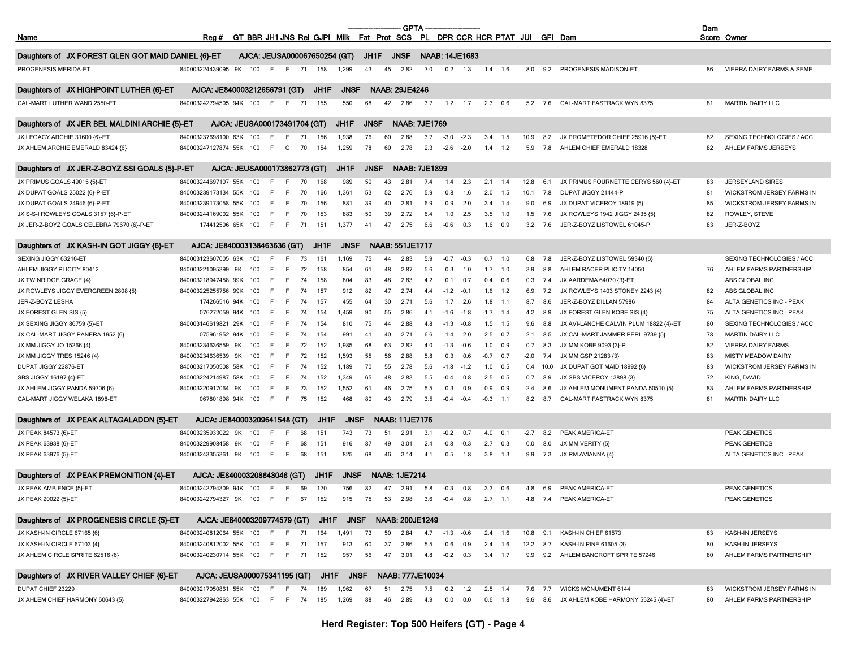| GT BBR JH1 JNS Rel GJPI Milk Fat Prot SCS PL DPR CCR HCR PTAT JUI<br>GFI Dam<br>Score Owner<br>Name<br>Rea#<br>JH1F<br><b>JNSF</b><br><b>NAAB: 14JE1683</b><br>Daughters of JX FOREST GLEN GOT MAID DANIEL {6}-ET<br>AJCA: JEUSA000067650254 (GT)<br>PROGENESIS MERIDA-ET<br>840003224439095 9K<br>100<br>7.0<br>0.2<br>1.6<br>9.2<br>PROGENESIS MADISON-ET<br>86<br>VIERRA DAIRY FARMS & SEME<br>-F<br>F.<br>71<br>158<br>1,299<br>43<br>45<br>2.82<br>1.3<br>1.4<br>8.0<br><b>NAAB: 29JE4246</b><br>Daughters of JX HIGHPOINT LUTHER {6}-ET<br>AJCA: JE840003212656791 (GT)<br>JH1F<br><b>JNSF</b><br>CAL-MART LUTHER WAND 2550-ET<br>840003242794505 94K 100<br>- F<br>155<br>550<br>42<br>2.86<br>$1.2$ 1.7<br>$2.3\quad 0.6$<br>CAL-MART FASTRACK WYN 8375<br><b>MARTIN DAIRY LLC</b><br>F.<br>71<br>68<br>3.7<br>5.2<br>7.6<br>81<br><b>NAAB: 7JE1769</b><br>AJCA: JEUSA000173491704 (GT)<br>JH1F<br><b>JNSF</b><br>Daughters of JX JER BEL MALDINI ARCHIE {5}-ET<br>JX LEGACY ARCHIE 31600 {6}-ET<br>1,938<br>76<br>3.7<br>JX PROMETEDOR CHIEF 25916 {5}-ET<br>SEXING TECHNOLOGIES / ACC<br>840003237698100 63K<br>100<br>-F<br>F.<br>71<br>156<br>60<br>2.88<br>$-3.0$<br>$-2.3$<br>3.4<br>1.5<br>10.9<br>8.2<br>82<br>JX AHLEM ARCHIE EMERALD 83424 {6}<br>840003247127874 55K 100<br>154<br>1,259<br>60<br>2.78<br>2.3<br>AHLEM CHIEF EMERALD 18328<br>82<br>AHLEM FARMS JERSEYS<br>-F<br>$\mathbf{C}$<br>70<br>78<br>$-2.6$<br>$-2.0$<br>1.4<br>1.2<br>5.9<br>7.8<br>Daughters of JX JER-Z-BOYZ SSI GOALS {5}-P-ET<br>AJCA: JEUSA000173862773 (GT)<br>JH1F<br><b>JNSF</b><br><b>NAAB: 7JE1899</b><br>JX PRIMUS GOALS 49015 {5}-ET<br>840003244697107 55K<br>100<br>989<br>2.3<br>2.1<br>12.8<br>JX PRIMUS FOURNETTE CERYS 560 {4}-ET<br><b>JERSEYLAND SIRES</b><br>-F<br>F.<br>70<br>168<br>50<br>43<br>2.81<br>7.4<br>1.4<br>1.4<br>6.1<br>83<br>JX DUPAT GOALS 25022 {6}-P-ET<br>52<br>840003239173134 55K<br>100<br>F<br>70<br>166<br>1,361<br>53<br>2.76<br>5.9<br>0.8<br>1.6<br>2.0<br>1.5<br>10.1<br>7.8<br>DUPAT JIGGY 21444-P<br>$8^{\circ}$<br><b>WICKSTROM JERSEY FARMS IN</b><br>-F<br>JX DUPAT GOALS 24946 {6}-P-ET<br>100<br>156<br>881<br>39<br>40<br>2.81<br>6.9<br>0.9<br>2.0<br>3.4<br>JX DUPAT VICEROY 18919 {5}<br>85<br>WICKSTROM JERSEY FARMS IN<br>840003239173058 55K<br>-F<br>F.<br>70<br>1.4<br>9.0<br>6.9<br>JX S-S-I ROWLEYS GOALS 3157 {6}-P-ET<br>153<br>883<br>39<br>82<br>ROWLEY, STEVE<br>840003244169002 55K<br>100<br>-F<br>F.<br>70<br>50<br>2.72<br>6.4<br>1.0<br>2.5<br>3.5<br>1.0<br>1.5<br>7.6<br>JX ROWLEYS 1942 JIGGY 2435 {5}<br>JX JER-Z-BOYZ GOALS CELEBRA 79670 {6}-P-ET<br>151<br>1,377<br>47<br>83<br>174412506 65K 100<br>- F<br>F.<br>71<br>41<br>2.75<br>6.6<br>$-0.6$<br>0.3<br>$1.6$ 0.9<br>3.2<br>7.6<br>JER-Z-BOYZ LISTOWEL 61045-P<br>JER-Z-BOYZ<br><b>NAAB: 551JE1717</b><br>Daughters of JX KASH-IN GOT JIGGY {6}-ET<br>AJCA: JE840003138463636 (GT)<br>JH1F<br><b>JNSF</b><br>SEXING JIGGY 63216-ET<br>840003123607005 63K<br>1,169<br>$-0.7$<br>$-0.3$<br>0.7<br>1.0<br>SEXING TECHNOLOGIES / ACC<br>100<br>-F<br>F.<br>73<br>161<br>75<br>44<br>2.83<br>5.9<br>6.8<br>7.8<br>JER-Z-BOYZ LISTOWEL 59340 {6}<br>158<br>48<br>AHLEM JIGGY PLICITY 80412<br>840003221095399 9K<br>100<br>F<br>72<br>854<br>61<br>2.87<br>5.6<br>0.3<br>1.0<br>$1.7$ 1.0<br>3.9<br>8.8<br>AHLEM RACER PLICITY 14050<br>76<br>AHLEM FARMS PARTNERSHIP<br>F<br>JX TWINRIDGE GRACE {4}<br>840003218947458 99K<br>100<br>F.<br>F<br>158<br>804<br>83<br>48<br>2.83<br>0.1<br>0.7<br>0.6<br>0.3<br>JX AARDEMA 64070 {3}-ET<br>ABS GLOBAL INC<br>74<br>4.2<br>0.4<br>7.4<br>JX ROWLEYS JIGGY EVERGREEN 2808 {5}<br>E<br>157<br>912<br>82<br>47<br>2.74<br>JX ROWLEYS 1403 STONEY 2243 {4}<br>ABS GLOBAL INC<br>840003225255756 99K<br>100<br>-F<br>74<br>4.4<br>$-1.2$<br>$-0.1$<br>1.6<br>1.2<br>6.9<br>7.2<br>82<br>30<br>JER-Z-BOYZ LESHA<br>174266516 94K 100<br>-F<br>F<br>74<br>157<br>455<br>64<br>2.71<br>5.6<br>1.7<br>2.6<br>1.8<br>$-1.1$<br>8.7<br>8.6<br>JER-Z-BOYZ DILLAN 57986<br>84<br>ALTA GENETICS INC - PEAK<br>1,459<br>90<br>55<br>JX FOREST GLEN SIS {5}<br>076272059 94K<br>100<br>F.<br>F<br>74<br>154<br>2.86<br>$-1.6$<br>$-1.8$<br>$-1.7$ 1.4<br>4.2<br>8.9<br>JX FOREST GLEN KOBE SIS {4}<br>75<br>ALTA GENETICS INC - PEAK<br>4.1<br>154<br>810<br>75<br>44<br>2.88<br>JX AVI-LANCHE CALVIN PLUM 18822 {4}-ET<br>80<br>SEXING TECHNOLOGIES / ACC<br>JX SEXING JIGGY 86759 {5}-ET<br>840003146619821 29K<br>100<br>-F<br>F<br>74<br>4.8<br>$-1.3$<br>$-0.8$<br>$1.5$ 1.5<br>9.6<br>8.8<br>991<br>40<br>$2.5\quad 0.7$<br>JX CAL-MART JAMMER PERL 9739 {5}<br>78<br><b>MARTIN DAIRY LLC</b><br>JX CAL-MART JIGGY PANERA 1952 {6}<br>075961952 94K<br>100<br>-F<br>F.<br>74<br>154<br>41<br>2.71<br>6.6<br>1.4<br>2.0<br>2.1<br>8.5<br>1,985<br>63<br>JX MM KOBE 9093 {3}-P<br>JX MM JIGGY JO 15266 {4}<br>840003234636559<br>9K<br>100<br>F<br>72<br>152<br>68<br>2.82<br>4.0<br>$-1.3$<br>$-0.6$<br>1.0<br>0.9<br>0.7<br>8.3<br>82<br><b>VIERRA DAIRY FARMS</b><br>-F<br>83<br>152<br>1,593<br>56<br>2.88<br>JX MM GSP 21283 {3}<br>JX MM JIGGY TRES 15246 {4}<br>840003234636539<br>9K<br>100<br>F<br>72<br>55<br>5.8<br>0.3<br>0.6<br>$-0.7$<br>0.7<br>$-2.0$<br>7.4<br><b>MISTY MEADOW DAIRY</b><br>-F<br>DUPAT JIGGY 22876-ET<br>840003217050508 58K<br>152<br>1,189<br>70<br>55<br>2.78<br>$-1.8$<br>JX DUPAT GOT MAID 18992 {6}<br>83<br>WICKSTROM JERSEY FARMS IN<br>100<br>-F<br>F.<br>74<br>5.6<br>$-1.2$<br>$1.0\quad 0.5$<br>0.4<br>10.0<br>152<br>1,349<br>48<br>72<br>SBS JIGGY 16197 {4}-ET<br>840003224214987 58K<br>100<br>F<br>74<br>65<br>2.83<br>5.5<br>$-0.4$<br>0.8<br>2.5<br>0.5<br>0.7<br>8.9<br>JX SBS VICEROY 13898 {3}<br>KING, DAVID<br>F<br>152<br>1,552<br>46<br>JX AHLEM MONUMENT PANDA 50510 {5}<br>83<br>AHLEM FARMS PARTNERSHIP<br>JX AHLEM JIGGY PANDA 59706 {6}<br>840003220917064<br>9K<br>100<br>F<br>73<br>61<br>2.75<br>0.3<br>0.9<br>0.9<br>2.4<br>F.<br>5.5<br>0.9<br>8.6<br>CAL-MART JIGGY WELAKA 1898-ET<br>F.<br>152<br>468<br>80<br>43<br>2.79<br>CAL-MART FASTRACK WYN 8375<br>81<br><b>MARTIN DAIRY LLC</b><br>067801898 94K 100<br>-F<br>75<br>3.5<br>$-0.4$<br>$-0.4$<br>$-0.3$ 1.1<br>8.2<br>8.7<br>Daughters of JX PEAK ALTAGALADON {5}-ET<br>AJCA: JE840003209641548 (GT)<br>JH1F<br><b>JNSF</b><br><b>NAAB: 11JE7176</b><br>JX PEAK 84573 {6}-ET<br>840003235933022<br>9K<br>PEAK AMERICA-ET<br>100<br>68<br>151<br>743<br>73<br>51<br>2.91<br>3.1<br>$-0.2$<br>0.7<br>4.0<br>0.1<br>$-2.7$<br>8.2<br>PEAK GENETICS<br>-F<br>F<br>JX PEAK 63938 {6}-ET<br>840003229908458 9K<br>100<br>151<br>916<br>49<br>3.01<br>$2.7$ 0.3<br>JX MM VERITY {5}<br>PEAK GENETICS<br>-F<br>F<br>68<br>87<br>2.4<br>$-0.8$<br>$-0.3$<br>0.0<br>8.0<br>JX PEAK 63976 {5}-ET<br>840003243355361 9K<br>100<br>E<br>151<br>825<br>68<br>46<br>3.14<br>$3.8$ 1.3<br>- F<br>68<br>4.1<br>0.5<br>1.8<br>9.9<br>7.3<br>JX RM AVIANNA {4}<br>ALTA GENETICS INC - PEAK<br>Daughters of JX PEAK PREMONITION {4}-ET<br>AJCA: JE840003208643046 (GT)<br><b>JNSF</b><br><b>NAAB: 1JE7214</b><br>JH1F |
|----------------------------------------------------------------------------------------------------------------------------------------------------------------------------------------------------------------------------------------------------------------------------------------------------------------------------------------------------------------------------------------------------------------------------------------------------------------------------------------------------------------------------------------------------------------------------------------------------------------------------------------------------------------------------------------------------------------------------------------------------------------------------------------------------------------------------------------------------------------------------------------------------------------------------------------------------------------------------------------------------------------------------------------------------------------------------------------------------------------------------------------------------------------------------------------------------------------------------------------------------------------------------------------------------------------------------------------------------------------------------------------------------------------------------------------------------------------------------------------------------------------------------------------------------------------------------------------------------------------------------------------------------------------------------------------------------------------------------------------------------------------------------------------------------------------------------------------------------------------------------------------------------------------------------------------------------------------------------------------------------------------------------------------------------------------------------------------------------------------------------------------------------------------------------------------------------------------------------------------------------------------------------------------------------------------------------------------------------------------------------------------------------------------------------------------------------------------------------------------------------------------------------------------------------------------------------------------------------------------------------------------------------------------------------------------------------------------------------------------------------------------------------------------------------------------------------------------------------------------------------------------------------------------------------------------------------------------------------------------------------------------------------------------------------------------------------------------------------------------------------------------------------------------------------------------------------------------------------------------------------------------------------------------------------------------------------------------------------------------------------------------------------------------------------------------------------------------------------------------------------------------------------------------------------------------------------------------------------------------------------------------------------------------------------------------------------------------------------------------------------------------------------------------------------------------------------------------------------------------------------------------------------------------------------------------------------------------------------------------------------------------------------------------------------------------------------------------------------------------------------------------------------------------------------------------------------------------------------------------------------------------------------------------------------------------------------------------------------------------------------------------------------------------------------------------------------------------------------------------------------------------------------------------------------------------------------------------------------------------------------------------------------------------------------------------------------------------------------------------------------------------------------------------------------------------------------------------------------------------------------------------------------------------------------------------------------------------------------------------------------------------------------------------------------------------------------------------------------------------------------------------------------------------------------------------------------------------------------------------------------------------------------------------------------------------------------------------------------------------------------------------------------------------------------------------------------------------------------------------------------------------------------------------------------------------------------------------------------------------------------------------------------------------------------------------------------------------------------------------------------------------------------------------------------------------------------------------------------------------------------------------------------------------------------------------------------------------------------------------------------------------------------------------------------------------------------------------------------------------------------------------------------------------------------------------------------------------------------------------------------------------------------------------------------------------------------------------------------------------------------------------------------------------------------------------------------------------------------------------------------------------------------------------------------------------------------------------------------------------------------------------------------------------------------------------------------------------------------------------------------------------------------------------------------------------------------------------------------------------------------------------------------------------------------------------------------------------------------------------------------------------------------------------------------------------------------------------------------|
|                                                                                                                                                                                                                                                                                                                                                                                                                                                                                                                                                                                                                                                                                                                                                                                                                                                                                                                                                                                                                                                                                                                                                                                                                                                                                                                                                                                                                                                                                                                                                                                                                                                                                                                                                                                                                                                                                                                                                                                                                                                                                                                                                                                                                                                                                                                                                                                                                                                                                                                                                                                                                                                                                                                                                                                                                                                                                                                                                                                                                                                                                                                                                                                                                                                                                                                                                                                                                                                                                                                                                                                                                                                                                                                                                                                                                                                                                                                                                                                                                                                                                                                                                                                                                                                                                                                                                                                                                                                                                                                                                                                                                                                                                                                                                                                                                                                                                                                                                                                                                                                                                                                                                                                                                                                                                                                                                                                                                                                                                                                                                                                                                                                                                                                                                                                                                                                                                                                                                                                                                                                                                                                                                                                                                                                                                                                                                                                                                                                                                                                                                                                                                                                                                                                                                                                                                                                                                                                                                                                                                                                                                                    |
|                                                                                                                                                                                                                                                                                                                                                                                                                                                                                                                                                                                                                                                                                                                                                                                                                                                                                                                                                                                                                                                                                                                                                                                                                                                                                                                                                                                                                                                                                                                                                                                                                                                                                                                                                                                                                                                                                                                                                                                                                                                                                                                                                                                                                                                                                                                                                                                                                                                                                                                                                                                                                                                                                                                                                                                                                                                                                                                                                                                                                                                                                                                                                                                                                                                                                                                                                                                                                                                                                                                                                                                                                                                                                                                                                                                                                                                                                                                                                                                                                                                                                                                                                                                                                                                                                                                                                                                                                                                                                                                                                                                                                                                                                                                                                                                                                                                                                                                                                                                                                                                                                                                                                                                                                                                                                                                                                                                                                                                                                                                                                                                                                                                                                                                                                                                                                                                                                                                                                                                                                                                                                                                                                                                                                                                                                                                                                                                                                                                                                                                                                                                                                                                                                                                                                                                                                                                                                                                                                                                                                                                                                                    |
|                                                                                                                                                                                                                                                                                                                                                                                                                                                                                                                                                                                                                                                                                                                                                                                                                                                                                                                                                                                                                                                                                                                                                                                                                                                                                                                                                                                                                                                                                                                                                                                                                                                                                                                                                                                                                                                                                                                                                                                                                                                                                                                                                                                                                                                                                                                                                                                                                                                                                                                                                                                                                                                                                                                                                                                                                                                                                                                                                                                                                                                                                                                                                                                                                                                                                                                                                                                                                                                                                                                                                                                                                                                                                                                                                                                                                                                                                                                                                                                                                                                                                                                                                                                                                                                                                                                                                                                                                                                                                                                                                                                                                                                                                                                                                                                                                                                                                                                                                                                                                                                                                                                                                                                                                                                                                                                                                                                                                                                                                                                                                                                                                                                                                                                                                                                                                                                                                                                                                                                                                                                                                                                                                                                                                                                                                                                                                                                                                                                                                                                                                                                                                                                                                                                                                                                                                                                                                                                                                                                                                                                                                                    |
|                                                                                                                                                                                                                                                                                                                                                                                                                                                                                                                                                                                                                                                                                                                                                                                                                                                                                                                                                                                                                                                                                                                                                                                                                                                                                                                                                                                                                                                                                                                                                                                                                                                                                                                                                                                                                                                                                                                                                                                                                                                                                                                                                                                                                                                                                                                                                                                                                                                                                                                                                                                                                                                                                                                                                                                                                                                                                                                                                                                                                                                                                                                                                                                                                                                                                                                                                                                                                                                                                                                                                                                                                                                                                                                                                                                                                                                                                                                                                                                                                                                                                                                                                                                                                                                                                                                                                                                                                                                                                                                                                                                                                                                                                                                                                                                                                                                                                                                                                                                                                                                                                                                                                                                                                                                                                                                                                                                                                                                                                                                                                                                                                                                                                                                                                                                                                                                                                                                                                                                                                                                                                                                                                                                                                                                                                                                                                                                                                                                                                                                                                                                                                                                                                                                                                                                                                                                                                                                                                                                                                                                                                                    |
|                                                                                                                                                                                                                                                                                                                                                                                                                                                                                                                                                                                                                                                                                                                                                                                                                                                                                                                                                                                                                                                                                                                                                                                                                                                                                                                                                                                                                                                                                                                                                                                                                                                                                                                                                                                                                                                                                                                                                                                                                                                                                                                                                                                                                                                                                                                                                                                                                                                                                                                                                                                                                                                                                                                                                                                                                                                                                                                                                                                                                                                                                                                                                                                                                                                                                                                                                                                                                                                                                                                                                                                                                                                                                                                                                                                                                                                                                                                                                                                                                                                                                                                                                                                                                                                                                                                                                                                                                                                                                                                                                                                                                                                                                                                                                                                                                                                                                                                                                                                                                                                                                                                                                                                                                                                                                                                                                                                                                                                                                                                                                                                                                                                                                                                                                                                                                                                                                                                                                                                                                                                                                                                                                                                                                                                                                                                                                                                                                                                                                                                                                                                                                                                                                                                                                                                                                                                                                                                                                                                                                                                                                                    |
|                                                                                                                                                                                                                                                                                                                                                                                                                                                                                                                                                                                                                                                                                                                                                                                                                                                                                                                                                                                                                                                                                                                                                                                                                                                                                                                                                                                                                                                                                                                                                                                                                                                                                                                                                                                                                                                                                                                                                                                                                                                                                                                                                                                                                                                                                                                                                                                                                                                                                                                                                                                                                                                                                                                                                                                                                                                                                                                                                                                                                                                                                                                                                                                                                                                                                                                                                                                                                                                                                                                                                                                                                                                                                                                                                                                                                                                                                                                                                                                                                                                                                                                                                                                                                                                                                                                                                                                                                                                                                                                                                                                                                                                                                                                                                                                                                                                                                                                                                                                                                                                                                                                                                                                                                                                                                                                                                                                                                                                                                                                                                                                                                                                                                                                                                                                                                                                                                                                                                                                                                                                                                                                                                                                                                                                                                                                                                                                                                                                                                                                                                                                                                                                                                                                                                                                                                                                                                                                                                                                                                                                                                                    |
|                                                                                                                                                                                                                                                                                                                                                                                                                                                                                                                                                                                                                                                                                                                                                                                                                                                                                                                                                                                                                                                                                                                                                                                                                                                                                                                                                                                                                                                                                                                                                                                                                                                                                                                                                                                                                                                                                                                                                                                                                                                                                                                                                                                                                                                                                                                                                                                                                                                                                                                                                                                                                                                                                                                                                                                                                                                                                                                                                                                                                                                                                                                                                                                                                                                                                                                                                                                                                                                                                                                                                                                                                                                                                                                                                                                                                                                                                                                                                                                                                                                                                                                                                                                                                                                                                                                                                                                                                                                                                                                                                                                                                                                                                                                                                                                                                                                                                                                                                                                                                                                                                                                                                                                                                                                                                                                                                                                                                                                                                                                                                                                                                                                                                                                                                                                                                                                                                                                                                                                                                                                                                                                                                                                                                                                                                                                                                                                                                                                                                                                                                                                                                                                                                                                                                                                                                                                                                                                                                                                                                                                                                                    |
|                                                                                                                                                                                                                                                                                                                                                                                                                                                                                                                                                                                                                                                                                                                                                                                                                                                                                                                                                                                                                                                                                                                                                                                                                                                                                                                                                                                                                                                                                                                                                                                                                                                                                                                                                                                                                                                                                                                                                                                                                                                                                                                                                                                                                                                                                                                                                                                                                                                                                                                                                                                                                                                                                                                                                                                                                                                                                                                                                                                                                                                                                                                                                                                                                                                                                                                                                                                                                                                                                                                                                                                                                                                                                                                                                                                                                                                                                                                                                                                                                                                                                                                                                                                                                                                                                                                                                                                                                                                                                                                                                                                                                                                                                                                                                                                                                                                                                                                                                                                                                                                                                                                                                                                                                                                                                                                                                                                                                                                                                                                                                                                                                                                                                                                                                                                                                                                                                                                                                                                                                                                                                                                                                                                                                                                                                                                                                                                                                                                                                                                                                                                                                                                                                                                                                                                                                                                                                                                                                                                                                                                                                                    |
|                                                                                                                                                                                                                                                                                                                                                                                                                                                                                                                                                                                                                                                                                                                                                                                                                                                                                                                                                                                                                                                                                                                                                                                                                                                                                                                                                                                                                                                                                                                                                                                                                                                                                                                                                                                                                                                                                                                                                                                                                                                                                                                                                                                                                                                                                                                                                                                                                                                                                                                                                                                                                                                                                                                                                                                                                                                                                                                                                                                                                                                                                                                                                                                                                                                                                                                                                                                                                                                                                                                                                                                                                                                                                                                                                                                                                                                                                                                                                                                                                                                                                                                                                                                                                                                                                                                                                                                                                                                                                                                                                                                                                                                                                                                                                                                                                                                                                                                                                                                                                                                                                                                                                                                                                                                                                                                                                                                                                                                                                                                                                                                                                                                                                                                                                                                                                                                                                                                                                                                                                                                                                                                                                                                                                                                                                                                                                                                                                                                                                                                                                                                                                                                                                                                                                                                                                                                                                                                                                                                                                                                                                                    |
|                                                                                                                                                                                                                                                                                                                                                                                                                                                                                                                                                                                                                                                                                                                                                                                                                                                                                                                                                                                                                                                                                                                                                                                                                                                                                                                                                                                                                                                                                                                                                                                                                                                                                                                                                                                                                                                                                                                                                                                                                                                                                                                                                                                                                                                                                                                                                                                                                                                                                                                                                                                                                                                                                                                                                                                                                                                                                                                                                                                                                                                                                                                                                                                                                                                                                                                                                                                                                                                                                                                                                                                                                                                                                                                                                                                                                                                                                                                                                                                                                                                                                                                                                                                                                                                                                                                                                                                                                                                                                                                                                                                                                                                                                                                                                                                                                                                                                                                                                                                                                                                                                                                                                                                                                                                                                                                                                                                                                                                                                                                                                                                                                                                                                                                                                                                                                                                                                                                                                                                                                                                                                                                                                                                                                                                                                                                                                                                                                                                                                                                                                                                                                                                                                                                                                                                                                                                                                                                                                                                                                                                                                                    |
|                                                                                                                                                                                                                                                                                                                                                                                                                                                                                                                                                                                                                                                                                                                                                                                                                                                                                                                                                                                                                                                                                                                                                                                                                                                                                                                                                                                                                                                                                                                                                                                                                                                                                                                                                                                                                                                                                                                                                                                                                                                                                                                                                                                                                                                                                                                                                                                                                                                                                                                                                                                                                                                                                                                                                                                                                                                                                                                                                                                                                                                                                                                                                                                                                                                                                                                                                                                                                                                                                                                                                                                                                                                                                                                                                                                                                                                                                                                                                                                                                                                                                                                                                                                                                                                                                                                                                                                                                                                                                                                                                                                                                                                                                                                                                                                                                                                                                                                                                                                                                                                                                                                                                                                                                                                                                                                                                                                                                                                                                                                                                                                                                                                                                                                                                                                                                                                                                                                                                                                                                                                                                                                                                                                                                                                                                                                                                                                                                                                                                                                                                                                                                                                                                                                                                                                                                                                                                                                                                                                                                                                                                                    |
|                                                                                                                                                                                                                                                                                                                                                                                                                                                                                                                                                                                                                                                                                                                                                                                                                                                                                                                                                                                                                                                                                                                                                                                                                                                                                                                                                                                                                                                                                                                                                                                                                                                                                                                                                                                                                                                                                                                                                                                                                                                                                                                                                                                                                                                                                                                                                                                                                                                                                                                                                                                                                                                                                                                                                                                                                                                                                                                                                                                                                                                                                                                                                                                                                                                                                                                                                                                                                                                                                                                                                                                                                                                                                                                                                                                                                                                                                                                                                                                                                                                                                                                                                                                                                                                                                                                                                                                                                                                                                                                                                                                                                                                                                                                                                                                                                                                                                                                                                                                                                                                                                                                                                                                                                                                                                                                                                                                                                                                                                                                                                                                                                                                                                                                                                                                                                                                                                                                                                                                                                                                                                                                                                                                                                                                                                                                                                                                                                                                                                                                                                                                                                                                                                                                                                                                                                                                                                                                                                                                                                                                                                                    |
|                                                                                                                                                                                                                                                                                                                                                                                                                                                                                                                                                                                                                                                                                                                                                                                                                                                                                                                                                                                                                                                                                                                                                                                                                                                                                                                                                                                                                                                                                                                                                                                                                                                                                                                                                                                                                                                                                                                                                                                                                                                                                                                                                                                                                                                                                                                                                                                                                                                                                                                                                                                                                                                                                                                                                                                                                                                                                                                                                                                                                                                                                                                                                                                                                                                                                                                                                                                                                                                                                                                                                                                                                                                                                                                                                                                                                                                                                                                                                                                                                                                                                                                                                                                                                                                                                                                                                                                                                                                                                                                                                                                                                                                                                                                                                                                                                                                                                                                                                                                                                                                                                                                                                                                                                                                                                                                                                                                                                                                                                                                                                                                                                                                                                                                                                                                                                                                                                                                                                                                                                                                                                                                                                                                                                                                                                                                                                                                                                                                                                                                                                                                                                                                                                                                                                                                                                                                                                                                                                                                                                                                                                                    |
|                                                                                                                                                                                                                                                                                                                                                                                                                                                                                                                                                                                                                                                                                                                                                                                                                                                                                                                                                                                                                                                                                                                                                                                                                                                                                                                                                                                                                                                                                                                                                                                                                                                                                                                                                                                                                                                                                                                                                                                                                                                                                                                                                                                                                                                                                                                                                                                                                                                                                                                                                                                                                                                                                                                                                                                                                                                                                                                                                                                                                                                                                                                                                                                                                                                                                                                                                                                                                                                                                                                                                                                                                                                                                                                                                                                                                                                                                                                                                                                                                                                                                                                                                                                                                                                                                                                                                                                                                                                                                                                                                                                                                                                                                                                                                                                                                                                                                                                                                                                                                                                                                                                                                                                                                                                                                                                                                                                                                                                                                                                                                                                                                                                                                                                                                                                                                                                                                                                                                                                                                                                                                                                                                                                                                                                                                                                                                                                                                                                                                                                                                                                                                                                                                                                                                                                                                                                                                                                                                                                                                                                                                                    |
|                                                                                                                                                                                                                                                                                                                                                                                                                                                                                                                                                                                                                                                                                                                                                                                                                                                                                                                                                                                                                                                                                                                                                                                                                                                                                                                                                                                                                                                                                                                                                                                                                                                                                                                                                                                                                                                                                                                                                                                                                                                                                                                                                                                                                                                                                                                                                                                                                                                                                                                                                                                                                                                                                                                                                                                                                                                                                                                                                                                                                                                                                                                                                                                                                                                                                                                                                                                                                                                                                                                                                                                                                                                                                                                                                                                                                                                                                                                                                                                                                                                                                                                                                                                                                                                                                                                                                                                                                                                                                                                                                                                                                                                                                                                                                                                                                                                                                                                                                                                                                                                                                                                                                                                                                                                                                                                                                                                                                                                                                                                                                                                                                                                                                                                                                                                                                                                                                                                                                                                                                                                                                                                                                                                                                                                                                                                                                                                                                                                                                                                                                                                                                                                                                                                                                                                                                                                                                                                                                                                                                                                                                                    |
|                                                                                                                                                                                                                                                                                                                                                                                                                                                                                                                                                                                                                                                                                                                                                                                                                                                                                                                                                                                                                                                                                                                                                                                                                                                                                                                                                                                                                                                                                                                                                                                                                                                                                                                                                                                                                                                                                                                                                                                                                                                                                                                                                                                                                                                                                                                                                                                                                                                                                                                                                                                                                                                                                                                                                                                                                                                                                                                                                                                                                                                                                                                                                                                                                                                                                                                                                                                                                                                                                                                                                                                                                                                                                                                                                                                                                                                                                                                                                                                                                                                                                                                                                                                                                                                                                                                                                                                                                                                                                                                                                                                                                                                                                                                                                                                                                                                                                                                                                                                                                                                                                                                                                                                                                                                                                                                                                                                                                                                                                                                                                                                                                                                                                                                                                                                                                                                                                                                                                                                                                                                                                                                                                                                                                                                                                                                                                                                                                                                                                                                                                                                                                                                                                                                                                                                                                                                                                                                                                                                                                                                                                                    |
|                                                                                                                                                                                                                                                                                                                                                                                                                                                                                                                                                                                                                                                                                                                                                                                                                                                                                                                                                                                                                                                                                                                                                                                                                                                                                                                                                                                                                                                                                                                                                                                                                                                                                                                                                                                                                                                                                                                                                                                                                                                                                                                                                                                                                                                                                                                                                                                                                                                                                                                                                                                                                                                                                                                                                                                                                                                                                                                                                                                                                                                                                                                                                                                                                                                                                                                                                                                                                                                                                                                                                                                                                                                                                                                                                                                                                                                                                                                                                                                                                                                                                                                                                                                                                                                                                                                                                                                                                                                                                                                                                                                                                                                                                                                                                                                                                                                                                                                                                                                                                                                                                                                                                                                                                                                                                                                                                                                                                                                                                                                                                                                                                                                                                                                                                                                                                                                                                                                                                                                                                                                                                                                                                                                                                                                                                                                                                                                                                                                                                                                                                                                                                                                                                                                                                                                                                                                                                                                                                                                                                                                                                                    |
|                                                                                                                                                                                                                                                                                                                                                                                                                                                                                                                                                                                                                                                                                                                                                                                                                                                                                                                                                                                                                                                                                                                                                                                                                                                                                                                                                                                                                                                                                                                                                                                                                                                                                                                                                                                                                                                                                                                                                                                                                                                                                                                                                                                                                                                                                                                                                                                                                                                                                                                                                                                                                                                                                                                                                                                                                                                                                                                                                                                                                                                                                                                                                                                                                                                                                                                                                                                                                                                                                                                                                                                                                                                                                                                                                                                                                                                                                                                                                                                                                                                                                                                                                                                                                                                                                                                                                                                                                                                                                                                                                                                                                                                                                                                                                                                                                                                                                                                                                                                                                                                                                                                                                                                                                                                                                                                                                                                                                                                                                                                                                                                                                                                                                                                                                                                                                                                                                                                                                                                                                                                                                                                                                                                                                                                                                                                                                                                                                                                                                                                                                                                                                                                                                                                                                                                                                                                                                                                                                                                                                                                                                                    |
|                                                                                                                                                                                                                                                                                                                                                                                                                                                                                                                                                                                                                                                                                                                                                                                                                                                                                                                                                                                                                                                                                                                                                                                                                                                                                                                                                                                                                                                                                                                                                                                                                                                                                                                                                                                                                                                                                                                                                                                                                                                                                                                                                                                                                                                                                                                                                                                                                                                                                                                                                                                                                                                                                                                                                                                                                                                                                                                                                                                                                                                                                                                                                                                                                                                                                                                                                                                                                                                                                                                                                                                                                                                                                                                                                                                                                                                                                                                                                                                                                                                                                                                                                                                                                                                                                                                                                                                                                                                                                                                                                                                                                                                                                                                                                                                                                                                                                                                                                                                                                                                                                                                                                                                                                                                                                                                                                                                                                                                                                                                                                                                                                                                                                                                                                                                                                                                                                                                                                                                                                                                                                                                                                                                                                                                                                                                                                                                                                                                                                                                                                                                                                                                                                                                                                                                                                                                                                                                                                                                                                                                                                                    |
|                                                                                                                                                                                                                                                                                                                                                                                                                                                                                                                                                                                                                                                                                                                                                                                                                                                                                                                                                                                                                                                                                                                                                                                                                                                                                                                                                                                                                                                                                                                                                                                                                                                                                                                                                                                                                                                                                                                                                                                                                                                                                                                                                                                                                                                                                                                                                                                                                                                                                                                                                                                                                                                                                                                                                                                                                                                                                                                                                                                                                                                                                                                                                                                                                                                                                                                                                                                                                                                                                                                                                                                                                                                                                                                                                                                                                                                                                                                                                                                                                                                                                                                                                                                                                                                                                                                                                                                                                                                                                                                                                                                                                                                                                                                                                                                                                                                                                                                                                                                                                                                                                                                                                                                                                                                                                                                                                                                                                                                                                                                                                                                                                                                                                                                                                                                                                                                                                                                                                                                                                                                                                                                                                                                                                                                                                                                                                                                                                                                                                                                                                                                                                                                                                                                                                                                                                                                                                                                                                                                                                                                                                                    |
|                                                                                                                                                                                                                                                                                                                                                                                                                                                                                                                                                                                                                                                                                                                                                                                                                                                                                                                                                                                                                                                                                                                                                                                                                                                                                                                                                                                                                                                                                                                                                                                                                                                                                                                                                                                                                                                                                                                                                                                                                                                                                                                                                                                                                                                                                                                                                                                                                                                                                                                                                                                                                                                                                                                                                                                                                                                                                                                                                                                                                                                                                                                                                                                                                                                                                                                                                                                                                                                                                                                                                                                                                                                                                                                                                                                                                                                                                                                                                                                                                                                                                                                                                                                                                                                                                                                                                                                                                                                                                                                                                                                                                                                                                                                                                                                                                                                                                                                                                                                                                                                                                                                                                                                                                                                                                                                                                                                                                                                                                                                                                                                                                                                                                                                                                                                                                                                                                                                                                                                                                                                                                                                                                                                                                                                                                                                                                                                                                                                                                                                                                                                                                                                                                                                                                                                                                                                                                                                                                                                                                                                                                                    |
|                                                                                                                                                                                                                                                                                                                                                                                                                                                                                                                                                                                                                                                                                                                                                                                                                                                                                                                                                                                                                                                                                                                                                                                                                                                                                                                                                                                                                                                                                                                                                                                                                                                                                                                                                                                                                                                                                                                                                                                                                                                                                                                                                                                                                                                                                                                                                                                                                                                                                                                                                                                                                                                                                                                                                                                                                                                                                                                                                                                                                                                                                                                                                                                                                                                                                                                                                                                                                                                                                                                                                                                                                                                                                                                                                                                                                                                                                                                                                                                                                                                                                                                                                                                                                                                                                                                                                                                                                                                                                                                                                                                                                                                                                                                                                                                                                                                                                                                                                                                                                                                                                                                                                                                                                                                                                                                                                                                                                                                                                                                                                                                                                                                                                                                                                                                                                                                                                                                                                                                                                                                                                                                                                                                                                                                                                                                                                                                                                                                                                                                                                                                                                                                                                                                                                                                                                                                                                                                                                                                                                                                                                                    |
|                                                                                                                                                                                                                                                                                                                                                                                                                                                                                                                                                                                                                                                                                                                                                                                                                                                                                                                                                                                                                                                                                                                                                                                                                                                                                                                                                                                                                                                                                                                                                                                                                                                                                                                                                                                                                                                                                                                                                                                                                                                                                                                                                                                                                                                                                                                                                                                                                                                                                                                                                                                                                                                                                                                                                                                                                                                                                                                                                                                                                                                                                                                                                                                                                                                                                                                                                                                                                                                                                                                                                                                                                                                                                                                                                                                                                                                                                                                                                                                                                                                                                                                                                                                                                                                                                                                                                                                                                                                                                                                                                                                                                                                                                                                                                                                                                                                                                                                                                                                                                                                                                                                                                                                                                                                                                                                                                                                                                                                                                                                                                                                                                                                                                                                                                                                                                                                                                                                                                                                                                                                                                                                                                                                                                                                                                                                                                                                                                                                                                                                                                                                                                                                                                                                                                                                                                                                                                                                                                                                                                                                                                                    |
|                                                                                                                                                                                                                                                                                                                                                                                                                                                                                                                                                                                                                                                                                                                                                                                                                                                                                                                                                                                                                                                                                                                                                                                                                                                                                                                                                                                                                                                                                                                                                                                                                                                                                                                                                                                                                                                                                                                                                                                                                                                                                                                                                                                                                                                                                                                                                                                                                                                                                                                                                                                                                                                                                                                                                                                                                                                                                                                                                                                                                                                                                                                                                                                                                                                                                                                                                                                                                                                                                                                                                                                                                                                                                                                                                                                                                                                                                                                                                                                                                                                                                                                                                                                                                                                                                                                                                                                                                                                                                                                                                                                                                                                                                                                                                                                                                                                                                                                                                                                                                                                                                                                                                                                                                                                                                                                                                                                                                                                                                                                                                                                                                                                                                                                                                                                                                                                                                                                                                                                                                                                                                                                                                                                                                                                                                                                                                                                                                                                                                                                                                                                                                                                                                                                                                                                                                                                                                                                                                                                                                                                                                                    |
|                                                                                                                                                                                                                                                                                                                                                                                                                                                                                                                                                                                                                                                                                                                                                                                                                                                                                                                                                                                                                                                                                                                                                                                                                                                                                                                                                                                                                                                                                                                                                                                                                                                                                                                                                                                                                                                                                                                                                                                                                                                                                                                                                                                                                                                                                                                                                                                                                                                                                                                                                                                                                                                                                                                                                                                                                                                                                                                                                                                                                                                                                                                                                                                                                                                                                                                                                                                                                                                                                                                                                                                                                                                                                                                                                                                                                                                                                                                                                                                                                                                                                                                                                                                                                                                                                                                                                                                                                                                                                                                                                                                                                                                                                                                                                                                                                                                                                                                                                                                                                                                                                                                                                                                                                                                                                                                                                                                                                                                                                                                                                                                                                                                                                                                                                                                                                                                                                                                                                                                                                                                                                                                                                                                                                                                                                                                                                                                                                                                                                                                                                                                                                                                                                                                                                                                                                                                                                                                                                                                                                                                                                                    |
|                                                                                                                                                                                                                                                                                                                                                                                                                                                                                                                                                                                                                                                                                                                                                                                                                                                                                                                                                                                                                                                                                                                                                                                                                                                                                                                                                                                                                                                                                                                                                                                                                                                                                                                                                                                                                                                                                                                                                                                                                                                                                                                                                                                                                                                                                                                                                                                                                                                                                                                                                                                                                                                                                                                                                                                                                                                                                                                                                                                                                                                                                                                                                                                                                                                                                                                                                                                                                                                                                                                                                                                                                                                                                                                                                                                                                                                                                                                                                                                                                                                                                                                                                                                                                                                                                                                                                                                                                                                                                                                                                                                                                                                                                                                                                                                                                                                                                                                                                                                                                                                                                                                                                                                                                                                                                                                                                                                                                                                                                                                                                                                                                                                                                                                                                                                                                                                                                                                                                                                                                                                                                                                                                                                                                                                                                                                                                                                                                                                                                                                                                                                                                                                                                                                                                                                                                                                                                                                                                                                                                                                                                                    |
|                                                                                                                                                                                                                                                                                                                                                                                                                                                                                                                                                                                                                                                                                                                                                                                                                                                                                                                                                                                                                                                                                                                                                                                                                                                                                                                                                                                                                                                                                                                                                                                                                                                                                                                                                                                                                                                                                                                                                                                                                                                                                                                                                                                                                                                                                                                                                                                                                                                                                                                                                                                                                                                                                                                                                                                                                                                                                                                                                                                                                                                                                                                                                                                                                                                                                                                                                                                                                                                                                                                                                                                                                                                                                                                                                                                                                                                                                                                                                                                                                                                                                                                                                                                                                                                                                                                                                                                                                                                                                                                                                                                                                                                                                                                                                                                                                                                                                                                                                                                                                                                                                                                                                                                                                                                                                                                                                                                                                                                                                                                                                                                                                                                                                                                                                                                                                                                                                                                                                                                                                                                                                                                                                                                                                                                                                                                                                                                                                                                                                                                                                                                                                                                                                                                                                                                                                                                                                                                                                                                                                                                                                                    |
|                                                                                                                                                                                                                                                                                                                                                                                                                                                                                                                                                                                                                                                                                                                                                                                                                                                                                                                                                                                                                                                                                                                                                                                                                                                                                                                                                                                                                                                                                                                                                                                                                                                                                                                                                                                                                                                                                                                                                                                                                                                                                                                                                                                                                                                                                                                                                                                                                                                                                                                                                                                                                                                                                                                                                                                                                                                                                                                                                                                                                                                                                                                                                                                                                                                                                                                                                                                                                                                                                                                                                                                                                                                                                                                                                                                                                                                                                                                                                                                                                                                                                                                                                                                                                                                                                                                                                                                                                                                                                                                                                                                                                                                                                                                                                                                                                                                                                                                                                                                                                                                                                                                                                                                                                                                                                                                                                                                                                                                                                                                                                                                                                                                                                                                                                                                                                                                                                                                                                                                                                                                                                                                                                                                                                                                                                                                                                                                                                                                                                                                                                                                                                                                                                                                                                                                                                                                                                                                                                                                                                                                                                                    |
|                                                                                                                                                                                                                                                                                                                                                                                                                                                                                                                                                                                                                                                                                                                                                                                                                                                                                                                                                                                                                                                                                                                                                                                                                                                                                                                                                                                                                                                                                                                                                                                                                                                                                                                                                                                                                                                                                                                                                                                                                                                                                                                                                                                                                                                                                                                                                                                                                                                                                                                                                                                                                                                                                                                                                                                                                                                                                                                                                                                                                                                                                                                                                                                                                                                                                                                                                                                                                                                                                                                                                                                                                                                                                                                                                                                                                                                                                                                                                                                                                                                                                                                                                                                                                                                                                                                                                                                                                                                                                                                                                                                                                                                                                                                                                                                                                                                                                                                                                                                                                                                                                                                                                                                                                                                                                                                                                                                                                                                                                                                                                                                                                                                                                                                                                                                                                                                                                                                                                                                                                                                                                                                                                                                                                                                                                                                                                                                                                                                                                                                                                                                                                                                                                                                                                                                                                                                                                                                                                                                                                                                                                                    |
|                                                                                                                                                                                                                                                                                                                                                                                                                                                                                                                                                                                                                                                                                                                                                                                                                                                                                                                                                                                                                                                                                                                                                                                                                                                                                                                                                                                                                                                                                                                                                                                                                                                                                                                                                                                                                                                                                                                                                                                                                                                                                                                                                                                                                                                                                                                                                                                                                                                                                                                                                                                                                                                                                                                                                                                                                                                                                                                                                                                                                                                                                                                                                                                                                                                                                                                                                                                                                                                                                                                                                                                                                                                                                                                                                                                                                                                                                                                                                                                                                                                                                                                                                                                                                                                                                                                                                                                                                                                                                                                                                                                                                                                                                                                                                                                                                                                                                                                                                                                                                                                                                                                                                                                                                                                                                                                                                                                                                                                                                                                                                                                                                                                                                                                                                                                                                                                                                                                                                                                                                                                                                                                                                                                                                                                                                                                                                                                                                                                                                                                                                                                                                                                                                                                                                                                                                                                                                                                                                                                                                                                                                                    |
|                                                                                                                                                                                                                                                                                                                                                                                                                                                                                                                                                                                                                                                                                                                                                                                                                                                                                                                                                                                                                                                                                                                                                                                                                                                                                                                                                                                                                                                                                                                                                                                                                                                                                                                                                                                                                                                                                                                                                                                                                                                                                                                                                                                                                                                                                                                                                                                                                                                                                                                                                                                                                                                                                                                                                                                                                                                                                                                                                                                                                                                                                                                                                                                                                                                                                                                                                                                                                                                                                                                                                                                                                                                                                                                                                                                                                                                                                                                                                                                                                                                                                                                                                                                                                                                                                                                                                                                                                                                                                                                                                                                                                                                                                                                                                                                                                                                                                                                                                                                                                                                                                                                                                                                                                                                                                                                                                                                                                                                                                                                                                                                                                                                                                                                                                                                                                                                                                                                                                                                                                                                                                                                                                                                                                                                                                                                                                                                                                                                                                                                                                                                                                                                                                                                                                                                                                                                                                                                                                                                                                                                                                                    |
|                                                                                                                                                                                                                                                                                                                                                                                                                                                                                                                                                                                                                                                                                                                                                                                                                                                                                                                                                                                                                                                                                                                                                                                                                                                                                                                                                                                                                                                                                                                                                                                                                                                                                                                                                                                                                                                                                                                                                                                                                                                                                                                                                                                                                                                                                                                                                                                                                                                                                                                                                                                                                                                                                                                                                                                                                                                                                                                                                                                                                                                                                                                                                                                                                                                                                                                                                                                                                                                                                                                                                                                                                                                                                                                                                                                                                                                                                                                                                                                                                                                                                                                                                                                                                                                                                                                                                                                                                                                                                                                                                                                                                                                                                                                                                                                                                                                                                                                                                                                                                                                                                                                                                                                                                                                                                                                                                                                                                                                                                                                                                                                                                                                                                                                                                                                                                                                                                                                                                                                                                                                                                                                                                                                                                                                                                                                                                                                                                                                                                                                                                                                                                                                                                                                                                                                                                                                                                                                                                                                                                                                                                                    |
|                                                                                                                                                                                                                                                                                                                                                                                                                                                                                                                                                                                                                                                                                                                                                                                                                                                                                                                                                                                                                                                                                                                                                                                                                                                                                                                                                                                                                                                                                                                                                                                                                                                                                                                                                                                                                                                                                                                                                                                                                                                                                                                                                                                                                                                                                                                                                                                                                                                                                                                                                                                                                                                                                                                                                                                                                                                                                                                                                                                                                                                                                                                                                                                                                                                                                                                                                                                                                                                                                                                                                                                                                                                                                                                                                                                                                                                                                                                                                                                                                                                                                                                                                                                                                                                                                                                                                                                                                                                                                                                                                                                                                                                                                                                                                                                                                                                                                                                                                                                                                                                                                                                                                                                                                                                                                                                                                                                                                                                                                                                                                                                                                                                                                                                                                                                                                                                                                                                                                                                                                                                                                                                                                                                                                                                                                                                                                                                                                                                                                                                                                                                                                                                                                                                                                                                                                                                                                                                                                                                                                                                                                                    |
|                                                                                                                                                                                                                                                                                                                                                                                                                                                                                                                                                                                                                                                                                                                                                                                                                                                                                                                                                                                                                                                                                                                                                                                                                                                                                                                                                                                                                                                                                                                                                                                                                                                                                                                                                                                                                                                                                                                                                                                                                                                                                                                                                                                                                                                                                                                                                                                                                                                                                                                                                                                                                                                                                                                                                                                                                                                                                                                                                                                                                                                                                                                                                                                                                                                                                                                                                                                                                                                                                                                                                                                                                                                                                                                                                                                                                                                                                                                                                                                                                                                                                                                                                                                                                                                                                                                                                                                                                                                                                                                                                                                                                                                                                                                                                                                                                                                                                                                                                                                                                                                                                                                                                                                                                                                                                                                                                                                                                                                                                                                                                                                                                                                                                                                                                                                                                                                                                                                                                                                                                                                                                                                                                                                                                                                                                                                                                                                                                                                                                                                                                                                                                                                                                                                                                                                                                                                                                                                                                                                                                                                                                                    |
|                                                                                                                                                                                                                                                                                                                                                                                                                                                                                                                                                                                                                                                                                                                                                                                                                                                                                                                                                                                                                                                                                                                                                                                                                                                                                                                                                                                                                                                                                                                                                                                                                                                                                                                                                                                                                                                                                                                                                                                                                                                                                                                                                                                                                                                                                                                                                                                                                                                                                                                                                                                                                                                                                                                                                                                                                                                                                                                                                                                                                                                                                                                                                                                                                                                                                                                                                                                                                                                                                                                                                                                                                                                                                                                                                                                                                                                                                                                                                                                                                                                                                                                                                                                                                                                                                                                                                                                                                                                                                                                                                                                                                                                                                                                                                                                                                                                                                                                                                                                                                                                                                                                                                                                                                                                                                                                                                                                                                                                                                                                                                                                                                                                                                                                                                                                                                                                                                                                                                                                                                                                                                                                                                                                                                                                                                                                                                                                                                                                                                                                                                                                                                                                                                                                                                                                                                                                                                                                                                                                                                                                                                                    |
|                                                                                                                                                                                                                                                                                                                                                                                                                                                                                                                                                                                                                                                                                                                                                                                                                                                                                                                                                                                                                                                                                                                                                                                                                                                                                                                                                                                                                                                                                                                                                                                                                                                                                                                                                                                                                                                                                                                                                                                                                                                                                                                                                                                                                                                                                                                                                                                                                                                                                                                                                                                                                                                                                                                                                                                                                                                                                                                                                                                                                                                                                                                                                                                                                                                                                                                                                                                                                                                                                                                                                                                                                                                                                                                                                                                                                                                                                                                                                                                                                                                                                                                                                                                                                                                                                                                                                                                                                                                                                                                                                                                                                                                                                                                                                                                                                                                                                                                                                                                                                                                                                                                                                                                                                                                                                                                                                                                                                                                                                                                                                                                                                                                                                                                                                                                                                                                                                                                                                                                                                                                                                                                                                                                                                                                                                                                                                                                                                                                                                                                                                                                                                                                                                                                                                                                                                                                                                                                                                                                                                                                                                                    |
|                                                                                                                                                                                                                                                                                                                                                                                                                                                                                                                                                                                                                                                                                                                                                                                                                                                                                                                                                                                                                                                                                                                                                                                                                                                                                                                                                                                                                                                                                                                                                                                                                                                                                                                                                                                                                                                                                                                                                                                                                                                                                                                                                                                                                                                                                                                                                                                                                                                                                                                                                                                                                                                                                                                                                                                                                                                                                                                                                                                                                                                                                                                                                                                                                                                                                                                                                                                                                                                                                                                                                                                                                                                                                                                                                                                                                                                                                                                                                                                                                                                                                                                                                                                                                                                                                                                                                                                                                                                                                                                                                                                                                                                                                                                                                                                                                                                                                                                                                                                                                                                                                                                                                                                                                                                                                                                                                                                                                                                                                                                                                                                                                                                                                                                                                                                                                                                                                                                                                                                                                                                                                                                                                                                                                                                                                                                                                                                                                                                                                                                                                                                                                                                                                                                                                                                                                                                                                                                                                                                                                                                                                                    |
|                                                                                                                                                                                                                                                                                                                                                                                                                                                                                                                                                                                                                                                                                                                                                                                                                                                                                                                                                                                                                                                                                                                                                                                                                                                                                                                                                                                                                                                                                                                                                                                                                                                                                                                                                                                                                                                                                                                                                                                                                                                                                                                                                                                                                                                                                                                                                                                                                                                                                                                                                                                                                                                                                                                                                                                                                                                                                                                                                                                                                                                                                                                                                                                                                                                                                                                                                                                                                                                                                                                                                                                                                                                                                                                                                                                                                                                                                                                                                                                                                                                                                                                                                                                                                                                                                                                                                                                                                                                                                                                                                                                                                                                                                                                                                                                                                                                                                                                                                                                                                                                                                                                                                                                                                                                                                                                                                                                                                                                                                                                                                                                                                                                                                                                                                                                                                                                                                                                                                                                                                                                                                                                                                                                                                                                                                                                                                                                                                                                                                                                                                                                                                                                                                                                                                                                                                                                                                                                                                                                                                                                                                                    |
|                                                                                                                                                                                                                                                                                                                                                                                                                                                                                                                                                                                                                                                                                                                                                                                                                                                                                                                                                                                                                                                                                                                                                                                                                                                                                                                                                                                                                                                                                                                                                                                                                                                                                                                                                                                                                                                                                                                                                                                                                                                                                                                                                                                                                                                                                                                                                                                                                                                                                                                                                                                                                                                                                                                                                                                                                                                                                                                                                                                                                                                                                                                                                                                                                                                                                                                                                                                                                                                                                                                                                                                                                                                                                                                                                                                                                                                                                                                                                                                                                                                                                                                                                                                                                                                                                                                                                                                                                                                                                                                                                                                                                                                                                                                                                                                                                                                                                                                                                                                                                                                                                                                                                                                                                                                                                                                                                                                                                                                                                                                                                                                                                                                                                                                                                                                                                                                                                                                                                                                                                                                                                                                                                                                                                                                                                                                                                                                                                                                                                                                                                                                                                                                                                                                                                                                                                                                                                                                                                                                                                                                                                                    |
| JX PEAK AMBIENCE {5}-ET<br>840003242794309 94K<br>$-0.3$<br>0.8<br>3.3<br>0.6<br>PEAK AMERICA-ET<br>PEAK GENETICS<br>100<br>E<br>69<br>170<br>756<br>82<br>2.91<br>5.8<br>4.8<br>6.9                                                                                                                                                                                                                                                                                                                                                                                                                                                                                                                                                                                                                                                                                                                                                                                                                                                                                                                                                                                                                                                                                                                                                                                                                                                                                                                                                                                                                                                                                                                                                                                                                                                                                                                                                                                                                                                                                                                                                                                                                                                                                                                                                                                                                                                                                                                                                                                                                                                                                                                                                                                                                                                                                                                                                                                                                                                                                                                                                                                                                                                                                                                                                                                                                                                                                                                                                                                                                                                                                                                                                                                                                                                                                                                                                                                                                                                                                                                                                                                                                                                                                                                                                                                                                                                                                                                                                                                                                                                                                                                                                                                                                                                                                                                                                                                                                                                                                                                                                                                                                                                                                                                                                                                                                                                                                                                                                                                                                                                                                                                                                                                                                                                                                                                                                                                                                                                                                                                                                                                                                                                                                                                                                                                                                                                                                                                                                                                                                                                                                                                                                                                                                                                                                                                                                                                                                                                                                                               |
| JX PEAK 20022 {5}-ET<br>840003242794327 9K<br>152<br>53<br>100<br>F.<br>E<br>67<br>915<br>75<br>2.98<br>3.6<br>$-0.4$<br>0.8<br>$2.7$ 1.1<br>PEAK AMERICA-ET<br><b>PEAK GENETICS</b><br>4.8<br>7.4                                                                                                                                                                                                                                                                                                                                                                                                                                                                                                                                                                                                                                                                                                                                                                                                                                                                                                                                                                                                                                                                                                                                                                                                                                                                                                                                                                                                                                                                                                                                                                                                                                                                                                                                                                                                                                                                                                                                                                                                                                                                                                                                                                                                                                                                                                                                                                                                                                                                                                                                                                                                                                                                                                                                                                                                                                                                                                                                                                                                                                                                                                                                                                                                                                                                                                                                                                                                                                                                                                                                                                                                                                                                                                                                                                                                                                                                                                                                                                                                                                                                                                                                                                                                                                                                                                                                                                                                                                                                                                                                                                                                                                                                                                                                                                                                                                                                                                                                                                                                                                                                                                                                                                                                                                                                                                                                                                                                                                                                                                                                                                                                                                                                                                                                                                                                                                                                                                                                                                                                                                                                                                                                                                                                                                                                                                                                                                                                                                                                                                                                                                                                                                                                                                                                                                                                                                                                                                 |
|                                                                                                                                                                                                                                                                                                                                                                                                                                                                                                                                                                                                                                                                                                                                                                                                                                                                                                                                                                                                                                                                                                                                                                                                                                                                                                                                                                                                                                                                                                                                                                                                                                                                                                                                                                                                                                                                                                                                                                                                                                                                                                                                                                                                                                                                                                                                                                                                                                                                                                                                                                                                                                                                                                                                                                                                                                                                                                                                                                                                                                                                                                                                                                                                                                                                                                                                                                                                                                                                                                                                                                                                                                                                                                                                                                                                                                                                                                                                                                                                                                                                                                                                                                                                                                                                                                                                                                                                                                                                                                                                                                                                                                                                                                                                                                                                                                                                                                                                                                                                                                                                                                                                                                                                                                                                                                                                                                                                                                                                                                                                                                                                                                                                                                                                                                                                                                                                                                                                                                                                                                                                                                                                                                                                                                                                                                                                                                                                                                                                                                                                                                                                                                                                                                                                                                                                                                                                                                                                                                                                                                                                                                    |
| Daughters of JX PROGENESIS CIRCLE {5}-ET<br>AJCA: JE840003209774579 (GT)<br><b>NAAB: 200JE1249</b><br>JH1F<br>JNSF                                                                                                                                                                                                                                                                                                                                                                                                                                                                                                                                                                                                                                                                                                                                                                                                                                                                                                                                                                                                                                                                                                                                                                                                                                                                                                                                                                                                                                                                                                                                                                                                                                                                                                                                                                                                                                                                                                                                                                                                                                                                                                                                                                                                                                                                                                                                                                                                                                                                                                                                                                                                                                                                                                                                                                                                                                                                                                                                                                                                                                                                                                                                                                                                                                                                                                                                                                                                                                                                                                                                                                                                                                                                                                                                                                                                                                                                                                                                                                                                                                                                                                                                                                                                                                                                                                                                                                                                                                                                                                                                                                                                                                                                                                                                                                                                                                                                                                                                                                                                                                                                                                                                                                                                                                                                                                                                                                                                                                                                                                                                                                                                                                                                                                                                                                                                                                                                                                                                                                                                                                                                                                                                                                                                                                                                                                                                                                                                                                                                                                                                                                                                                                                                                                                                                                                                                                                                                                                                                                                 |
|                                                                                                                                                                                                                                                                                                                                                                                                                                                                                                                                                                                                                                                                                                                                                                                                                                                                                                                                                                                                                                                                                                                                                                                                                                                                                                                                                                                                                                                                                                                                                                                                                                                                                                                                                                                                                                                                                                                                                                                                                                                                                                                                                                                                                                                                                                                                                                                                                                                                                                                                                                                                                                                                                                                                                                                                                                                                                                                                                                                                                                                                                                                                                                                                                                                                                                                                                                                                                                                                                                                                                                                                                                                                                                                                                                                                                                                                                                                                                                                                                                                                                                                                                                                                                                                                                                                                                                                                                                                                                                                                                                                                                                                                                                                                                                                                                                                                                                                                                                                                                                                                                                                                                                                                                                                                                                                                                                                                                                                                                                                                                                                                                                                                                                                                                                                                                                                                                                                                                                                                                                                                                                                                                                                                                                                                                                                                                                                                                                                                                                                                                                                                                                                                                                                                                                                                                                                                                                                                                                                                                                                                                                    |
| JX KASH-IN CIRCLE 67165 {6}<br>840003240812064 55K 100<br>- F<br>164<br>1,491<br>73<br>50<br>2.84<br>4.7<br>$-1.3 -0.6$<br>$2.4$ 1.6<br>10.8<br>9.1<br>KASH-IN CHIEF 61573<br>83<br>KASH-IN JERSEYS<br>F.<br>- 71                                                                                                                                                                                                                                                                                                                                                                                                                                                                                                                                                                                                                                                                                                                                                                                                                                                                                                                                                                                                                                                                                                                                                                                                                                                                                                                                                                                                                                                                                                                                                                                                                                                                                                                                                                                                                                                                                                                                                                                                                                                                                                                                                                                                                                                                                                                                                                                                                                                                                                                                                                                                                                                                                                                                                                                                                                                                                                                                                                                                                                                                                                                                                                                                                                                                                                                                                                                                                                                                                                                                                                                                                                                                                                                                                                                                                                                                                                                                                                                                                                                                                                                                                                                                                                                                                                                                                                                                                                                                                                                                                                                                                                                                                                                                                                                                                                                                                                                                                                                                                                                                                                                                                                                                                                                                                                                                                                                                                                                                                                                                                                                                                                                                                                                                                                                                                                                                                                                                                                                                                                                                                                                                                                                                                                                                                                                                                                                                                                                                                                                                                                                                                                                                                                                                                                                                                                                                                  |
| 37<br>JX KASH-IN CIRCLE 67103 {4}<br>157<br>913<br>60<br>2.86<br>80<br>840003240812002 55K 100<br>-F<br>F.<br>5.5<br>0.6<br>0.9<br>2.4<br>1.6<br>12.2<br>KASH-IN PINE 61605 {3}<br>KASH-IN JERSEYS<br>71<br>8.7                                                                                                                                                                                                                                                                                                                                                                                                                                                                                                                                                                                                                                                                                                                                                                                                                                                                                                                                                                                                                                                                                                                                                                                                                                                                                                                                                                                                                                                                                                                                                                                                                                                                                                                                                                                                                                                                                                                                                                                                                                                                                                                                                                                                                                                                                                                                                                                                                                                                                                                                                                                                                                                                                                                                                                                                                                                                                                                                                                                                                                                                                                                                                                                                                                                                                                                                                                                                                                                                                                                                                                                                                                                                                                                                                                                                                                                                                                                                                                                                                                                                                                                                                                                                                                                                                                                                                                                                                                                                                                                                                                                                                                                                                                                                                                                                                                                                                                                                                                                                                                                                                                                                                                                                                                                                                                                                                                                                                                                                                                                                                                                                                                                                                                                                                                                                                                                                                                                                                                                                                                                                                                                                                                                                                                                                                                                                                                                                                                                                                                                                                                                                                                                                                                                                                                                                                                                                                    |
| JX AHLEM CIRCLE SPRITE 62516 {6}<br>152<br>957<br>56<br>47<br>3.01<br>AHLEM BANCROFT SPRITE 57246<br>AHLEM FARMS PARTNERSHIP<br>840003240230714 55K 100<br>- F<br>$-$ F<br>71<br>4.8<br>$-0.2$<br>0.3<br>$3.4$ 1.7<br>9.9<br>9.2<br>80                                                                                                                                                                                                                                                                                                                                                                                                                                                                                                                                                                                                                                                                                                                                                                                                                                                                                                                                                                                                                                                                                                                                                                                                                                                                                                                                                                                                                                                                                                                                                                                                                                                                                                                                                                                                                                                                                                                                                                                                                                                                                                                                                                                                                                                                                                                                                                                                                                                                                                                                                                                                                                                                                                                                                                                                                                                                                                                                                                                                                                                                                                                                                                                                                                                                                                                                                                                                                                                                                                                                                                                                                                                                                                                                                                                                                                                                                                                                                                                                                                                                                                                                                                                                                                                                                                                                                                                                                                                                                                                                                                                                                                                                                                                                                                                                                                                                                                                                                                                                                                                                                                                                                                                                                                                                                                                                                                                                                                                                                                                                                                                                                                                                                                                                                                                                                                                                                                                                                                                                                                                                                                                                                                                                                                                                                                                                                                                                                                                                                                                                                                                                                                                                                                                                                                                                                                                             |
|                                                                                                                                                                                                                                                                                                                                                                                                                                                                                                                                                                                                                                                                                                                                                                                                                                                                                                                                                                                                                                                                                                                                                                                                                                                                                                                                                                                                                                                                                                                                                                                                                                                                                                                                                                                                                                                                                                                                                                                                                                                                                                                                                                                                                                                                                                                                                                                                                                                                                                                                                                                                                                                                                                                                                                                                                                                                                                                                                                                                                                                                                                                                                                                                                                                                                                                                                                                                                                                                                                                                                                                                                                                                                                                                                                                                                                                                                                                                                                                                                                                                                                                                                                                                                                                                                                                                                                                                                                                                                                                                                                                                                                                                                                                                                                                                                                                                                                                                                                                                                                                                                                                                                                                                                                                                                                                                                                                                                                                                                                                                                                                                                                                                                                                                                                                                                                                                                                                                                                                                                                                                                                                                                                                                                                                                                                                                                                                                                                                                                                                                                                                                                                                                                                                                                                                                                                                                                                                                                                                                                                                                                                    |
| Daughters of JX RIVER VALLEY CHIEF {6}-ET<br>AJCA: JEUSA000075341195 (GT)<br>JH1F<br>JNSF<br><b>NAAB: 777JE10034</b>                                                                                                                                                                                                                                                                                                                                                                                                                                                                                                                                                                                                                                                                                                                                                                                                                                                                                                                                                                                                                                                                                                                                                                                                                                                                                                                                                                                                                                                                                                                                                                                                                                                                                                                                                                                                                                                                                                                                                                                                                                                                                                                                                                                                                                                                                                                                                                                                                                                                                                                                                                                                                                                                                                                                                                                                                                                                                                                                                                                                                                                                                                                                                                                                                                                                                                                                                                                                                                                                                                                                                                                                                                                                                                                                                                                                                                                                                                                                                                                                                                                                                                                                                                                                                                                                                                                                                                                                                                                                                                                                                                                                                                                                                                                                                                                                                                                                                                                                                                                                                                                                                                                                                                                                                                                                                                                                                                                                                                                                                                                                                                                                                                                                                                                                                                                                                                                                                                                                                                                                                                                                                                                                                                                                                                                                                                                                                                                                                                                                                                                                                                                                                                                                                                                                                                                                                                                                                                                                                                               |
| DUPAT CHIEF 23229<br>840003217050861 55K 100<br>1,962<br>2.75<br>0.2<br>1.2<br>$2.5$ 1.4<br>WICKS MONUMENT 6144<br>WICKSTROM JERSEY FARMS IN<br>-F<br>F.<br>189<br>67<br>51<br>7.5<br>7.6<br>7.7<br>83<br>-74                                                                                                                                                                                                                                                                                                                                                                                                                                                                                                                                                                                                                                                                                                                                                                                                                                                                                                                                                                                                                                                                                                                                                                                                                                                                                                                                                                                                                                                                                                                                                                                                                                                                                                                                                                                                                                                                                                                                                                                                                                                                                                                                                                                                                                                                                                                                                                                                                                                                                                                                                                                                                                                                                                                                                                                                                                                                                                                                                                                                                                                                                                                                                                                                                                                                                                                                                                                                                                                                                                                                                                                                                                                                                                                                                                                                                                                                                                                                                                                                                                                                                                                                                                                                                                                                                                                                                                                                                                                                                                                                                                                                                                                                                                                                                                                                                                                                                                                                                                                                                                                                                                                                                                                                                                                                                                                                                                                                                                                                                                                                                                                                                                                                                                                                                                                                                                                                                                                                                                                                                                                                                                                                                                                                                                                                                                                                                                                                                                                                                                                                                                                                                                                                                                                                                                                                                                                                                      |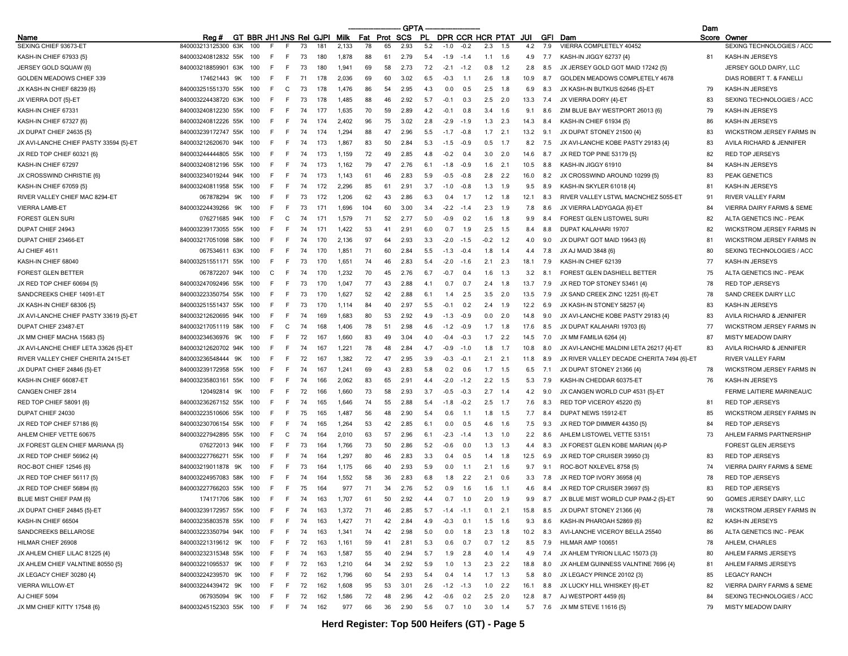|                                        |                         |                              |    |        |    |     |       |     |      | GPTA       |     |              |        |           |                      |         |         |                                            | Dam |                                          |
|----------------------------------------|-------------------------|------------------------------|----|--------|----|-----|-------|-----|------|------------|-----|--------------|--------|-----------|----------------------|---------|---------|--------------------------------------------|-----|------------------------------------------|
| Name<br>SEXING CHIEF 93673-ET          | Rea #                   | GT BBR JH1 JNS Rel GJPI Milk |    |        |    |     |       | Fat | Prot | <b>SCS</b> | PL  |              |        |           | DPR CCR HCR PTAT JUI |         | GFI Dam | VIERRA COMPLETELY 40452                    |     | Score Owner<br>SEXING TECHNOLOGIES / ACC |
|                                        | 840003213125300<br>63K  | 100                          |    |        | 73 |     | 2,133 | 78  | 65   | 2.93       | 5.2 | $-1.0$       | $-0.2$ | 2.3       | 1.5                  | 4.2     | 7.9     |                                            |     |                                          |
| KASH-IN CHIEF 67933 {5}                | 840003240812832 55K     | 100                          | F  | F      | 73 | 180 | 1.878 | 88  | 61   | 2.79       | 5.4 | $-1.9$       | $-1.4$ | 1.1       | 1.6                  | 4.9     | 7.7     | KASH-IN JIGGY 62737 {4}                    | 81  | <b>KASH-IN JERSEYS</b>                   |
| JERSEY GOLD SQUAW {6}                  | 840003218859901 63K     | 100                          | F  | E      | 73 | 180 | 1.941 | 69  | 58   | 2.73       | 7.2 | $-2.1$       | $-1.2$ | 0.8       | 1.2                  | 2.8     | 8.5     | JX JERSEY GOLD GOT MAID 17242 {5}          |     | JERSEY GOLD DAIRY, LLC                   |
| GOLDEN MEADOWS CHIEF 339               | 174621443 9K            | 100                          | F  | F.     | 71 | 178 | 2.036 | 69  | 60   | 3.02       | 6.5 | $-0.3$       | 1.1    | 2.6       | 1.8                  | 10.9    | 8.7     | GOLDEN MEADOWS COMPLETELY 4678             |     | DIAS ROBERT T. & FANELLI                 |
| JX KASH-IN CHIEF 68239 (6)             | 840003251551370<br>55K  | -100                         | F  | C      | 73 | 178 | 1.476 | 86  | 54   | 2.95       | 4.3 | 0.0          | 0.5    | 2.5       | 1.8                  | 6.9     | 8.3     | JX KASH-IN BUTKUS 62646 (5)-ET             | 79  | KASH-IN JERSEYS                          |
| JX VIERRA DOT {5}-ET                   | 840003224438720 63K     | -100                         | F. | F      | 73 | 178 | 1,485 | 88  | 46   | 2.92       | 5.7 | $-0.1$       | 0.3    | 2.5       | - 2.0                | 13.3    | 7.4     | JX VIERRA DORY {4}-ET                      | 83  | SEXING TECHNOLOGIES / ACC                |
| KASH-IN CHIEF 67331                    | 840003240812230 55K     | 100                          | F  | F.     | 74 | 177 | 1,635 | 70  | 59   | 2.89       | 4.2 | $-0.1$       | 0.8    | 3.4       | 1.6                  | 9.1     | 8.6     | ZIM BLUE BAY WESTPORT 26013 {6}            | 79  | KASH-IN JERSEYS                          |
| KASH-IN CHIEF 67327 {6}                | 840003240812226 55K     | -100                         | F  | E      | 74 | 174 | 2,402 | 96  | 75   | 3.02       | 2.8 | $-2.9$       | $-1.9$ | 1.3       | 2.3                  | 14.3    | 8.4     | KASH-IN CHIEF 61934 (5)                    | 86  | <b>KASH-IN JERSEYS</b>                   |
| JX DUPAT CHIEF 24635 {5}               | 840003239172747 55K     | -100                         | F  | F      | 74 | 174 | 1.294 | 88  | 47   | 2.96       | 5.5 | $-1.7$       | $-0.8$ | 1.7       | 2.1                  | 13.2    | 9.1     | JX DUPAT STONEY 21500 {4}                  | 83  | WICKSTROM JERSEY FARMS IN                |
| JX AVI-LANCHE CHIEF PASTY 33594 {5}-ET | 840003212620670 94K     | 100                          | F. | F      | 74 | 173 | 1,867 | 83  | 50   | 2.84       | 5.3 | $-1.5$       | $-0.9$ | 0.5       | 1.7                  | 8.2     | 7.5     | JX AVI-LANCHE KOBE PASTY 29183 {4}         | 83  | AVILA RICHARD & JENNIFER                 |
| JX RED TOP CHIEF 60321 {6}             | 840003244444805 55K     | 100                          | F  | E      | 74 | 173 | 1,159 | 72  | 49   | 2.85       | 48  | -0.2         | 0.4    | 3.0       | 2.0                  | 14.6    | 8.7     | JX RED TOP PINE 53179 (5)                  | 82  | <b>RED TOP JERSEYS</b>                   |
| KASH-IN CHIEF 67297                    | 840003240812196 55K     | 100                          | F  | F      | 74 | 173 | 1,162 | 79  | 47   | 2.76       | 6.1 | $-1.8$       | $-0.9$ | 1.6       | 2.1                  | 10.5    | 8.8     | KASH-IN JIGGY 61910                        | 84  | KASH-IN JERSEYS                          |
| JX CROSSWIND CHRISTIE {6}              | 840003234019244 94K     | 100                          | E  | F      | 74 | 173 | 1,143 | 61  | 46   | 2.83       | 5.9 | $-0.5$       | -0.8   | 2.8       | - 2.2                | 16.0    | 8.2     | JX CROSSWIND AROUND 10299 {5}              | 83  | PEAK GENETICS                            |
| KASH-IN CHIEF 67059 {5}                | 840003240811958 55K     | -100                         | F  | E      | 74 | 172 | 2.296 | 85  | 61   | 2.91       | 3.7 | $-1.0$       | $-0.8$ | 1.3       | 1.9                  | 9.5     | 8.9     | KASH-IN SKYLER 61018 {4}                   | 81  | KASH-IN JERSEYS                          |
| RIVER VALLEY CHIEF MAC 8294-ET         | 9K<br>067878294         | 100                          | F  | -F     | 73 | 172 | 1,206 | 62  | 43   | 2.86       | 6.3 | 0.4          | 1.7    | 1.2       | 1.8                  | 12.1    | 8.3     | RIVER VALLEY LSTWL MACNCHEZ 5055-ET        | 91  | RIVER VALLEY FARM                        |
| <b>VIERRA LAMB-ET</b>                  | 840003224439266<br>9K   | 100                          | F  | F.     | 73 |     | 1,696 | 104 | 60   | 3.00       | 3.4 | $-2.2$       | $-1.4$ | 2.3       | 1.9                  | 7.8     | 8.6     | JX VIERRA LADYGAGA {6}-ET                  | 84  | <b>VIERRA DAIRY FARMS &amp; SEME</b>     |
| <b>FOREST GLEN SURI</b>                | 076271685 94K           | 100                          | F  | C      | 74 | 171 | 1.579 | 71  | 52   | 2.77       | 5.0 | -0.9         | 0.2    | 1.6       | 1.8                  | 9.9     | 8.4     | FOREST GLEN LISTOWEL SURI                  | 82  | ALTA GENETICS INC - PEAK                 |
| DUPAT CHIEF 24943                      | 840003239173055 55K     | 100                          | F  | E      | 74 | 171 | 1,422 | 53  | 41   | 2.91       | 60  | 0.7          | 1.9    | 2.5       | 1.5                  | 8.4     | 8.8     | DUPAT KALAHARI 19707                       | 82  | WICKSTROM JERSEY FARMS IN                |
| DUPAT CHIEF 23466-ET                   | 840003217051098 58K     | 100                          | F. | F.     | 74 | 170 | 2,136 | 97  | 64   | 2.93       | 3.3 | $-2.0$       | $-1.5$ | $-0.2$    | 1.2                  | 4.0     | 9.0     | JX DUPAT GOT MAID 19643 {6}                | 81  | WICKSTROM JERSEY FARMS IN                |
| AJ CHIEF 4611                          | 067534611 63K           | -100                         | F  | F      | 74 | 170 | 1,851 | 71  | 60   | 2.84       | 5.5 | $-1.3$       | $-0.4$ | 1.8       | 1.4                  | 4.4     | 7.8     | JX AJ MAID 3848 {6}                        | 80  | SEXING TECHNOLOGIES / ACC                |
| KASH-IN CHIEF 68040                    | 840003251551171 55K     | 100                          | E  | E      | 73 | 170 | 1,651 | 74  | 46   | 2.83       | 5.4 | $-2.0$       | $-1.6$ | 2.1       | 2.3                  | 18.1    | 7.9     | KASH-IN CHIEF 62139                        | 77  | <b>KASH-IN JERSEYS</b>                   |
| <b>FOREST GLEN BETTER</b>              | 067872207 94K           | 100                          | C  | F.     | 74 | 170 | 1,232 | 70  | 45   | 2.76       | 6.7 | $-0.7$       | 0.4    | 1.6       | 1.3                  | 3.2     | 8.1     | FOREST GLEN DASHIELL BETTER                | 75  | ALTA GENETICS INC - PEAK                 |
| JX RED TOP CHIEF 60694 {5}             | 840003247092496 55K     | -100                         | F  | E      | 73 | 170 | 1.047 | 77  | 43   | 2.88       | 4.1 | 0.7          | 0.7    | 2.4       | 1.8                  | 13.7    | 7.9     | JX RED TOP STONEY 53461 {4}                | 78  | <b>RED TOP JERSEYS</b>                   |
| SANDCREEKS CHIEF 14091-ET              | 840003223350754<br>55K  | 100                          | E  | E      | 73 | 170 | 1,627 | 52  | 42   | 2.88       | 61  |              | 2.5    | 3.5       | 2.0                  | 13.5    | 7.9     | JX SAND CREEK ZINC 12251 {6}-ET            | 78  | SAND CREEK DAIRY LLC                     |
| JX KASH-IN CHIEF 68306 {5}             | 840003251551437 55K     | 100                          | F  | E      | 73 | 170 | 1,114 | 84  | 40   | 2.97       | 5.5 | $-0.1$       | 0.2    | 2.4       | 1.9                  | 12.2    | 6.9     | JX KASH-IN STONEY 58257 {4}                | 83  | <b>KASH-IN JERSEYS</b>                   |
| JX AVI-LANCHE CHIEF PASTY 33619 {5}-ET | 840003212620695 94K     | 100                          | F  | E      | 74 | 169 | 1.683 | 80  | 53   | 2.92       | 4.9 | $-1.3$       | $-0.9$ | 0.0       | 2.0                  | 14.8    | 9.0     | JX AVI-LANCHE KOBE PASTY 29183 {4}         | 83  | AVILA RICHARD & JENNIFER                 |
| DUPAT CHIEF 23487-ET                   | 840003217051119<br>58K  |                              | F  | C      | 74 | 168 | 1.406 | 78  | 51   | 2.98       | 4.6 | $-1.2$       | $-0.9$ | 1.7       | 1.8                  | 17.6    | 8.5     | JX DUPAT KALAHARI 19703 (6)                | 77  | <b>WICKSTROM JERSEY FARMS IN</b>         |
| JX MM CHIEF MACHA 15683 {5}            | 840003234636976 9K      | -100                         | F. | F.     | 72 | 167 | 1,660 | 83  | 49   | 3.04       | 4 N | $-0.4$       | $-0.3$ | 1.7       | 2.2                  | 14.5    | 7.0     | JX MM FAMILIA 6264 {4}                     | 87  | <b>MISTY MEADOW DAIRY</b>                |
| JX AVI-LANCHE CHIEF LETA 33626 {5}-ET  | 840003212620702 94K     | 100                          | F  | E      | 74 | 167 | 1.221 | 78  | 48   | 2.84       | 4.7 | $-0.9$       | $-1.0$ | 1.8       | 1.7                  | 10.8    | 8.0     | JX AVI-LANCHE MALDINI LETA 26217 {4}-ET    | 83  | AVILA RICHARD & JENNIFER                 |
| RIVER VALLEY CHIEF CHERITA 2415-ET     | 840003236548444<br>9K   | 100                          |    | F      | 72 | 167 | 1.382 | 72  | 47   | 2.95       | 3.9 | $-0.5$       | $-0.1$ | 2.1       | 2.1                  | 11.8    | 8.9     | JX RIVER VALLEY DECADE CHERITA 7494 {6}-ET |     | <b>RIVER VALLEY FARM</b>                 |
| JX DUPAT CHIEF 24846 {5}-ET            | 840003239172958 55K     | 100                          | F  | E      | 74 | 167 | 1,241 | 69  | 43   | 2.83       | 5.8 | 0.2          | 0.6    | 1.7       | 1.5                  | 6.5     | 7.1     | JX DUPAT STONEY 21366 {4}                  | 78  | WICKSTROM JERSEY FARMS IN                |
| KASH-IN CHIEF 66087-ET                 | 840003235803161 55K     | -100                         | F  | E      | 74 | 166 | 2,062 | 83  | 65   | 2.91       | 44  | $-2.0$       | $-1.2$ | 2.2       | 1.5                  | 5.3     | 7.9     | KASH-IN CHEDDAR 60375-ET                   | 76  | KASH-IN JERSEYS                          |
| CANGEN CHIEF 2814                      | 9K<br>120492814         | 100                          | F  | E      | 72 | 166 | 1.660 | 73  | 58   | 2.93       | 3.7 | $-0.5$       | $-0.3$ | 2.7       | 1.4                  | 4.2     | 9.0     | JX CANGEN WORLD CUP 4531 {5}-ET            |     | FERME LAITIERE MARINEAU/C                |
| RED TOP CHIEF 58091 {6}                | 840003236267152 55K     | 100                          | F  | F      | 74 | 165 | 1,646 | 74  | 55   | 2.88       | 5.4 | $-1.8$       | $-0.2$ | 2.5       | 1.7                  | 7.6     | 8.3     | RED TOP VICEROY 45220 (5)                  | 81  | <b>RED TOP JERSEYS</b>                   |
| DUPAT CHIEF 24030                      | 840003223510606 55K     | 100                          | F  | E      | 75 | 165 | 1,487 | 56  | 48   | 2.90       | 5.4 | 0.6          | 1.1    | 1.8       | 1.5                  | 7.7     | 8.4     | DUPAT NEWS 15912-ET                        | 85  | WICKSTROM JERSEY FARMS IN                |
| JX RED TOP CHIEF 57186 {6}             | 840003230706154<br>55K  | 100                          | F  | E      | 74 | 165 | 1.264 | 53  | 42   | 2.85       | 6.1 | n n          | 0.5    | 4.6       | 1.6                  | 7.5     | 9.3     | JX RED TOP DIMMER 44350 {5}                | 84  | <b>RED TOP JERSEYS</b>                   |
| AHLEM CHIEF VETTE 60675                | 840003227942895 55K     | -100                         | F  | C      | 74 | 164 | 2,010 | 63  | 57   | 2.96       | 6.1 | $-2.3$       | $-1.4$ | 1.3       | 1.0                  | 2.2     | 8.6     | AHLEM LISTOWEL VETTE 53151                 | 73  | AHLEM FARMS PARTNERSHIP                  |
| JX FOREST GLEN CHIEF MARIANA (5)       | 076272013 94K           | 100                          | F  | -F     | 73 | 164 | 1,766 | 73  | 50   | 2.86       | 5.2 | -0.6         | 0.0    | 1.3       | - 1.3                | 4.4     | 8.3     | JX FOREST GLEN KOBE MARIAN {4}-P           |     | FOREST GLEN JERSEYS                      |
| JX RED TOP CHIEF 56962 {4}             | 840003227766271 55K     | 100                          | F  | E      | 74 | 164 | 1.297 | 80  | 46   | 2.83       | 3.3 | 04           | 0.5    | 1.4       | 1.8                  | 12.5    | 6.9     | JX RED TOP CRUISER 39950 {3}               | 83  | <b>RED TOP JERSEYS</b>                   |
| ROC-BOT CHIEF 12546 {6}                | 840003219011878         | 100                          | F  | E      | 73 | 164 | 1.175 | 66  | 40   | 2.93       | 5.9 | 0.0          | 1.1    |           | 1.6                  | 9.7     |         |                                            | 74  | <b>VIERRA DAIRY FARMS &amp; SEME</b>     |
|                                        | 9K                      |                              |    |        |    |     |       |     |      |            |     |              |        | 2.1       |                      |         | 9.1     | ROC-BOT NXLEVEL 8758 {5}                   |     |                                          |
| JX RED TOP CHIEF 56117 (5)             | 840003224957083 58K     | 100                          |    | E<br>F | 74 | 164 | 1,552 | 58  | 36   | 2.83       | 6.8 | 1.8          | 2.2    | 2.1       | 0.6                  | 3.3     | 7.8     | JX RED TOP IVORY 36958 {4}                 | 78  | <b>RED TOP JERSEYS</b>                   |
| JX RED TOP CHIEF 56894 {6}             | 840003227766203 55K     | 100                          |    |        | 75 | 164 | 977   | 71  | 34   | 2.76       | 5.2 | 09           | 1.6    | 1.6       | $-1.1$               | 4.6     | 8.4     | JX RED TOP CRUISER 39697 {5}               | 83  | <b>RED TOP JERSEYS</b>                   |
| BLUE MIST CHIEF PAM {6}                | 174171706 58K 100       |                              | F. | F.     | 74 | 163 | 1.707 | 61  | 50   | 2.92       | 4.4 | 0.7          | 1.0    | 2.0       | 1.9                  | 9.9     | 8.7     | JX BLUE MIST WORLD CUP PAM-2 (5)-ET        | 90  | GOMES JERSEY DAIRY, LLC                  |
| JX DUPAT CHIEF 24845 {5}-ET            | 840003239172957 55K 100 |                              | F. | F.     | 74 | 163 | 1,372 | 71  | 46   | 2.85       | 5.7 | $-1.4 - 1.1$ |        | 0.1       | 2.1                  | 15.8    | 8.5     | JX DUPAT STONEY 21366 {4}                  | 78  | WICKSTROM JERSEY FARMS IN                |
| KASH-IN CHIEF 66504                    | 840003235803578 55K     | 100                          | F  | F      | 74 | 163 | 1,427 | 71  | 42   | 2.84       | 4.9 | $-0.3$       | 0.1    | 1.5       | 1.6                  | 9.3     | 8.6     | KASH-IN PHAROAH 52869 {6}                  | 82  | KASH-IN JERSEYS                          |
| SANDCREEKS BELLAROSE                   | 840003223350794 94K     | 100                          | F  | F      | 74 | 163 | 1,341 | 74  | 42   | 2.98       | 5.0 | 0.0          | 1.8    | 2.3       | 1.8                  | 10.2    | 8.3     | AVI-LANCHE VICEROY BELLA 25540             | 86  | ALTA GENETICS INC - PEAK                 |
| HILMAR CHIEF 26908                     | 840003221319612 9K      | 100                          | F. | F.     | 72 | 163 | 1,161 | 59  | 41   | 2.81       | 5.3 | 0.6          | 0.7    | $0.7$ 1.2 |                      | 8.5     | 7.9     | HILMAR AMP 100651                          | 78  | AHLEM, CHARLES                           |
| JX AHLEM CHIEF LILAC 81225 {4}         | 840003232315348 55K     | 100                          | F  | F      | 74 | 163 | 1,587 | 55  | 40   | 2.94       | 5.7 | 1.9          | 2.8    | 4.0       | 1.4                  | 4.9     | 7.4     | JX AHLEM TYRION LILAC 15073 {3}            | 80  | AHLEM FARMS JERSEYS                      |
| JX AHLEM CHIEF VALNTINE 80550 {5}      | 840003221095537<br>9K   | 100                          | F. | F.     | 72 | 163 | 1,210 | 64  | 34   | 2.92       | 5.9 | 1.0          | 1.3    | 2.3       | 2.2                  | 18.8    | 8.0     | JX AHLEM GUINNESS VALNTINE 7696 {4}        | 81  | AHLEM FARMS JERSEYS                      |
| JX LEGACY CHIEF 30280 {4}              | 840003224239570 9K      | 100                          | F  | F.     | 72 | 162 | 1,796 | 60  | 54   | 2.93       | 5.4 | 0.4          | 1.4    | $1.7$ 1.3 |                      | 5.8     | 8.0     | JX LEGACY PRINCE 20102 {3}                 | 85  | <b>LEGACY RANCH</b>                      |
| VIERRA WILLOW-ET                       | 840003224439472 9K      | 100                          | F  | F.     | 72 | 162 | 1,608 | 95  | 53   | 3.01       | 2.6 | $-1.2$       | $-1.3$ | 1.0       | 2.2                  | 16.1    | 8.8     | JX LUCKY HILL WHISKEY {6}-ET               | 82  | VIERRA DAIRY FARMS & SEME                |
| AJ CHIEF 5094                          | 067935094 9K            | 100                          | F. | F.     | 72 | 162 | 1,586 | 72  | 48   | 2.96       | 4.2 | $-0.6$       | 0.2    | 2.5       | 2.0                  | 12.8    | 8.7     | AJ WESTPORT 4459 {6}                       | 84  | SEXING TECHNOLOGIES / ACC                |
| JX MM CHIEF KITTY 17548 {6}            | 840003245152303 55K 100 |                              | F. | F.     | 74 | 162 | 977   | 66  | 36   | 2.90       | 5.6 | 0.7          | 1.0    | $3.0$ 1.4 |                      | 5.7 7.6 |         | JX MM STEVE 11616 {5}                      | 79  | MISTY MEADOW DAIRY                       |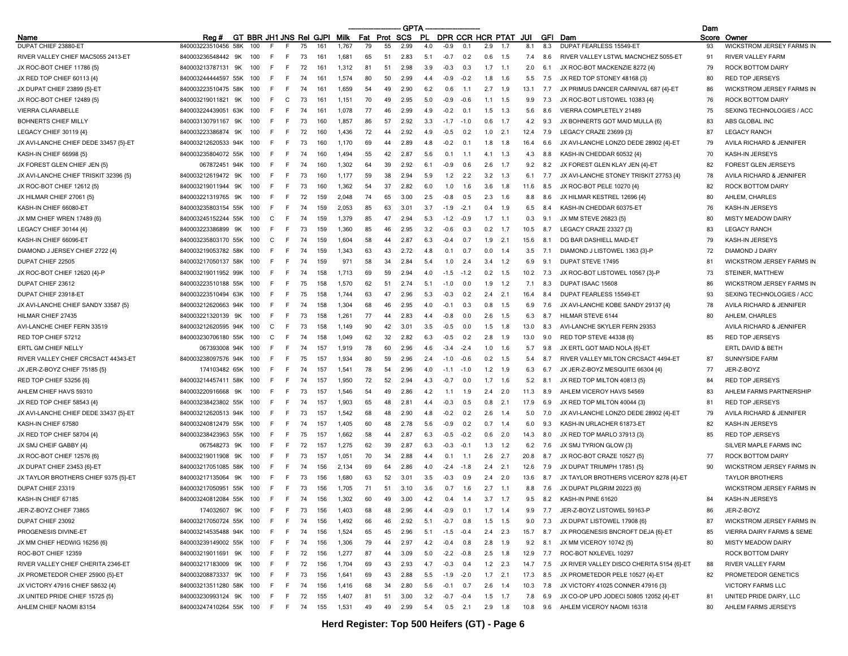|                                       |                         |            |                              |    |     |       |     |      | <b>GPTA</b>      |      |                      |           |           |       |      |     |                                           | Dam   |                                  |
|---------------------------------------|-------------------------|------------|------------------------------|----|-----|-------|-----|------|------------------|------|----------------------|-----------|-----------|-------|------|-----|-------------------------------------------|-------|----------------------------------|
| Name                                  | Rea#                    |            | GT BBR JH1 JNS Rei GJPI Milk |    |     |       | Fat | Prot | SCS              | .PL  | DPR CCR HCR PTAT JUI |           |           |       |      |     | <b>GFI</b> Dam                            | Score | Owner                            |
| DUPAT CHIEF 23880-ET                  | 840003223510456         | 58K<br>100 |                              | 75 | 161 | 1.767 | 79  | 55   | 2.99             | 4.0  | $-0.9$               | 0.1       | 2.9       |       | 8.1  | 8.3 | <b>DUPAT FEARLESS 15549-ET</b>            | 93    | <b>WICKSTROM JERSEY FARMS IN</b> |
| RIVER VALLEY CHIEF MAC5055 2413-ET    | 840003236548442         | 9K<br>100  |                              | 73 | 161 | 1,681 | 65  | 51   | 2.83             | -5.1 | $-0.7$               | 0.2       | 0.6       | 1.5   | 7.4  | 8.6 | RIVER VALLEY LSTWL MACNCHEZ 5055-ET       | 91    | <b>RIVER VALLEY FARM</b>         |
| JX ROC-BOT CHIEF 11786 {5}            | 840003213787131 9K      | 100        | F<br>E                       | 72 | 161 | 1,312 | 81  | 51   | 2.98             | 3.9  | $-0.3$               | 0.3       | 1.7       | 1.1   | 2.0  | 6.1 | JX ROC-BOT MACKENZIE 8272 {4}             | 79    | <b>ROCK BOTTOM DAIRY</b>         |
| JX RED TOP CHIEF 60113 {4}            | 840003244444597 55K     | 100        | E<br>E                       | 74 | 161 | 1.574 | 80  | 50   | 2.99             | 4.4  | $-0.9$               | $-0.2$    | 1.8       | 1.6   | 5.5  | 7.5 | JX RED TOP STONEY 48168 (3)               | 80    | <b>RED TOP JERSEYS</b>           |
| JX DUPAT CHIEF 23899 {5}-ET           | 840003223510475 58K     | 100        | F<br>F                       | 74 | 161 | 1,659 | 54  | 49   | 2.90             | 6.2  | 0.6                  | $-1.1$    | 2.7       | 1.9   | 13.1 | 7.7 | JX PRIMUS DANCER CARNIVAL 687 {4}-ET      | 86    | WICKSTROM JERSEY FARMS IN        |
| JX ROC-BOT CHIEF 12489 (5)            | 840003219011821 9K      | 100        | F<br>C                       | 73 | 161 | 1,151 | 70  | 49   | 2.95             | 5.0  | $-0.9$               | -0.6      | 1.1       | 1.5   | 9.9  | 7.3 | JX ROC-BOT LISTOWEL 10383 {4}             | 76    | ROCK BOTTOM DAIRY                |
| VIERRA CLARABELLE                     | 840003224439051         | 63K<br>100 | E<br>F                       | 74 | 161 | 1.078 | 77  | 46   | 2.99             | 4.9  | $-0.2$               | 0.1       | 1.5       | 1.3   | 5.6  | 8.6 | VIERRA COMPLETELY 21489                   | 75    | SEXING TECHNOLOGIES / ACC        |
| <b>BOHNERTS CHIEF MILLY</b>           | 840003130791167         | 9K<br>100  | E                            | 73 | 160 | 1.857 | 86  | 57   | 2.92             | 3.3  | $-17$                | $-10$     | 0.6       | 1.7   | 4.2  | 9.3 | JX BOHNERTS GOT MAID MULLA {6}            | 83    | ABS GLOBAL INC                   |
| LEGACY CHIEF 30119 {4}                | 840003223386874         | 9K<br>100  | F<br>F                       | 72 | 160 | 1,436 | 72  | 44   | 2.92             | 4.9  | $-0.5$               | 0.2       | 1.0       | 2.1   | 12.4 | 7.9 | LEGACY CRAZE 23699 {3}                    | 87    | <b>LEGACY RANCH</b>              |
| JX AVI-LANCHE CHIEF DEDE 33457 {5}-ET | 840003212620533 94K     | 100        | E<br>-F                      | 73 | 160 | 1,170 | 69  | 44   | 2.89             | 4.8  | $-0.2$               | 0.1       | 1.8       | 1.8   | 16.4 | 6.6 | JX AVI-LANCHE LONZO DEDE 28902 {4}-ET     | 79    | AVILA RICHARD & JENNIFER         |
| KASH-IN CHIEF 66998 {5}               | 840003235804072 55K     | 100        | F<br>E                       | 74 | 160 | 1,494 | 55  | 42   | -2.87            | 5.6  | 0.1                  | $-1.1$    | 4.1       | 1.3   | 4.3  | 8.8 | KASH-IN CHEDDAR 60532 {4}                 | 70    | KASH-IN JERSEYS                  |
| JX FOREST GLEN CHIEF JEN {5}          | 067872451 94K           | 100        | F<br>F                       | 74 | 160 | 1,302 | 64  | 39   | 2.92             | 6.1  | $-0.9$               | 0.6       | 2.6       | 1.7   | 9.2  | 8.2 | JX FOREST GLEN KLAY JEN {4}-ET            | 82    | <b>FOREST GLEN JERSEYS</b>       |
| JX AVI-LANCHE CHIEF TRISKIT 32396 {5} | 840003212619472         | 9K<br>100  | -F<br>F                      | 73 | 160 | 1,177 | 59  | 38   | 2.94             | 5.9  | 1.2                  | 2.2       | 3.2       | - 1.3 | 6.1  | 7.7 | JX AVI-LANCHE STONEY TRISKIT 27753 {4}    | 78    | AVILA RICHARD & JENNIFER         |
| JX ROC-BOT CHIEF 12612 {5}            | 840003219011944         | 9K<br>100  | F.                           | 73 | 160 | 1,362 | 54  | 37   | 2.82             | 6.0  | 1.0                  | -1.6      | 3.6       | 1.8   | 11.6 | 8.5 | JX ROC-BOT PELE 10270 {4}                 | 82    | ROCK BOTTOM DAIRY                |
| JX HILMAR CHIEF 27061 {5}             | 840003221319765         | 9K<br>100  | E<br>E                       | 72 | 159 | 2.048 | 74  | 65   | 3.00             | 2.5  | $-0.8$               | 0.5       | 2.3       | 1.6   | 8.8  | 8.6 | JX HILMAR KESTREL 12696 {4}               | 80    | AHLEM, CHARLES                   |
| KASH-IN CHIEF 66080-ET                | 840003235803154 55K     | 100        | F<br>F                       | 74 | 159 | 2,053 | 85  | 63   | 3.01             | 3.7  | $-1.9$               | $-2.7$    | 0.4       | 1.9   | 6.5  | 8.4 | KASH-IN CHEDDAR 60375-ET                  | 76    | <b>KASH-IN JERSEYS</b>           |
| JX MM CHIEF WREN 17489 {6}            | 840003245152244 55K     | 100        | C<br>E                       | 74 | 159 | 1,379 | 85  | 47   | -2.94            | 5.3  | $-1.2$               | $-0.9$    | 1.7       | 1.1   | 0.3  | 9.1 | JX MM STEVE 26823 {5}                     | 80    | <b>MISTY MEADOW DAIRY</b>        |
| LEGACY CHIEF 30144 {4}                | 840003223386899         | 9K<br>100  | -F<br>E                      | 73 | 159 | 1,360 | 85  | 46   | 2.95             | 3.2  | -0.6                 | 0.3       | 0.2       | 1.7   | 10.5 | 8.7 | LEGACY CRAZE 23327 {3}                    | 83    | <b>LEGACY RANCH</b>              |
| KASH-IN CHIEF 66096-ET                | 840003235803170 55K     | 100        | C<br>F.                      | 74 | 159 | 1.604 | 58  | 44   | 2.87             | 6.3  | $-0.4$               | 0.7       | 1.9       | 2.1   | 15.6 | 8.1 | DG BAR DASHIELL MAID-ET                   | 79    | <b>KASH-IN JERSEYS</b>           |
| DIAMOND J JERSEY CHIEF 2722 {4}       | 840003219053782 58K     | 100        |                              | 74 | 159 | 1.343 | 63  | 43   | 2.72             | 4.8  | 0.1                  | 0.7       | 0.0       | 1.4   | 3.5  | 7.1 | DIAMOND J LISTOWEL 1363 {3}-P             | 72    | DIAMOND J DAIRY                  |
| DUPAT CHIEF 22505                     | 840003217050137 58K     | 100        | -F<br>E                      | 74 | 159 | 971   | 58  | 34   | 284              | 5.4  | 1.0                  | 2.4       | 3.4       | 1.2   | 6.9  | 9.1 | DUPAT STEVE 17495                         | 81    | WICKSTROM JERSEY FARMS IN        |
| JX ROC-BOT CHIEF 12620 {4}-P          | 840003219011952 99K     | 100        | E<br>F.                      | 74 | 158 | 1.713 | 69  | 59   | 2.94             | 4.0  | $-1.5$               | $-1.2$    | 0.2       | 1.5   | 10.2 | 7.3 | JX ROC-BOT LISTOWEL 10567 {3}-P           | 73    | STEINER, MATTHEW                 |
| DUPAT CHIEF 23612                     | 840003223510188 55K     | 100        | -F<br>F                      | 75 | 158 | 1.570 | 62  | 51   | 2.74             | 5.1  | $-1.0$               | 0.0       | 1.9       | 1.2   | 7.1  | 8.3 | DUPAT ISAAC 15608                         | 86    | <b>WICKSTROM JERSEY FARMS IN</b> |
| DUPAT CHIEF 23918-ET                  | 840003223510494 63K     | 100        | E                            | 75 | 158 | 1.744 | 63  | 47   | 2.96             | 5.3  | $-0.3$               | 0.2       | 2.4       | 2.1   | 16.4 | 8.4 | <b>DUPAT FEARLESS 15549-ET</b>            | 93    | SEXING TECHNOLOGIES / ACC        |
| JX AVI-LANCHE CHIEF SANDY 33587 {5}   | 840003212620663 94K     | 100        | F<br>E                       | 74 | 158 | 1,304 | 68  | 46   | 2.95             | 4.0  | $-0.1$               | 0.3       | 0.8       | 1.5   | 6.9  | 7.6 | JX AVI-LANCHE KOBE SANDY 29137 {4}        | 78    | AVILA RICHARD & JENNIFER         |
| HILMAR CHIEF 27435                    | 840003221320139         | 9K<br>100  | E<br>F                       | 73 | 158 | 1,261 | 77  | 44   | 2.83             | 4.4  | $-0.8$               | 0.0       | 2.6       | 1.5   | 6.3  | 8.7 | HILMAR STEVE 6144                         | 80    | AHLEM, CHARLES                   |
| AVI-LANCHE CHIEF FERN 33519           | 840003212620595 94K     | 100        | C                            | 73 | 158 | 1.149 | 90  | 42   | 3.0 <sup>-</sup> | 3.5  | $-0.5$               | 0.0       | 1.5       | 1.8   | 13.0 | 8.3 | AVI-LANCHE SKYLER FERN 29353              |       | AVILA RICHARD & JENNIFER         |
| RED TOP CHIEF 57212                   | 840003230706180 55K     | 100        | E<br>C                       | 74 | 158 | 1.049 | 62  | 32   | 2.82             | 6.3  | $-0.5$               | 0.2       | 2.8       | 1.9   | 13.0 | 9.0 | RED TOP STEVE 44338 {6}                   | 85    | <b>RED TOP JERSEYS</b>           |
| ERTL GM CHIEF NELLY                   | 067393008 94K           | 100        | E<br>F.                      | 74 | 157 | 1.919 | 78  | 60   | 2.96             | 4.6  | $-3.4$               | $-2.4$    | 1.0       | 1.6   | 5.7  | 9.8 | JX ERTL GOT MAID NOLA {6}-ET              |       | ERTL DAVID & BETH                |
| RIVER VALLEY CHIEF CRCSACT 44343-ET   | 840003238097576 94K     | 100        | F                            | 75 | 157 | 1.934 | 80  | 59   | 2.96             | 2.4  | $-1.0$               | $-0.6$    | 0.2       | 1.5   | 5.4  | 8.7 | RIVER VALLEY MILTON CRCSACT 4494-ET       | 87    | <b>SUNNYSIDE FARM</b>            |
| JX JER-Z-BOYZ CHIEF 75185 {5}         | 174103482 65K           | 100        | F<br>E                       | 74 | 157 | 1,541 | 78  | 54   | 2.96             | 4.0  | $-1.1$               | $-10$     | 1.2       | 1.9   | 6.3  | 6.7 | JX JER-Z-BOYZ MESQUITE 66304 {4}          | 77    | JER-Z-BOYZ                       |
| RED TOP CHIEF 53256 {6}               | 840003214457411 58K     | 100        | F<br>E                       | 74 | 157 | 1,950 | 72  | 52   | 2.94             | 4.3  | $-0.7$               | 0.0       | 1.7       | 1.6   |      | 8.1 | JX RED TOP MILTON 40813 {5}               | 84    | <b>RED TOP JERSEYS</b>           |
|                                       |                         |            | E                            | 73 |     |       | 54  |      |                  |      |                      |           |           |       | 5.2  |     | AHLEM VICEROY HAVS 54569                  |       | AHLEM FARMS PARTNERSHIP          |
| AHLEM CHIEF HAVS 59310                | 840003220916668         | 9K<br>100  | F                            |    | 157 | 1.546 |     | 49   | 2.86             | 4.2  | 1.1                  | 1.9       | 2.4       | 2.0   | 11.3 | 8.9 |                                           | 83    |                                  |
| JX RED TOP CHIEF 58543 {4}            | 840003238423802 55K     | 100        | F                            | 74 | 157 | 1.903 | 65  | 48   | 2.81             | 4.4  | $-0.3$               | 0.5       | 0.8       | 2.1   | 17.9 | 6.9 | JX RED TOP MILTON 40044 {3}               | 81    | <b>RED TOP JERSEYS</b>           |
| JX AVI-LANCHE CHIEF DEDE 33437 {5}-ET | 840003212620513 94K     | 100        | E<br>E                       | 73 | 157 | 1,542 | 68  | 48   | 2.90             | 4.8  | $-0.2$               | 0.2       | 2.6       | 1.4   | 5.0  | 7.0 | JX AVI-LANCHE LONZO DEDE 28902 {4}-ET     | 79    | AVILA RICHARD & JENNIFER         |
| KASH-IN CHIEF 67580                   | 840003240812479 55K     | 100        | F<br>E                       | 74 | 157 | 1,405 | 60  | 48   | 2.78             | 5.6  | $-0.9$               | 0.2       | 0.7       | 1.4   | 6.0  | 9.3 | KASH-IN URLACHER 61873-ET                 | 82    | KASH-IN JERSEYS                  |
| JX RED TOP CHIEF 58704 {4}            | 840003238423963 55K     | 100        | F<br>F                       | 75 | 157 | 1,662 | 58  | 44   | 2.87             | 6.3  | $-0.5$               | $-0.2$    | 0.6       | 2.0   | 14.3 | 8.0 | JX RED TOP MARLO 37913 {3}                | 85    | <b>RED TOP JERSEYS</b>           |
| JX SMJ CHEIF GABBY {4]                | 067548273               | 9K<br>100  | E<br>-F                      | 72 | 157 | 1,275 | 62  | 39   | 2.87             | 6.3  | $-0.3$               | $-0.1$    | 1.3       | 1.2   | 6.2  | 7.6 | JX SMJ TYRION GLOW {3}                    |       | SILVER MAPLE FARMS INC           |
| JX ROC-BOT CHIEF 12576 {6}            | 840003219011908         | 9K<br>100  | E<br>E                       | 73 | 157 | 1.051 | 70  | 34   | 2.88             | 44   | 0.1                  | 1.1       | 2.6       | 2.7   | 20.8 | 8.7 | JX ROC-BOT CRAZE 10527 {5}                | 77    | <b>ROCK BOTTOM DAIRY</b>         |
| JX DUPAT CHIEF 23453 {6}-ET           | 840003217051085 58K     | 100        | -F<br>E                      | 74 | 156 | 2,134 | 69  | 64   | 2.86             | 4.0  | $-2.4$               | $-1.8$    | 2.4       | 2.1   | 12.6 | 7.9 | JX DUPAT TRIUMPH 17851 {5}                | 90    | <b>WICKSTROM JERSEY FARMS IN</b> |
| JX TAYLOR BROTHERS CHIEF 9375 {5}-ET  | 840003217135064         | 9K<br>100  |                              | 73 | 156 | 1,680 | 63  | 52   | $3.0^{\circ}$    | 3.5  | $-0.3$               | 0.9       | 2.4       | 2.0   | 13.6 | 8.7 | JX TAYLOR BROTHERS VICEROY 8278 {4}-ET    |       | TAYLOR BROTHERS                  |
| DUPAT CHIEF 23319                     | 840003217050951 55K     | 100        |                              | 73 | 156 | 1,705 | 71  | 51   | 3.10             | 3.6  | 0 7                  | 1.6       | 2.7       | 1.1   | 8.8  | 7.6 | JX DUPAT PILGRIM 20223 {6}                |       | WICKSTROM JERSEY FARMS IN        |
| KASH-IN CHIEF 67185                   | 840003240812084 55K     | 100        | F.<br>E                      | 74 | 156 | 1,302 | 60  | 49   | 3.00             | 4.2  | 0.4                  | 1.4       | 3.7       | 1.7   | 9.5  | 8.2 | KASH-IN PINE 61620                        | 84    | KASH-IN JERSEYS                  |
| JER-Z-BOYZ CHIEF 73865                | 174032607 9K 100        |            | - F<br>$-F$                  | 73 | 156 | 1,403 | 68  | 48   | 2.96             | 4.4  | $-0.9$               | 0.1       | $1.7$ 1.4 |       | 9.9  | 7.7 | JER-Z-BOYZ LISTOWEL 59163-P               | 86    | JER-Z-BOYZ                       |
| DUPAT CHIEF 23092                     | 840003217050724 55K 100 |            | F.                           | 74 | 156 | 1,492 | 66  | 46   | 2.92             | 5.1  | $-0.7$               | 0.8       | 1.5       | 1.5   | 9.0  | 7.3 | JX DUPAT LISTOWEL 17908 {6}               | 87    | WICKSTROM JERSEY FARMS IN        |
| PROGENESIS DIVINE-ET                  | 840003214535488 94K     | 100        | F.<br>F                      | 74 | 156 | 1,524 | 65  | 45   | 2.96             | 5.1  | $-1.5$               | $-0.4$    | 2.4       | 2.3   | 15.7 | 8.7 | JX PROGENESIS BNCROFT DEJA {6}-ET         | 85    | VIERRA DAIRY FARMS & SEME        |
| JX MM CHIEF HEDWIG 16256 {6}          | 840003239149002 55K 100 |            | F.<br>-F                     | 74 | 156 | 1,306 | 79  | 44   | 2.97             | 4.2  | $-0.4$               | 0.8       | $2.8$ 1.9 |       | 9.2  | 8.1 | JX MM VICEROY 10742 {5}                   | 80    | <b>MISTY MEADOW DAIRY</b>        |
| ROC-BOT CHIEF 12359                   | 840003219011691 9K      | 100        | F.<br>F                      | 72 | 156 | 1,277 | 87  | 44   | 3.09             | 5.0  | $-2.2$               | $-0.8$    | 2.5       | 1.8   | 12.9 | 7.7 | ROC-BOT NXLEVEL 10297                     |       | ROCK BOTTOM DAIRY                |
| RIVER VALLEY CHIEF CHERITA 2346-ET    | 840003217183009 9K      | 100        | F<br>F                       | 72 | 156 | 1,704 | 69  | 43   | 2.93             | 4.7  | $-0.3$               | 0.4       | $1.2$ 2.3 |       | 14.7 | 7.5 | JX RIVER VALLEY DISCO CHERITA 5154 {6}-ET | 88    | RIVER VALLEY FARM                |
| JX PROMETEDOR CHIEF 25900 {5}-ET      | 840003208873337 9K      | 100        | F<br>F                       | 73 | 156 | 1,641 | 69  | 43   | 2.88             | 5.5  | $-1.9$               | $-2.0$    | $1.7$ 2.1 |       | 17.3 | 8.5 | JX PROMETEDOR PELE 10527 {4}-ET           | 82    | PROMETEDOR GENETICS              |
| JX VICTORY 47916 CHIEF 58632 {4}      | 840003213511280 58K 100 |            | F<br>F.                      | 74 | 156 | 1,416 | 68  | 34   | 2.80             | 5.6  | $-0.1$               | 0.7       | 2.6       | 1.4   | 10.3 | 7.8 | JX VICTORY 41025 CONNER 47916 {3}         |       | VICTORY FARMS LLC                |
| JX UNITED PRIDE CHIEF 15725 {5}       | 840003230993124 9K      | 100        | F.<br>F.                     | 72 | 155 | 1,407 | 81  | 51   | 3.00             | 3.2  | $-0.7$               | $-0.4$    | 1.5       | 1.7   | 7.8  | 6.9 | JX CO-OP UPD JODECI 50805 12052 {4}-ET    | 81    | UNITED PRIDE DAIRY, LLC          |
| AHLEM CHIEF NAOMI 83154               | 840003247410264 55K 100 |            | - F<br>F.                    | 74 | 155 | 1,531 | 49  | 49   | 2.99             | 5.4  |                      | $0.5$ 2.1 | $2.9$ 1.8 |       | 10.8 | 9.6 | AHLEM VICEROY NAOMI 16318                 | 80    | AHLEM FARMS JERSEYS              |
|                                       |                         |            |                              |    |     |       |     |      |                  |      |                      |           |           |       |      |     |                                           |       |                                  |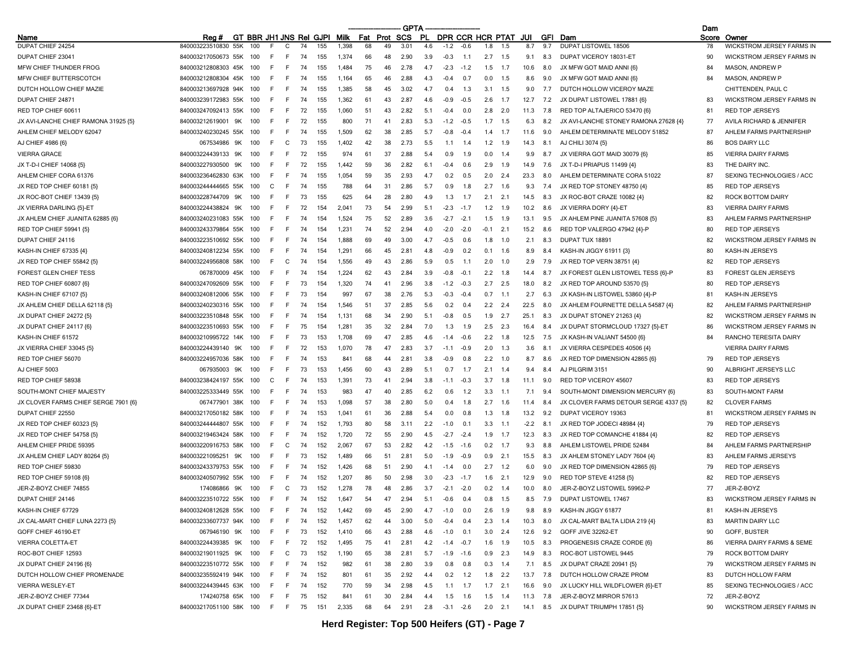|                                                       |                                        |                              |     |              |    |     |                |          |    | GPTA          |     |                |        |           |                      |        |            |                                       | Dam   |                                  |
|-------------------------------------------------------|----------------------------------------|------------------------------|-----|--------------|----|-----|----------------|----------|----|---------------|-----|----------------|--------|-----------|----------------------|--------|------------|---------------------------------------|-------|----------------------------------|
| Name                                                  | Rea#                                   | GT BBR JH1 JNS Rei GJPI Milk |     |              |    |     |                | Fat Prot |    | <b>SCS</b>    | .PL |                |        |           | DPR CCR HCR PTAT JUI |        |            | <b>GFI</b> Dam                        | Score | Owner                            |
| DUPAT CHIEF 24254                                     | 840003223510830<br>55K                 |                              |     | C            |    | 155 | 1.398          | 68       | 49 | 3.01          | 4.6 | $-1.2$         | $-0.6$ | 1.8       | 1.5                  | 8.7    | 9.7        | <b>DUPAT LISTOWEL 18506</b>           | 78    | <b>WICKSTROM JERSEY FARMS IN</b> |
| DUPAT CHIEF 23041                                     | 840003217050673 55K                    | 100                          |     | F            | 74 | 155 | 1,374          | 66       | 48 | 2.90          | 3.9 | $-0.3$         | 1.1    | 2.7       | 1.5                  | 9.1    | 8.3        | DUPAT VICEROY 18031-ET                | 90    | WICKSTROM JERSEY FARMS IN        |
| MFW CHIEF THUNDER FROG                                | 840003212808303 45K                    | 100                          | F   | F            | 74 | 155 | 1.484          | 75       | 46 | 2.78          | 47  | $-2.3$         | $-1.2$ | 1.5       | 1.7                  | 10.6   | 8.0        | JX MFW GOT MAID ANNI {6}              | 84    | MASON, ANDREW P                  |
| MFW CHIEF BUTTERSCOTCH                                | 840003212808304 45K                    | 100                          | F   | E            | 74 | 155 | 1.164          | 65       | 46 | 2.88          | 4.3 | $-0.4$         | 0.7    | 0.0       | 1.5                  | 8.6    | 9.0        | JX MFW GOT MAID ANNI {6}              | 84    | MASON, ANDREW P                  |
| DUTCH HOLLOW CHIEF MAZIE                              | 840003213697928 94K                    | 100                          |     | F            | 74 | 155 | 1,385          | 58       | 45 | 3.02          | 4.7 | $\Omega$ .     | 1.3    | 3.1       | 1.5                  | 9.0    | 7.7        | DUTCH HOLLOW VICEROY MAZE             |       | CHITTENDEN, PAUL C               |
| DUPAT CHIEF 24871                                     | 840003239172983 55K                    | 100                          | E   | F            | 74 | 155 | 1,362          | 61       | 43 | 2.87          | 4.6 | $-0.9$         | $-0.5$ | 2.6       | 1.7                  | 12.7   | 7.2        | JX DUPAT LISTOWEL 17881 {6}           | 83    | <b>WICKSTROM JERSEY FARMS IN</b> |
| RED TOP CHIEF 6061                                    | 840003247092413 55K                    | 100                          | F   | F.           | 72 | 155 | 1,060          | 51       | 43 | 2.82          | 5.1 | $-0.4$         | 0.0    | 2.8       | 2.0                  | 11.3   | 7.8        | RED TOP ALTAJERICO 53470 {6}          | 81    | RED TOP JERSEYS                  |
| JX AVI-LANCHE CHIEF RAMONA 31925 {5}                  | 840003212619001<br>9K                  | 100                          | F   | E            | 72 | 155 | 800            | 71       | 41 | 2.83          | 5.3 | $-12$          | $-0.5$ | 1.7       | 1.5                  | 6.3    | 8.2        | JX AVI-LANCHE STONEY RAMONA 27628 {4} | 77    | AVILA RICHARD & JENNIFER         |
| AHLEM CHIEF MELODY 62047                              | 840003240230245 55K                    | 100                          | F   | F            | 74 | 155 | 1.509          | 62       | 38 | 2.85          | 5.7 | $-0.8$         | $-0.4$ | 1.4       | 1.7                  | 11.6   | 9.0        | AHLEM DETERMINATE MELODY 51852        | 87    | AHLEM FARMS PARTNERSHIP          |
| AJ CHIEF 4986 {6}                                     | 067534986<br>9K                        | 100                          | E   | C            | 73 | 155 | 1,402          | 42       | 38 | 2.73          | 5.5 | 11             | 1.4    | 1.2       | 1.9                  | 14.3   | 8.1        | AJ CHILI 3074 {5}                     | 86    | <b>BOS DAIRY LLC</b>             |
| <b>VIERRA GRACE</b>                                   | 840003224439133<br>9K                  | 100                          | F   | E            | 72 | 155 | 974            | 61       | 37 | 2.88          | 5.4 | 0 9            | 1.9    | 0.0       | 1.4                  | 9.9    | 8.7        | JX VIERRA GOT MAID 30079 {6}          | 85    | <b>VIERRA DAIRY FARMS</b>        |
| JX T-D-I CHIEF 14068 {5}                              | 840003227930500<br>9K                  | 100                          | F   | F            | 72 | 155 | 1.442          | 59       | 36 | 2.82          | 6.1 | $-0.4$         | 0.6    | 2.9       | 1.9                  | 14.9   | 7.6        | JX T-D-I PRIAPUS 11499 (4)            | 83    | THE DAIRY INC.                   |
| AHLEM CHIEF CORA 61376                                | 840003236462830 63K                    | 100                          | E   | F            | 74 | 155 | 1,054          | 59       | 35 | 2.93          | 4.7 | 0.2            | 0.5    | 2.0       | 2.4                  | 23.3   | 8.0        | AHLEM DETERMINATE CORA 51022          | 87    | SEXING TECHNOLOGIES / ACC        |
| JX RED TOP CHIEF 60181 {5}                            | 840003244444665 55K                    | 100                          | C   | E            | 74 | 155 | 788            | 64       | 31 | 2.86          | 5.7 | 09             | 1.8    | 2.7       | 1.6                  | 9.3    | 7.4        | JX RED TOP STONEY 48750 {4}           | 85    | RED TOP JERSEYS                  |
| JX ROC-BOT CHIEF 13439 {5}                            | 840003228744709<br>9K                  | 100                          | F   | E            | 73 | 155 | 625            | 64       | 28 | 2.80          | 4.9 | 1.3            | 1.7    | 2.1       | 2.1                  | 14.5   | 8.3        | JX ROC-BOT CRAZE 10082 {4}            | 82    | ROCK BOTTOM DAIRY                |
| JX VIERRA DARLING {5}-ET                              | 840003224438824<br>9K                  | 100                          | E   | F            | 72 | 154 | 2.041          | 73       | 54 | 2.99          | 5.1 | $-2.3$         | $-1.7$ | 1.2       | 1.9                  | 10.2   | 8.6        | JX VIERRA DORY {4}-ET                 | 83    | <b>VIERRA DAIRY FARMS</b>        |
| JX AHLEM CHIEF JUANITA 62885 {6}                      | 840003240231083 55K                    | 100                          | F   | F            | 74 | 154 | 1,524          | 75       | 52 | 2.89          | 3.6 | $-2.7$         | $-2.1$ | 1.5       | 1.9                  | 13.1   | 9.5        | JX AHLEM PINE JUANITA 57608 {5}       | 83    | AHLEM FARMS PARTNERSHIP          |
| RED TOP CHIEF 59941 {5}                               | 840003243379864 55K                    | 100                          | F   | E            | 74 | 154 | 1,231          | 74       | 52 | 2.94          | 4 N | $-2.0$         | $-2.0$ | $-0.1$    | 2.1                  | 15.2   | 8.6        | RED TOP VALERGO 47942 {4}-P           | 80    | RED TOP JERSEYS                  |
| DUPAT CHIEF 24116                                     | 840003223510692 55K                    | 100                          |     | F.           | 74 | 154 | 1.888          | 69       | 49 | 3.00          | 47  | $-0.5$         | 0.6    | 1.8       | 1.0                  | 2.1    | 8.3        | DUPAT TUX 18891                       | 82    | <b>WICKSTROM JERSEY FARMS IN</b> |
| KASH-IN CHIEF 67335 {4}                               | 840003240812234 55K                    | 100                          | F   | F            | 74 | 154 | 1.291          | 66       | 45 | 2.81          | 4.8 | $-0.9$         | 0.2    | 0.1       | 1.6                  | 8.9    | 8.4        | KASH-IN JIGGY 61911 (3)               | 80    | KASH-IN JERSEYS                  |
| JX RED TOP CHIEF 55842 {5}                            | 840003224956808 58K                    | 100                          | F   | C            | 74 | 154 | 1,556          | 49       | 43 | 2.86          | 5.9 | 0.5            | 1.1    | 2.0       | 1.0                  | 2.9    | 7.9        | JX RED TOP VERN 38751 {4}             | 82    | <b>RED TOP JERSEYS</b>           |
| FOREST GLEN CHIEF TESS                                | 067870009 45K                          | 100                          | F   | -F           | 74 | 154 | 1,224          | 62       | 43 | 2.84          | 3.9 | -0.8           | $-0.1$ | 2.2       | 1.8                  | 14.4   | 8.7        | JX FOREST GLEN LISTOWEL TESS {6}-P    | 83    | FOREST GLEN JERSEYS              |
| RED TOP CHIEF 60807 {6}                               | 840003247092609 55K                    | 100                          | F   | F            | 73 | 154 | 1.320          | 74       | 41 | 2.96          | 3.8 | $-1.2$         | $-0.3$ | 2.7       | 2.5                  | 18.0   | 8.2        | JX RED TOP AROUND 53570 {5}           | 80    | <b>RED TOP JERSEYS</b>           |
| KASH-IN CHIEF 67107 {5}                               | 840003240812006 55K                    | 100                          | F   | E            | 73 | 154 | 997            | 67       | 38 | 2.76          | 5.3 | $-0.3$         | $-0.4$ | 0.7       | 1.1                  | 2.7    | 6.3        | JX KASH-IN LISTOWEL 53860 {4}-P       | 81    | KASH-IN JERSEYS                  |
| JX AHLEM CHIEF DELLA 62118 (5)                        | 840003240230316 55K                    | 100                          |     | F.           | 74 | 154 | 1.546          | 51       | 37 | 2.85          | 5.6 | 0 <sup>2</sup> | 0.4    | 2.2       | 2.4                  | 22.5   | 8.0        | JX AHLEM FOURNETTE DELLA 54587 {4}    | 82    | AHLEM FARMS PARTNERSHIP          |
| JX DUPAT CHIEF 24272 (5)                              | 840003223510848 55K                    | 100                          | F   | E            | 74 | 154 | 1.131          | 68       | 34 | 2.90          | 5.1 | $-0.8$         | 0.5    | 1.9       | 2.7                  | 25.1   | 8.3        | JX DUPAT STONEY 21263 {4}             | 82    | WICKSTROM JERSEY FARMS IN        |
| JX DUPAT CHIEF 24117 (6)                              | 840003223510693 55K                    | 100                          |     | F            | 75 | 154 | 1.281          | 35       | 32 | 2.84          | 7.0 |                | 1.9    | 2.5       | 2.3                  | 16.4   | 8.4        | JX DUPAT STORMCLOUD 17327 {5}-ET      | 86    | <b>WICKSTROM JERSEY FARMS IN</b> |
| KASH-IN CHIEF 61572                                   | 840003210995722 14K                    | 100                          | F   | F.           | 73 | 153 | 1,708          | 69       | 47 | 2.85          | 4.6 | $-1.4$         | -0.6   | 2.2       | 1.8                  | 12.5   | 7.5        | JX KASH-IN VALIANT 54500 {6}          | 84    | RANCHO TERESITA DAIRY            |
| JX VIERRA CHIEF 33045 {5}                             | 840003224439140 9K                     | 100                          | F   | E            | 72 | 153 | 1.070          | 78       | 47 | 2.83          | 3.7 | $-1.1$         | $-0.9$ | 2.0       | 1.3                  | 3.6    | 8.1        | JX VIERRA CESPEDES 40506 {4}          |       | <b>VIERRA DAIRY FARMS</b>        |
| RED TOP CHIEF 56070                                   | 840003224957036 58K                    | 100                          |     | F            | 74 | 153 | 841            | 68       | 44 | $2.8^{\circ}$ | 3.8 | -0.9           | 0.8    | 2.2       | 1.0                  | 8.7    | 8.6        | JX RED TOP DIMENSION 42865 {6}        | 79    | <b>RED TOP JERSEYS</b>           |
| AJ CHIEF 5003                                         | 067935003 9K                           | 100                          | F   | F            | 73 | 153 | 1,456          | 60       | 43 | 2.89          | 5.1 | 0.7            | 1.7    | 2.1       | 1.4                  | 9.4    | 8.4        | AJ PILGRIM 3151                       | 90    | ALBRIGHT JERSEYS LLC             |
| RED TOP CHIEF 58938                                   | 840003238424197 55K                    | 100                          | C   | F.           | 74 | 153 | 1,391          | 73       | 41 | 2.94          | 3.8 | $-1.1$         | $-0.3$ | 3.7       | 1.8                  | 11.1   | 9.0        | RED TOP VICEROY 45607                 | 83    | RED TOP JERSEYS                  |
| SOUTH-MONT CHIEF MAJESTY                              | 840003225333449 55K                    | 100                          | F   | E            | 74 | 153 | 983            | 47       | 40 | 2.85          | 6.2 | 0 6            | 1.2    | 3.3       | 1.1                  | 7.1    | 9.4        | SOUTH-MONT DIMENSION MERCURY {6}      | 83    | SOUTH-MONT FARM                  |
| JX CLOVER FARMS CHIEF SERGE 7901 {6}                  | 067477901 38K                          | 100                          | F   | F            | 74 | 153 | 1,098          | 57       | 38 | 2.80          | 5.0 | 0.4            | 1.8    | 2.7       | 1.6                  | 11.4   | 8.4        | JX CLOVER FARMS DETOUR SERGE 4337 (5) | 82    | <b>CLOVER FARMS</b>              |
| DUPAT CHIEF 22550                                     | 840003217050182 58K                    | 100                          | F   | F.           | 74 | 153 | 1.041          | 61       | 36 | 2.88          | 5.4 | n n            | 0.8    | 1.3       | 1.8                  | 13.2   | 9.2        | DUPAT VICEROY 19363                   | 81    | <b>WICKSTROM JERSEY FARMS IN</b> |
| JX RED TOP CHIEF 60323 {5}                            | 840003244444807<br>55K                 | 100                          |     | E            | 74 | 152 |                | 80       | 58 | 3.11          | 22  | -10            | 0.1    | 3.3       | $-1.1$               | $-2.2$ |            | JX RED TOP JODECI 48984 {4}           | 79    | RED TOP JERSEYS                  |
|                                                       | 840003219463424 58K                    | 100                          | F   | F            | 74 | 152 | 1,793<br>1,720 | 72       | 55 | 2.90          | 4.5 | $-2.7$         | $-2.4$ | 1.9       | 1.7                  | 12.3   | 8.1<br>8.3 | JX RED TOP COMANCHE 41884 {4}         | 82    | <b>RED TOP JERSEYS</b>           |
| JX RED TOP CHIEF 54758 {5}<br>AHLEM CHIEF PRIDE 59395 |                                        |                              | F   |              | 74 |     |                | 67       | 53 |               | 4.2 |                |        |           |                      |        | 8.8        |                                       |       | AHLEM FARMS PARTNERSHIP          |
|                                                       | 840003220916753 58K<br>840003221095251 | 100                          | F   | C<br>E       |    | 152 | 2,067          |          |    | 2.82          | 50  | $-1.5$         | $-1.6$ | 0.2       | 1.7                  | 9.3    |            | AHLEM LISTOWEL PRIDE 52484            | 84    | AHLEM FARMS JERSEYS              |
| JX AHLEM CHIEF LADY 80264 {5}                         | 9K                                     | 100                          |     |              | 73 | 152 | 1,489          | 66       | 51 | 2.81          |     | -19            | $-0.9$ | 0.9       | 2.1                  | 15.5   | 8.3        | JX AHLEM STONEY LADY 7604 {4}         | 83    |                                  |
| RED TOP CHIEF 59830                                   | 840003243379753 55K                    | 100                          | F   | E            | 74 | 152 | 1.426          | 68       | 51 | 2.90          | 41  | $-1.4$         | 0.0    | 2.7       | 1.2                  | 6.0    | 9.0        | JX RED TOP DIMENSION 42865 {6}        | 79    | <b>RED TOP JERSEYS</b>           |
| RED TOP CHIEF 59108 {6}                               | 840003240507992 55K                    | 100                          |     | F            | 74 | 152 | 1,207          | 86       | 50 | 2.98          | 3.0 | $-2.3$         | $-1.7$ | 1.6       | 2.1                  | 12.9   | 9.0        | RED TOP STEVE 41258 (5)               | 82    | <b>RED TOP JERSEYS</b>           |
| JER-Z-BOYZ CHIEF 74855                                | 174086866<br>9K                        | 100                          |     | $\mathsf{C}$ | 73 | 152 | 1,278          | 78       | 48 | 2.86          | 3.7 | $-2.7$         | $-2.0$ | 0.2       | 1.4                  | 10.0   | 8.0        | JER-Z-BOYZ LISTOWEL 59962-P           | 77    | JER-Z-BOYZ                       |
| DUPAT CHIEF 24146                                     | 840003223510722 55K 100                |                              | F.  | F.           | 74 | 152 | 1.647          | 54       | 47 | 2.94          | 5.1 | $-0.6$         | 0.4    | 0.8       | 1.5                  | 8.5    | 7.9        | <b>DUPAT LISTOWEL 17467</b>           | 83    | <b>WICKSTROM JERSEY FARMS IN</b> |
| KASH-IN CHIEF 67729                                   | 840003240812628 55K 100                |                              | F.  | F.           | 74 | 152 | 1,442          | 69       | 45 | 2.90          | 4.7 | $-1.0$         | 0.0    | 2.6       | 1.9                  | 9.8    | 8.9        | KASH-IN JIGGY 61877                   | 81    | KASH-IN JERSEYS                  |
| JX CAL-MART CHIEF LUNA 2273 {5}                       | 840003233607737 94K                    | 100                          | F   | F            | 74 | 152 | 1,457          | 62       | 44 | 3.00          | 5.0 | $-0.4$         | 0.4    | 2.3       | 1.4                  | 10.3   | 8.0        | JX CAL-MART BALTA LIDIA 219 {4}       | 83    | <b>MARTIN DAIRY LLC</b>          |
| GOFF CHIEF 46190-ET                                   | 067946190 9K                           | 100                          |     | F            | 73 | 152 | 1,410          | 66       | 43 | 2.88          | 4.6 | $-1.0$         | 0.1    | 3.0       | 2.4                  | 12.6   | 9.2        | GOFF JIVE 32262-ET                    | 90    | GOFF, BUSTER                     |
| VIERRA COLETTA-ET                                     | 840003224439385 9K                     | 100                          | F.  | - F          | 72 | 152 | 1,495          | 75       | 41 | 2.81          | 4.2 | $-1.4$         | $-0.7$ |           | $1.6$ 1.9            | 10.5   | 8.3        | PROGENESIS CRAZE CORDE {6}            | 86    | VIERRA DAIRY FARMS & SEME        |
| ROC-BOT CHIEF 12593                                   | 840003219011925 9K                     | 100                          | F   | C            | 73 | 152 | 1,190          | 65       | 38 | 2.81          | 5.7 | $-1.9$         | $-1.6$ | 0.9       | 2.3                  | 14.9   | 8.3        | ROC-BOT LISTOWEL 9445                 | 79    | ROCK BOTTOM DAIRY                |
| JX DUPAT CHIEF 24196 {6}                              | 840003223510772 55K                    | 100                          | E   | F            | 74 | 152 | 982            | 61       | 38 | 2.80          | 3.9 | 0.8            | 0.8    | 0.3       | - 1.4                | 7.1    | 8.5        | JX DUPAT CRAZE 20941 {5}              | 79    | WICKSTROM JERSEY FARMS IN        |
| DUTCH HOLLOW CHIEF PROMENADE                          | 840003235592419 94K 100                |                              | F.  | F.           | 74 | 152 | 801            | 61       | 35 | 2.92          | 4.4 | 0.2            | 1.2    |           | $1.8$ 2.2            | 13.7   | 7.8        | DUTCH HOLLOW CRAZE PROM               | 83    | DUTCH HOLLOW FARM                |
| <b>VIERRA WESLEY-ET</b>                               | 840003224439445 63K 100                |                              | F.  | F.           | 74 | 152 | 770            | 59       | 34 | 2.98          | 4.5 | 1.1            | 1.7    | $1.7$ 2.1 |                      | 16.6   | 9.0        | JX LUCKY HILL WILDFLOWER {6}-ET       | 85    | SEXING TECHNOLOGIES / ACC        |
| JER-Z-BOYZ CHIEF 77344                                | 174240758 65K 100                      |                              | F.  | F.           | 75 | 152 | 841            | 61       | 30 | 2.84          | 4.4 | 1.5            | 1.6    | 1.5       | 1.4                  | 11.3   | 7.8        | JER-Z-BOYZ MIRROR 57613               | 72    | JER-Z-BOYZ                       |
| JX DUPAT CHIEF 23468 {6}-ET                           | 840003217051100 58K 100                |                              | - F | - F          | 75 | 151 | 2,335          | 68       | 64 | 2.91          | 2.8 | $-3.1 -2.6$    |        | $2.0$ 2.1 |                      | 14.1   |            | 8.5 JX DUPAT TRIUMPH 17851 {5}        | 90    | WICKSTROM JERSEY FARMS IN        |

-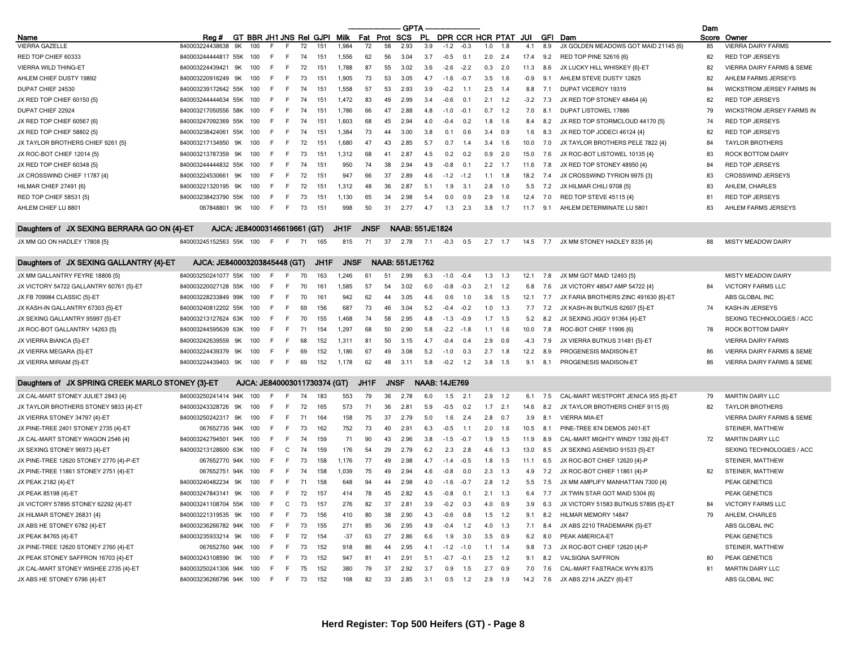|                                                  |                              |    |     |        |      |    |                              |             |             |             | <b>GPTA</b>            |                      |        |             |     |                         |        |     |                                      | Dam |                                  |
|--------------------------------------------------|------------------------------|----|-----|--------|------|----|------------------------------|-------------|-------------|-------------|------------------------|----------------------|--------|-------------|-----|-------------------------|--------|-----|--------------------------------------|-----|----------------------------------|
| Name                                             | Reg #                        |    |     |        |      |    | GT BBR JH1 JNS Rel GJPI Milk |             | Fat Prot    |             | SCS                    |                      |        |             |     | PL DPR CCR HCR PTAT JUI |        |     | GFI Dam                              |     | Score Owner                      |
| VIERRA GAZELLE                                   | 840003224438638              | 9K | 100 | F      |      | 72 | 151                          | 1,984       | 72          | 58          | 2.93                   | 3.9                  | $-1.2$ | $-0.3$      | 1.0 | 1.8                     | 4.1    | 8.9 | JX GOLDEN MEADOWS GOT MAID 21145 {6} | 85  | <b>VIERRA DAIRY FARMS</b>        |
| RED TOP CHIEF 60333                              | 840003244444817 55K          |    | 100 | -F     | F.   | 74 | 151                          | 1,556       | 62          | 56          | 3.04                   | 3.7                  | $-0.5$ | 0.1         |     | $2.0$ 2.4               | 17.4   | 9.2 | RED TOP PINE 52616 {6}               | 82  | <b>RED TOP JERSEYS</b>           |
| <b>VIERRA WILD THING-ET</b>                      | 840003224439421              | 9K | 100 | -F     | F.   | 72 | 151                          | 1,788       | 87          | 55          | 3.02                   | 3.6                  | $-2.6$ | $-2.2$      | 0.3 | 2.0                     | 11.3   | 8.6 | JX LUCKY HILL WHISKEY {6}-ET         | 82  | VIERRA DAIRY FARMS & SEME        |
| AHLEM CHIEF DUSTY 19892                          | 840003220916249 9K           |    | 100 | -F     | F.   | 73 | 151                          | 1,905       | 73          | 53          | 3.05                   | 4.7                  | $-1.6$ | $-0.7$      | 3.5 | 1.6                     | $-0.9$ | 9.1 | AHLEM STEVE DUSTY 12825              | 82  | AHLEM FARMS JERSEYS              |
| DUPAT CHIEF 24530                                | 840003239172642 55K          |    | 100 | - F    | F.   | 74 | 151                          | 1,558       | 57          | 53          | 2.93                   | 3.9                  | $-0.2$ | $-1.1$      | 2.5 | 1.4                     | 8.8    | 7.1 | DUPAT VICEROY 19319                  | 84  | <b>WICKSTROM JERSEY FARMS IN</b> |
| JX RED TOP CHIEF 60150 {5}                       | 840003244444634 55K          |    | 100 | -F     | F.   | 74 | 151                          | 1,472       | 83          | 49          | 2.99                   | 3.4                  | $-0.6$ | 0.1         | 2.1 | 1.2                     | $-3.2$ | 7.3 | JX RED TOP STONEY 48464 {4}          | 82  | <b>RED TOP JERSEYS</b>           |
| DUPAT CHIEF 22924                                | 840003217050556 58K          |    | 100 | -F     | F.   | 74 | 151                          | 1,786       | 66          | 47          | 2.88                   | 4.8                  | $-1.0$ | $-0.1$      | 0.7 | 1.2                     | 7.0    | 8.1 | DUPAT LISTOWEL 17886                 | 79  | WICKSTROM JERSEY FARMS IN        |
| JX RED TOP CHIEF 60567 {6}                       | 840003247092369 55K          |    | 100 | -F     | F.   | 74 | 151                          | 1,603       | 68          | 45          | 2.94                   | 4.0                  | $-0.4$ | 0.2         | 1.8 | 1.6                     | 8.4    | 8.2 | JX RED TOP STORMCLOUD 44170 {5}      | 74  | <b>RED TOP JERSEYS</b>           |
| JX RED TOP CHIEF 58802 {5}                       | 840003238424061 55K          |    | 100 | -F     | F.   | 74 | 151                          | 1,384       | 73          | 44          | 3.00                   | 3.8                  | 0.1    | 0.6         | 3.4 | 0.9                     | 1.6    | 8.3 | JX RED TOP JODECI 46124 {4}          | 82  | <b>RED TOP JERSEYS</b>           |
| JX TAYLOR BROTHERS CHIEF 9261 {5}                | 840003217134950              | 9K | 100 | -F     | F    | 72 | 151                          | 1,680       | 47          | 43          | 2.85                   | 5.7                  | 0.7    | 1.4         | 3.4 | 1.6                     | 10.0   | 7.0 | JX TAYLOR BROTHERS PELE 7822 {4}     | 84  | <b>TAYLOR BROTHERS</b>           |
| JX ROC-BOT CHIEF 12014 {5}                       | 840003213787359 9K           |    | 100 | -F     | E    | 73 | 151                          | 1,312       | 68          | 41          | 2.87                   | 4.5                  | 0.2    | 0.2         | 0.9 | 2.0                     | 15.0   | 7.6 | JX ROC-BOT LISTOWEL 10135 {4}        | 83  | ROCK BOTTOM DAIRY                |
| JX RED TOP CHIEF 60348 {5}                       | 840003244444832 55K          |    | 100 | -F     | F.   | 74 | 151                          | 950         | 74          | 38          | 2.94                   | 4.9                  | $-0.8$ | 0.1         | 2.2 | 1.7                     | 11.6   | 7.8 | JX RED TOP STONEY 48950 {4}          | 84  | RED TOP JERSEYS                  |
| JX CROSSWIND CHIEF 11787 {4}                     | 840003224530661              | 9K | 100 | -F     | F.   | 72 | 151                          | 947         | 66          | 37          | 2.89                   | 4.6                  | $-1.2$ | $-1.2$      | 1.1 | 1.8                     | 18.2   | 7.4 | JX CROSSWIND TYRION 9975 {3}         | 83  | <b>CROSSWIND JERSEYS</b>         |
| HILMAR CHIEF 27491 {6}                           | 840003221320195 9K           |    | 100 | -F     | F.   | 72 | 151                          | 1,312       | 48          | 36          | 2.87                   | 5.1                  | 1.9    | 3.1         | 2.8 | 1.0                     | 5.5    | 7.2 | JX HILMAR CHILI 9708 {5}             | 83  | AHLEM, CHARLES                   |
| RED TOP CHIEF 58531 {5}                          | 840003238423790 55K          |    | 100 | -F     | F.   | 73 | 151                          | 1,130       | 65          | 34          | 2.98                   | 5.4                  | 0.0    | 0.9         | 2.9 | 1.6                     | 12.4   | 7.0 | RED TOP STEVE 45115 {4}              | 81  | <b>RED TOP JERSEYS</b>           |
| AHLEM CHIEF LU 8801                              | 067848801 9K                 |    | 100 | -F     | F.   | 73 | 151                          | 998         | 50          | 31          | 2.77                   | 4.7                  | 1.3    | 2.3         | 3.8 | 1.7                     | 11.7   | 9.1 | AHLEM DETERMINATE LU 5801            | 83  | AHLEM FARMS JERSEYS              |
|                                                  |                              |    |     |        |      |    |                              |             |             |             |                        |                      |        |             |     |                         |        |     |                                      |     |                                  |
| Daughters of JX SEXING BERRARA GO ON {4}-ET      | AJCA: JE840003146619661 (GT) |    |     |        |      |    |                              | JH1F        | <b>JNSF</b> |             | <b>NAAB: 551JE1824</b> |                      |        |             |     |                         |        |     |                                      |     |                                  |
| JX MM GO ON HADLEY 17808 {5}                     | 840003245152563 55K 100      |    |     | - F    | F 71 |    | 165                          | 815         | 71          | 37          | 2.78                   | 7.1                  | $-0.3$ | 0.5         |     | $2.7$ 1.7               | 14.5   | 7.7 | JX MM STONEY HADLEY 8335 {4}         | 88  | <b>MISTY MEADOW DAIRY</b>        |
|                                                  |                              |    |     |        |      |    |                              |             |             |             |                        |                      |        |             |     |                         |        |     |                                      |     |                                  |
| Daughters of JX SEXING GALLANTRY {4}-ET          | AJCA: JE840003203845448 (GT) |    |     |        |      |    | JH1F                         | <b>JNSF</b> |             |             | NAAB: 551JE1762        |                      |        |             |     |                         |        |     |                                      |     |                                  |
| JX MM GALLANTRY FEYRE 18806 {5}                  | 840003250241077 55K          |    | 100 | -F     | E    | 70 | 163                          | 1,246       | 61          | 51          | 2.99                   | 6.3                  | $-1.0$ | $-0.4$      | 1.3 | 1.3                     | 12.1   | 7.8 | JX MM GOT MAID 12493 {5}             |     | <b>MISTY MEADOW DAIRY</b>        |
| JX VICTORY 54722 GALLANTRY 60761 {5}-ET          | 840003220027128 55K          |    | 100 | -F     | F    | 70 | 161                          | 1,585       | 57          | 54          | 3.02                   | 6.0                  | $-0.8$ | $-0.3$      | 2.1 | 1.2                     | 6.8    | 7.6 | JX VICTORY 48547 AMP 54722 {4}       | 84  | <b>VICTORY FARMS LLC</b>         |
| JX FB 709984 CLASSIC {5}-ET                      | 840003228233849 99K          |    | 100 | -F     | F.   | 70 | 161                          | 942         | 62          | 44          | 3.05                   | 4.6                  | 0.6    | 1.0         | 3.6 | 1.5                     | 12.1   | 7.7 | JX FARIA BROTHERS ZINC 491630 {6}-ET |     | ABS GLOBAL INC                   |
| JX KASH-IN GALLANTRY 67303 {5}-ET                | 840003240812202 55K          |    | 100 | -F     | F.   | 69 | 156                          | 687         | 73          | 46          | 3.04                   | 5.2                  | $-0.4$ | $-0.2$      | 1.0 | 1.3                     | 7.7    | 7.2 | JX KASH-IN BUTKUS 62607 {5}-ET       | 74  | KASH-IN JERSEYS                  |
| JX SEXING GALLANTRY 95997 {5}-ET                 | 840003213127624 63K          |    | 100 | -F     | F.   | 70 | 155                          | 1,468       | 74          | 58          | 2.95                   | 4.8                  | $-1.3$ | $-0.9$      | 1.7 | 1.5                     | 5.2    | 8.2 | JX SEXING JIGGY 91364 {4}-ET         |     | SEXING TECHNOLOGIES / ACC        |
| JX ROC-BOT GALLANTRY 14263 {5}                   | 840003244595639 63K          |    | 100 | F      | F    | 71 | 154                          | 1,297       | 68          | 50          | 2.90                   | 5.8                  | $-2.2$ | $-1.8$      | 1.1 | 1.6                     | 10.0   | 7.8 | ROC-BOT CHIEF 11906 {6}              | 78  | <b>ROCK BOTTOM DAIRY</b>         |
| JX VIERRA BIANCA {5}-ET                          | 840003242639559              | 9K | 100 | F      | F.   | 68 | 152                          | 1,311       | 81          | 50          | 3.15                   | 4.7                  | $-0.4$ | 0.4         | 2.9 | 0.6                     | -4.3   | 7.9 | JX VIERRA BUTKUS 31481 {5}-ET        |     | <b>VIERRA DAIRY FARMS</b>        |
| JX VIERRA MEGARA {5}-ET                          | 840003224439379 9K           |    | 100 | -F     | F    | 69 | 152                          | 1,186       | 67          | 49          | 3.08                   | 5.2                  | $-1.0$ | 0.3         | 2.7 | 1.8                     | 12.2   | 8.9 | PROGENESIS MADISON-ET                | 86  | VIERRA DAIRY FARMS & SEME        |
| JX VIERRA MIRIAM {5}-ET                          | 840003224439403 9K           |    | 100 | -F     | E    | 69 | 152                          | 1.178       | 62          | 48          | 3.11                   | 5.8                  | $-0.2$ | 1.2         | 3.8 | 1.5                     | 9.1    | 8.1 | PROGENESIS MADISON-ET                | 86  | VIERRA DAIRY FARMS & SEME        |
|                                                  |                              |    |     |        |      |    |                              |             |             |             |                        |                      |        |             |     |                         |        |     |                                      |     |                                  |
| Daughters of JX SPRING CREEK MARLO STONEY {3}-ET |                              |    |     |        |      |    | AJCA: JE840003011730374 (GT) |             | JH1F        | <b>JNSF</b> |                        | <b>NAAB: 14JE769</b> |        |             |     |                         |        |     |                                      |     |                                  |
| JX CAL-MART STONEY JULIET 2843 {4}               | 840003250241414 94K          |    | 100 | -F     | F.   | 74 | 183                          | 553         | 79          | 36          | 2.78                   | 6.0                  | 1.5    | 2.1         | 2.9 | 1.2                     | 6.1    | 7.5 | CAL-MART WESTPORT JENICA 955 {6}-ET  | 79  | <b>MARTIN DAIRY LLC</b>          |
| JX TAYLOR BROTHERS STONEY 9833 {4}-ET            | 840003243328726              | 9K | 100 | F      | F    | 72 | 165                          | 573         | 71          | 36          | 2.81                   | 5.9                  | $-0.5$ | 0.2         | 1.7 | 2.1                     | 14.6   | 8.2 | JX TAYLOR BROTHERS CHIEF 9115 {6}    | 82  | <b>TAYLOR BROTHERS</b>           |
| JX VIERRA STONEY 34797 {4}-ET                    | 840003250242317 9K           |    | 100 | -F     | F.   | 71 | 164                          | 158         | 75          | 37          | 2.79                   | 5.0                  | 1.6    | 2.4         | 2.8 | 0.7                     | 3.9    | 8.1 | <b>VIERRA MIA-ET</b>                 |     | VIERRA DAIRY FARMS & SEME        |
| JX PINE-TREE 2401 STONEY 2735 {4}-ET             | 067652735 94K                |    | 100 | -F     | F.   | 73 | 162                          | 752         | 73          | 40          | 2.91                   | 6.3                  | $-0.5$ | $-1.1$      | 2.0 | 1.6                     | 10.5   | 8.1 | PINE-TREE 874 DEMOS 2401-ET          |     | STEINER, MATTHEW                 |
| JX CAL-MART STONEY WAGON 2546 {4}                | 840003242794501 94K          |    | 100 | -F     | F.   | 74 | 159                          | 71          | 90          | 43          | 2.96                   | 3.8                  | $-1.5$ | $-0.7$      | 1.9 | 1.5                     | 11.9   | 8.9 | CAL-MART MIGHTY WINDY 1392 {6}-ET    | 72  | <b>MARTIN DAIRY LLC</b>          |
| JX SEXING STONEY 96973 {4}-ET                    | 840003213128600 63K          |    | 100 | -F     | C    | 74 | 159                          | 176         | 54          | 29          | 2.79                   | 6.2                  | 2.3    | 2.8         | 4.6 | 1.3                     | 13.0   | 8.5 | JX SEXING ASENSIO 91533 (5)-ET       |     | SEXING TECHNOLOGIES / ACC        |
| JX PINE-TREE 12620 STONEY 2770 {4}-P-ET          | 067652770 94K                |    | 100 | - F    | -F   | 73 | 158                          | 1,176       | 77          | 49          | 2.98                   | 4.7                  | $-1.4$ | $-0.5$      | 1.8 | 1.5                     | 11.1   | 6.5 | JX ROC-BOT CHIEF 12620 {4}-P         |     | STEINER, MATTHEW                 |
| JX PINE-TREE 11861 STONEY 2751 {4}-ET            | 067652751 94K                |    | 100 | -F     | E    | 74 | 158                          | 1,039       | 75          | 49          | 2.94                   | 4.6                  | $-0.8$ | 0 Q         | 2.3 | 1.3                     | 4.9    | 7.2 | JX ROC-BOT CHIEF 11861 {4}-P         | 82  | STEINER, MATTHEW                 |
| JX PEAK 2182 {4}-ET                              | 840003240482234              | 9K | 100 | F      | E    | 71 | 158                          | 648         | 94          | 44          | 2.98                   | 4.0                  | $-1.6$ | $-0.7$      | 2.8 | 1.2                     | 5.5    | 7.5 | JX MM AMPLIFY MANHATTAN 7300 {4}     |     | <b>PEAK GENETICS</b>             |
| JX PEAK 85198 {4}-ET                             | 840003247843141 9K 100       |    |     | - F    | F.   | 72 | 157                          | 414         | 78          | 45          | 2.82                   | 4.5                  | -0.8   | 0.1         |     | $2.1$ 1.3               | 6.4    | 7.7 | JX TWIN STAR GOT MAID 5304 {6}       |     | PEAK GENETICS                    |
| JX VICTORY 57895 STONEY 62292 {4}-ET             | 840003241108704 55K          |    | 100 |        | C    |    | 157                          |             |             |             |                        |                      | $-0.2$ |             |     | 0.9                     | 3.9    |     | JX VICTORY 51583 BUTKUS 57895 {5}-ET |     | VICTORY FARMS LLC                |
| JX HILMAR STONEY 26831 {4}                       | 840003221319535 9K 100       |    |     | - F    | F.   | 73 | 156                          | 410         | 80          | 38          | 2.90                   | 4.3                  | -0.6   | 0.8         |     | $1.5$ 1.2               | 9.1    | 8.2 | HILMAR MEMORY 14847                  | 79  | AHLEM, CHARLES                   |
| JX ABS HE STONEY 6782 {4}-ET                     | 840003236266782 94K 100      |    |     | - F    | F.   | 73 | 155                          | 271         | 85          | 36          | 2.95                   | 4.9                  | $-0.4$ | 1.2         |     | $4.0$ 1.3               | 7.1    | 8.4 | JX ABS 2210 TRADEMARK {5}-ET         |     | ABS GLOBAL INC                   |
| JX PEAK 84765 {4}-ET                             | 840003235933214 9K 100       |    |     | - F    | - F  | 72 | 154                          | $-37$       | 63          | 27          | 2.86                   | 6.6                  | 1.9    | 3.0         |     | $3.5\quad 0.9$          | 6.2    | 8.0 | PEAK AMERICA-ET                      |     | PEAK GENETICS                    |
| JX PINE-TREE 12620 STONEY 2760 {4}-ET            | 067652760 94K 100            |    |     | - F    | F.   | 73 | 152                          | 918         | 86          | 44          | 2.95                   | 4.1                  | $-1.2$ | $-1.0$      |     | $1.1$ 1.4               | 9.8    | 7.3 | JX ROC-BOT CHIEF 12620 {4}-P         |     | STEINER, MATTHEW                 |
| JX PEAK STONEY SAFFRON 16703 {4}-ET              | 840003243108590 9K 100 F     |    |     |        | $-F$ | 73 | 152                          | 947         | 81          | 41          | 2.91                   | 5.1                  |        | $-0.7 -0.1$ |     | $2.5$ 1.2               | 9.1    |     | 8.2 VALSIGNA SAFFRON                 | 80  | PEAK GENETICS                    |
| JX CAL-MART STONEY WISHEE 2735 {4}-ET            | 840003250241306 94K 100      |    |     | - F    | - F  | 75 | 152                          | 380         | 79          | 37          | 2.92                   | 3.7                  | 0.9    | 1.5         | 2.7 | 0.9                     | 7.0    | 7.6 | CAL-MART FASTRACK WYN 8375           | 81  | MARTIN DAIRY LLC                 |
| JX ABS HE STONEY 6796 {4}-ET                     | 840003236266796 94K 100      |    |     | F F 73 |      |    | 152                          | 168         | 82          | 33          | 2.85                   | 3.1                  |        | $0.5$ 1.2   |     | $2.9$ 1.9               |        |     | 14.2 7.6 JX ABS 2214 JAZZY {6}-ET    |     | ABS GLOBAL INC                   |
|                                                  |                              |    |     |        |      |    |                              |             |             |             |                        |                      |        |             |     |                         |        |     |                                      |     |                                  |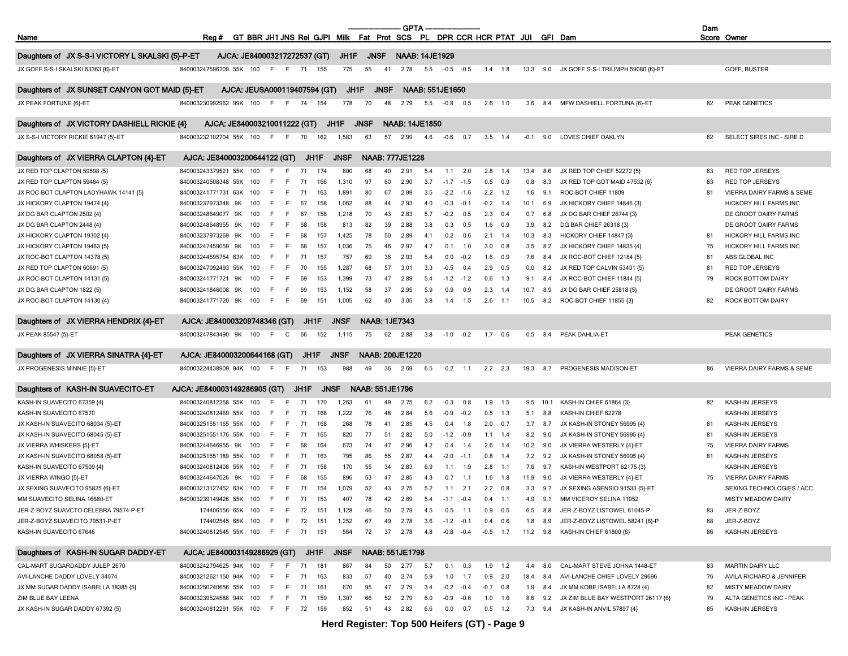|                                                  |                              |     |            |             |                              |                                                                           |                      |             | <b>GPTA</b>            |                        |              |             |     |                |        |            |                                    | Dam |                           |
|--------------------------------------------------|------------------------------|-----|------------|-------------|------------------------------|---------------------------------------------------------------------------|----------------------|-------------|------------------------|------------------------|--------------|-------------|-----|----------------|--------|------------|------------------------------------|-----|---------------------------|
| Name                                             | Reg #                        |     |            |             |                              | GT BBR JH1 JNS Rel GJPI Milk Fat Prot SCS PL DPR CCR HCR PTAT JUI GFI Dam |                      |             |                        |                        |              |             |     |                |        |            |                                    |     | Score Owner               |
| Daughters of JX S-S-I VICTORY L SKALSKI {5}-P-ET | AJCA: JE840003217272537 (GT) |     |            |             |                              | JH1F                                                                      | <b>JNSF</b>          |             | <b>NAAB: 14JE1929</b>  |                        |              |             |     |                |        |            |                                    |     |                           |
| JX GOFF S-S-I SKALSKI 63363 {6}-ET               | 840003247596709 55K 100      |     | F F        | 71          | 155                          | 775                                                                       | 55                   | 41          | 2.78                   | 5.5                    | $-0.5 -0.5$  |             |     | $1.4$ 1.8      |        | 13.3 9.0   | JX GOFF S-S-I TRIUMPH 59080 {6}-ET |     | GOFF, BUSTER              |
| Daughters of JX SUNSET CANYON GOT MAID {5}-ET    |                              |     |            |             | AJCA: JEUSA000119407594 (GT) | JH1F                                                                      |                      | <b>JNSF</b> |                        | <b>NAAB: 551JE1650</b> |              |             |     |                |        |            |                                    |     |                           |
| JX PEAK FORTUNE {6}-ET                           | 840003230992962 99K 100      |     | E          | - F         | 74<br>154                    | 778                                                                       | 70                   | 48          | 2.79                   | 5.5                    | $-0.8$       | 0.5         | 2.6 | 1.0            | 3.6    | 8.4        | MFW DASHIELL FORTUNA {6}-ET        | 82  | <b>PEAK GENETICS</b>      |
| Daughters of JX VICTORY DASHIELL RICKIE {4}      | AJCA: JE840003210011222 (GT) |     |            |             |                              | JH1F                                                                      | <b>JNSF</b>          |             | <b>NAAB: 14JE1850</b>  |                        |              |             |     |                |        |            |                                    |     |                           |
| JX S-S-I VICTORY RICKIE 61947 {5}-ET             | 840003232102704 55K 100      |     | F F        | 70          | 162                          | 1,583                                                                     | 63                   | 57          | 2.99                   | 4.6                    | $-0.6$       | 0.7         |     | $3.5$ 1.4      | $-0.1$ | 9.0        | LOVES CHIEF OAKLYN                 | 82  | SELECT SIRES INC - SIRE D |
|                                                  |                              |     |            |             |                              |                                                                           |                      |             |                        |                        |              |             |     |                |        |            |                                    |     |                           |
| Daughters of JX VIERRA CLAPTON {4}-ET            | AJCA: JE840003200644122 (GT) |     |            |             | JH1F                         | <b>JNSF</b>                                                               |                      |             | <b>NAAB: 777JE1228</b> |                        |              |             |     |                |        |            |                                    |     |                           |
| JX RED TOP CLAPTON 59598 {5}                     | 840003243379521 55K          | 100 | E          | 71<br>F     | 174                          | 800                                                                       | 68                   | 40          | 2.91                   | 5.4                    |              | $1.1$ 2.0   |     | $2.8$ 1.4      | 13.4   | 8.6        | JX RED TOP CHIEF 52272 {5}         | 83  | RED TOP JERSEYS           |
| JX RED TOP CLAPTON 59464 {5}                     | 840003240508348 55K          | 100 |            | 71          | 166                          | 1,310                                                                     | 97                   | 60          | 2.90                   | 3.7                    | $-1.7 -1.5$  |             |     | $0.5$ 0.9      | 0.8    | 8.3        | JX RED TOP GOT MAID 47532 {6}      | 83  | <b>RED TOP JERSEYS</b>    |
| JX ROC-BOT CLAPTON LADYHAWK 14141 {5}            | 840003241771731 63K          | 100 | F          | - F         | 163<br>71                    | 1,891                                                                     | 80                   | 67          | 2.99                   | 3.5                    | $-2.2$       | $-1.6$      |     | $2.2$ 1.2      | 1.6    | 9.1        | ROC-BOT CHIEF 11809                | 81  | VIERRA DAIRY FARMS & SEME |
| JX HICKORY CLAPTON 19474 {4}                     | 840003237973348 9K           | 100 | F          | F.<br>67    | 158                          | 1,062                                                                     | 88                   | 44          | 2.93                   | 4.0                    | $-0.3$       | $-0.1$      |     | $-0.2$ 1.4     | 10.1   | 6.9        | JX HICKORY CHIEF 14846 {3}         |     | HICKORY HILL FARMS INC    |
| JX DG BAR CLAPTON 2502 {4}                       | 840003248649077 9K           | 100 |            | 67<br>-F    | 158                          | 1,218                                                                     | 70                   | 43          | 2.83                   | 5.7                    | $-0.2$       | 0.5         | 2.3 | 0.4            | 0.7    | 6.8        | JX DG BAR CHIEF 26744 {3}          |     | DE GROOT DAIRY FARMS      |
| JX DG BAR CLAPTON 2448 {4}                       | 840003248648955<br>9K        | 100 |            | -F          | 158<br>68                    | 813                                                                       | 82                   | 39          | 2.88                   | 3.8                    | 0.3          | 0.5         | 1.6 | 0.9            | 3.9    | 8.2        | DG BAR CHIEF 26318 {3}             |     | DE GROOT DAIRY FARMS      |
| JX HICKORY CLAPTON 19302 {4}                     | 840003237973269<br>9K        | 100 |            | F.          | 68<br>157                    | 1,425                                                                     | 78                   | 50          | 2.89                   | 4.1                    | 0.2          | 0.6         | 2.1 | 1.4            | 10.3   | 8.3        | HICKORY CHIEF 14847 {3}            | 81  | HICKORY HILL FARMS INC    |
| JX HICKORY CLAPTON 19463 {5}                     | 840003247459059 9K           | 100 |            | F.          | 157<br>68                    | 1,036                                                                     | 75                   | 46          | 2.97                   | 4.7                    | 0.1          | 1.0         | 3.0 | 0.8            | 3.5    | 8.2        | JX HICKORY CHIEF 14835 {4}         | 75  | HICKORY HILL FARMS INC    |
| JX ROC-BOT CLAPTON 14378 {5}                     | 840003244595754 63K          | 100 |            | -F<br>71    | 157                          | 757                                                                       | 69                   | 36          | 2.93                   | 5.4                    | 0.0          | $-0.2$      | 1.6 | 0.9            | 7.6    | 8.4        | JX ROC-BOT CHIEF 12184 {5}         | 81  | ABS GLOBAL INC            |
| JX RED TOP CLAPTON 60691 {5}                     | 840003247092493 55K          | 100 | E          | 70<br>- F   | 155                          | 1,287                                                                     | 68                   | 57          | 3.01                   | 3.3                    | $-0.5$       | 0.4         | 2.9 | 0.5            | 0.0    | 8.2        | JX RED TOP CALVIN 53431 {5}        | 81  | RED TOP JERSEYS           |
| JX ROC-BOT CLAPTON 14131 {5}                     | 840003241771721 9K           | 100 |            | -F          | 69<br>153                    | 1,399                                                                     | 73                   | 47          | 2.89                   | 5.4                    | $-1.2$       | $-1.2$      | 0.6 | 1.3            | 9.1    | 8.4        | JX ROC-BOT CHIEF 11844 {5}         | 79  | ROCK BOTTOM DAIRY         |
| JX DG BAR CLAPTON 1822 {5}                       | 840003241846008 9K           | 100 |            | F.          | 69<br>153                    | 1,152                                                                     | 58                   | 37          | 2.95                   | 5.9                    | 0.9          | 0.9         | 2.3 | 1.4            | 10.7   | 8.9        | JX DG BAR CHIEF 25818 {5}          |     | DE GROOT DAIRY FARMS      |
| JX ROC-BOT CLAPTON 14130 {4}                     | 840003241771720 9K           | 100 | F.         | F.          | 69<br>151                    | 1,005                                                                     | 62                   | 40          | 3.05                   | 3.8                    | 1.4          | 1.5         | 2.6 | 1.1            | 10.5   | 8.2        | ROC-BOT CHIEF 11855 {3}            | 82  | ROCK BOTTOM DAIRY         |
|                                                  |                              |     |            |             |                              |                                                                           |                      |             |                        |                        |              |             |     |                |        |            |                                    |     |                           |
| Daughters of JX VIERRA HENDRIX {4}-ET            | AJCA: JE840003209748346 (GT) |     |            |             | JH1F                         | <b>JNSF</b>                                                               | <b>NAAB: 1JE7343</b> |             |                        |                        |              |             |     |                |        |            |                                    |     |                           |
| JX PEAK 85547 {5}-ET                             | 840003247843490 9K           | 100 | F.         | C           | 152<br>66                    | 1,115                                                                     | 75                   | 62          | 2.88                   | 3.8                    | $-1.0$       | $-0.2$      | 1.7 | 0.6            | 0.5    | 8.4        | PEAK DAHLIA-ET                     |     | PEAK GENETICS             |
| Daughters of JX VIERRA SINATRA {4}-ET            | AJCA: JE840003200644168 (GT) |     |            |             | JH1F                         | <b>JNSF</b>                                                               |                      |             | <b>NAAB: 200JE1220</b> |                        |              |             |     |                |        |            |                                    |     |                           |
| JX PROGENESIS MINNIE {5}-ET                      | 840003224438909 94K 100      |     | - F<br>- F | 71          | 153                          | 988                                                                       | 49                   | 36          | 2.69                   | 6.5                    | 0.2          | $-1.1$      |     | $2.2$ $2.3$    | 19.3   | 8.7        | PROGENESIS MADISON-ET              | 86  | VIERRA DAIRY FARMS & SEME |
|                                                  |                              |     |            |             |                              |                                                                           |                      |             |                        |                        |              |             |     |                |        |            |                                    |     |                           |
| Daughters of KASH-IN SUAVECITO-ET                | AJCA: JE840003149286905 (GT) |     |            | JH1F        |                              | <b>JNSF</b>                                                               | NAAB: 551JE1796      |             |                        |                        |              |             |     |                |        |            |                                    |     |                           |
| KASH-IN SUAVECITO 67359 {4}                      | 840003240812258 55K          | 100 |            |             | 170<br>71                    | 1,263                                                                     | 61                   | 49          | 2.75                   | 6.2                    | $-0.3$       | 0.8         |     | $1.9$ 1.5      |        | $9.5$ 10.1 | KASH-IN CHIEF 61864 {3}            | 82  | KASH-IN JERSEYS           |
| KASH-IN SUAVECITO 67570                          | 840003240812469 55K          | 100 |            | F           | 71<br>168                    | 1,222                                                                     | 76                   | 48          | 2.84                   | 5.6                    | -0.9         | $-0.2$      |     | $0.5$ 1.3      | 5.1    | 8.8        | KASH-IN CHIEF 62278                |     | KASH-IN JERSEYS           |
| JX KASH-IN SUAVECITO 68034 {5}-ET                | 840003251551165 55K          | 100 | F          | - F         | 71<br>168                    | 268                                                                       | 78                   | 41          | 2.85                   | 4.5                    | 0.4          | 1.8         |     | $2.0\quad 0.7$ | 3.7    | 8.7        | JX KASH-IN STONEY 56995 {4}        | 81  | KASH-IN JERSEYS           |
| JX KASH-IN SUAVECITO 68045 {5}-ET                | 840003251551176 55K 100      |     | F          | F<br>71     | 165                          | 820                                                                       | 77                   | 51          | 2.82                   | 5.0                    | $-1.2$       | $-0.9$      |     | $1.1$ 1.4      | 8.2    | 9.0        | JX KASH-IN STONEY 56995 {4}        | 81  | KASH-IN JERSEYS           |
| JX VIERRA WHISKERS {5}-ET                        | 840003244646955 9K           | 100 | F          | F.          | 68<br>164                    | 673                                                                       | 74                   | 47          | 2.96                   | 4.2                    | 0.4          | 1.4         |     | $2.6$ 1.4      | 10.2   | 9.0        | JX VIERRA WESTERLY {4}-ET          | 75  | <b>VIERRA DAIRY FARMS</b> |
| JX KASH-IN SUAVECITO 68058 {5}-ET                | 840003251551189 55K          | 100 |            | -F          | 71<br>163                    | 795                                                                       | 86                   | 55          | 2.87                   | 4.4                    | $-2.0$       | $-1.1$      | 0.8 | 1.4            | 7.2    | 9.2        | JX KASH-IN STONEY 56995 {4}        | 81  | KASH-IN JERSEYS           |
| KASH-IN SUAVECITO 67509 {4}                      | 840003240812408 55K          | 100 |            | F           | 71<br>158                    | 170                                                                       | 55                   | 34          | 2.83                   | 6.9                    | 1.1          | 1.9         | 2.8 | $-1.1$         | 7.6    | 9.7        | KASH-IN WESTPORT 62175 {3}         |     | KASH-IN JERSEYS           |
| JX VIERRA WINGO {5}-ET                           | 840003244647026 9K           | 100 |            |             | 68<br>155                    | 896                                                                       | 53                   | 47          | 2.85                   | 4.3                    | 0.7          | $-1.1$      | 1.6 | 1.8            | 11.9   | 9.0        | JX VIERRA WESTERLY {4}-ET          | 75  | <b>VIERRA DAIRY FARMS</b> |
| JX SEXING SUAVECITO 95825 {6}-ET                 | 840003213127452 63K 100      |     | F.         | 71<br>- F   | 154                          | 1,079                                                                     | 52                   | 43          | 2.75                   | 5.2                    |              | $1.1$ 2.1   |     | $2.2\quad 0.8$ | 3.3    | 9.7        | JX SEXING ASENSIO 91533 {5}-ET     |     | SEXING TECHNOLOGIES / ACC |
| MM SUAVECITO SELINA 16680-ET                     | 840003239149426 55K 100 F    |     | F          | 71          | 153                          | 407                                                                       | 78                   | 42          | 2.89                   | 5.4                    | $-1.1 - 0.4$ |             |     | $0.4$ 1.1      | 4.9    |            | 9.1 MM VICEROY SELINA 11052        |     | MISTY MEADOW DAIRY        |
|                                                  |                              |     |            |             |                              |                                                                           |                      |             |                        |                        |              |             |     |                |        |            |                                    |     |                           |
| JER-Z-BOYZ SUAVCTO CELEBRA 79574-P-ET            | 174406156 65K 100            |     | F F 72     |             | 151                          | 1,128                                                                     | 46                   | 50          | 2.79                   | 4.5                    | 0.5          | $-1.1$      |     | $0.9\quad 0.5$ |        | 6.5 8.8    | JER-Z-BOYZ LISTOWEL 61045-P        | 83  | JER-Z-BOYZ                |
| JER-Z-BOYZ SUAVECITO 79531-P-ET                  | 174402545 65K 100            |     |            |             | 151<br>72                    | 1,252                                                                     | 67                   | 49          | 2.78                   | 3.6                    | $-1.2$       | $-0.1$      | 0.4 | 0.6            | 1.8    | 8.9        | JER-Z-BOYZ LISTOWEL 58241 {6}-P    | 88  | JER-Z-BOYZ                |
| KASH-IN SUAVECITO 67646                          | 840003240812545 55K 100      |     | F F 71     |             | 151                          | 564                                                                       | 72                   | 37          | 2.78                   | 4.8                    | $-0.8 - 0.4$ |             |     | $-0.5$ 1.7     |        |            | 11.2 9.8 KASH-IN CHIEF 61800 {6}   | 86  | KASH-IN JERSEYS           |
| Daughters of KASH-IN SUGAR DADDY-ET              | AJCA: JE840003149286929 (GT) |     |            |             | JH1F                         | <b>JNSF</b>                                                               |                      |             | NAAB: 551JE1798        |                        |              |             |     |                |        |            |                                    |     |                           |
| CAL-MART SUGARDADDY JULEP 2670                   | 840003242794625 94K 100      |     | F.         | - 71<br>- F | 181                          | 867                                                                       | 84                   | 50          | 2.77                   | 5.7                    | 0.1          | 0.3         |     | $1.9$ 1.2      | 4.4    | 8.0        | CAL-MART STEVE JOHNA 1448-ET       | 83  | MARTIN DAIRY LLC          |
| AVI-LANCHE DADDY LOVELY 34074                    | 840003212621150 94K 100      |     | -F         | 71<br>- F   | 163                          | 833                                                                       | 57                   | 40          | 2.74                   | 5.9                    | 1.0          | 1.7         |     | $0.9$ 2.0      | 18.4   | 8.4        | AVI-LANCHE CHIEF LOVELY 29696      | 76  | AVILA RICHARD & JENNIFER  |
| JX MM SUGAR DADDY ISABELLA 18385 {5}             | 840003250240656 55K 100      |     | F F 71     |             | 161                          | 670                                                                       | 95                   | 47          | 2.79                   | 3.4                    |              | $-0.2 -0.4$ |     | $-0.7$ 0.8     | 1.9    | 8.4        | JX MM KOBE ISABELLA 8728 {4}       | 82  | <b>MISTY MEADOW DAIRY</b> |
| ZIM BLUE BAY LEENA                               | 840003239524588 94K 100      |     |            | -F.<br>71   | 159                          | 1,307                                                                     | 66                   | 52          | 2.79                   | 6.0                    | -0.9         | $-0.6$      |     | $1.0$ 1.6      | 8.6    | 9.2        | JX ZIM BLUE BAY WESTPORT 26117 {6} | 79  | ALTA GENETICS INC - PEAK  |
| JX KASH-IN SUGAR DADDY 67392 {5}                 | 840003240812291 55K 100      |     | F F 72     |             | 159                          | 852                                                                       | 51                   | 43          | 2.82                   | 6.6                    | 0.0          | 0.7         |     | $0.5$ 1.2      | 7.3    |            | 9.4 JX KASH-IN ANVIL 57897 {4}     | 85  | KASH-IN JERSEYS           |
|                                                  |                              |     |            |             |                              | Hand Danielse, Tan                                                        |                      |             |                        | F(0, 1)                |              |             |     |                |        |            |                                    |     |                           |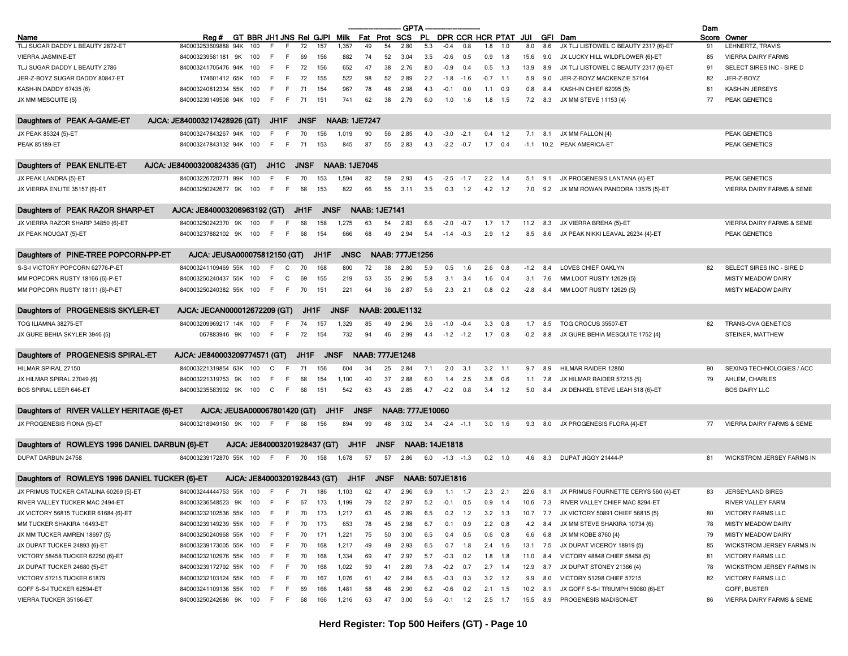|                                                |                                     |                              |              |                   |             |             |                      |             |                        | <b>GPTA</b>                  |     |                        |            |                |                         |          |                |                                               | Dam |                           |
|------------------------------------------------|-------------------------------------|------------------------------|--------------|-------------------|-------------|-------------|----------------------|-------------|------------------------|------------------------------|-----|------------------------|------------|----------------|-------------------------|----------|----------------|-----------------------------------------------|-----|---------------------------|
| Name                                           | Reg #                               | GT BBR JH1 JNS Rei GJPI Milk |              |                   |             |             |                      |             | Fat Prot SCS           |                              |     |                        |            |                | PL DPR CCR HCR PTAT JUI |          |                | GFI Dam                                       |     | Score Owner               |
| TLJ SUGAR DADDY L BEAUTY 2872-ET               | 840003253609888 94K                 | 100                          |              |                   | 72          | 157         | 1,357                | 49          | 54                     | 2.80                         | 5.3 | $-0.4$                 | 0.8        | 1.8            | 1.0                     | 8.0      | 8.6            | JX TLJ LISTOWEL C BEAUTY 2317 {6}-ET          | 91  | LEHNERTZ, TRAVIS          |
| VIERRA JASMINE-ET                              | 840003239581181 9K                  | 100                          | -F           | F.                | 69          | 156         | 882                  | 74          | 52                     | 3.04                         | 3.5 | $-0.6$                 | 0.5        |                | $0.9$ 1.8               | 15.6     | 9.0            | JX LUCKY HILL WILDFLOWER {6}-ET               | 85  | <b>VIERRA DAIRY FARMS</b> |
| TLJ SUGAR DADDY L BEAUTY 2786                  | 840003241705476 94K 100             |                              | -F           | - F               | 72          | 156         | 652                  | 47          | 38                     | 2.76                         | 8.0 | $-0.9$                 | 0.4        |                | $0.5$ 1.3               | 13.9     | 8.9            | JX TLJ LISTOWEL C BEAUTY 2317 {6}-ET          | 91  | SELECT SIRES INC - SIRE D |
| JER-Z-BOYZ SUGAR DADDY 80847-ET                | 174601412 65K 100                   |                              | -F           | F                 | 72          | 155         | 522                  | 98          | 52                     | 2.89                         | 2.2 | $-1.8$                 | $-1.6$     | $-0.7$ 1.1     |                         | 5.9      | 9.0            | JER-Z-BOYZ MACKENZIE 57164                    | 82  | JER-Z-BOYZ                |
| KASH-IN DADDY 67435 {6}                        | 840003240812334 55K 100             |                              | F.           | - F               | 71          | 154         | 967                  | 78          | 48                     | 2.98                         | 4.3 | $-0.1$                 | 0.0        | $1.1 \t0.9$    |                         | 0.8      | 8.4            | KASH-IN CHIEF 62095 {5}                       | 81  | KASH-IN JERSEYS           |
| JX MM MESQUITE {5}                             | 840003239149508 94K 100             |                              | F.           | $-F$              | 71          | 151         | 741                  | 62          | 38                     | 2.79                         | 6.0 | 1.0                    | 1.6        | $1.8$ 1.5      |                         | 7.2      | 8.3            | JX MM STEVE 11153 {4}                         | 77  | PEAK GENETICS             |
| Daughters of PEAK A-GAME-ET                    | AJCA: JE840003217428926 (GT)        |                              |              | JH1F              | <b>JNSF</b> |             | <b>NAAB: 1JE7247</b> |             |                        |                              |     |                        |            |                |                         |          |                |                                               |     |                           |
| JX PEAK 85324 {5}-ET                           | 840003247843267 94K 100             |                              |              | F.                | 70          | 156         | 1,019                | 90          | 56                     | 2.85                         | 4.0 | $-3.0$                 | $-2.1$     |                | $0.4$ 1.2               |          | $7.1$ 8.1      | JX MM FALLON {4}                              |     | PEAK GENETICS             |
| <b>PEAK 85189-ET</b>                           | 840003247843132 94K 100             |                              | -F           | - F               | 71          | 153         | 845                  | 87          | 55                     | 2.83                         | 4.3 | $-2.2 -0.7$            |            | $1.7 \t0.4$    |                         |          |                | -1.1 10.2 PEAK AMERICA-ET                     |     | <b>PEAK GENETICS</b>      |
| Daughters of PEAK ENLITE-ET                    | AJCA. JE840003200824335 (GT)        |                              |              | JH <sub>1</sub> C | <b>JNSF</b> |             | <b>NAAB: 1JE7045</b> |             |                        |                              |     |                        |            |                |                         |          |                |                                               |     |                           |
| JX PEAK LANDRA {5}-ET                          | 840003226720771 99K 100             |                              |              |                   | 70          | 153         | 1,594                | 82          | 59                     | 2.93                         | 4.5 | $-2.5$                 | $-1.7$     | 2.2            | 1.4                     | 5.1      | 9.1            | JX PROGENESIS LANTANA {4}-ET                  |     | <b>PEAK GENETICS</b>      |
| JX VIERRA ENLITE 35157 {6}-ET                  | 840003250242677 9K                  | 100                          | E            | F.                | 68          | 153         | 822                  | 66          | 55                     | 3.11                         | 3.5 | 0.3                    | 1.2        |                | $4.2$ 1.2               | 7.0      |                | 9.2 JX MM ROWAN PANDORA 13575 {5}-ET          |     | VIERRA DAIRY FARMS & SEME |
|                                                |                                     |                              |              |                   |             |             |                      |             |                        |                              |     |                        |            |                |                         |          |                |                                               |     |                           |
| Daughters of PEAK RAZOR SHARP-ET               | AJCA: JE840003206963192 (GT)        |                              |              |                   | JH1F        | <b>JNSF</b> |                      |             | <b>NAAB: 1JE7141</b>   |                              |     |                        |            |                |                         |          |                |                                               |     |                           |
| JX VIERRA RAZOR SHARP 34850 {6}-ET             | 840003250242370 9K                  | 100                          |              |                   | 68          | 158         | 1,275                | 63          | 54                     | 2.83                         | 6.6 | $-2.0$                 | $-0.7$     |                | $1.7$ 1.7               | 11.2     | 8.3            | JX VIERRA BREHA {5}-ET                        |     | VIERRA DAIRY FARMS & SEME |
| JX PEAK NOUGAT {5}-ET                          | 840003237882102 9K                  | 100                          | E            | E                 | 68          | 154         | 666                  | 68          | 49                     | 2.94                         | 5.4 | $-1.4$                 | $-0.3$     |                | $2.9$ 1.2               | 8.5      | 8.6            | JX PEAK NIKKI LEAVAL 26234 {4}-ET             |     | PEAK GENETICS             |
| Daughters of PINE-TREE POPCORN-PP-ET           | AJCA: JEUSA000075812150 (GT)        |                              |              |                   |             | JH1F        | <b>JNSC</b>          |             |                        | <b>NAAB: 777JE1256</b>       |     |                        |            |                |                         |          |                |                                               |     |                           |
| S-S-I VICTORY POPCORN 62776-P-ET               | 840003241109469 55K 100             |                              | E            | C                 |             | 168         | 800                  | 72          | 38                     | 2.80                         | 5.9 | 0.5                    | 1.6        | 2.6            | 0.8                     | -1.2     | 8.4            | LOVES CHIEF OAKLYN                            | 82  | SELECT SIRES INC - SIRE D |
| MM POPCORN RUSTY 18166 {6}-P-ET                | 840003250240437 55K 100             |                              | -F           | C                 | 69          | 155         | 219                  | 53          | 35                     | 2.96                         | 5.8 | 3.1                    | 3.4        | $1.6$ 0.4      |                         | 3.1      | 7.6            | MM LOOT RUSTY 12629 {5}                       |     | MISTY MEADOW DAIRY        |
| MM POPCORN RUSTY 18111 {6}-P-ET                | 840003250240382 55K 100             |                              | F.           | $-F$              | 70          | 151         | 221                  | 64          | 36                     | 2.87                         | 5.6 | 2.3                    | 2.1        |                | $0.8\quad 0.2$          | $-2.8$   | 8.4            | MM LOOT RUSTY 12629 {5}                       |     | MISTY MEADOW DAIRY        |
|                                                |                                     |                              |              |                   |             |             |                      |             |                        |                              |     |                        |            |                |                         |          |                |                                               |     |                           |
| Daughters of PROGENESIS SKYLER-ET              | AJCA. JECAN000012672209 (GT)        |                              |              |                   | JH1F        |             | <b>JNSF</b>          |             |                        | <b>NAAB: 200JE1132</b>       |     |                        |            |                |                         |          |                |                                               |     |                           |
| TOG ILIAMNA 38275-ET                           | 840003209969217 14K 100             |                              | F.           | - F               | -74         | 157         | 1,329                | 85          | 49                     | 2.96                         | 3.6 | $-1.0$                 | $-0.4$     | 3.3            | 0.8                     | 1.7      | 8.5            | TOG CROCUS 35507-ET                           | 82  | <b>TRANS-OVA GENETICS</b> |
| JX GURE BEHIA SKYLER 3946 {5}                  | 067883946 9K 100                    |                              | F.           | - F               | 72          | 154         | 732                  | 94          | 46                     | 2.99                         | 4.4 | $-1.2 -1.2$            |            | $1.7$ 0.8      |                         | $-0.2$   | 8.8            | JX GURE BEHIA MESQUITE 1752 {4}               |     | STEINER, MATTHEW          |
| Daughters of PROGENESIS SPIRAL-ET              | AJCA: JE840003209774571 (GT)        |                              |              |                   | JH1F        |             | <b>JNSF</b>          |             | <b>NAAB: 777JE1248</b> |                              |     |                        |            |                |                         |          |                |                                               |     |                           |
| HILMAR SPIRAL 27150                            | 840003221319854 63K                 | 100                          | C            |                   | 71          | 156         | 604                  | -34         | 25                     | 2.84                         | 7.1 | 2.0                    | 3.1        | $3.2$ 1.1      |                         | 9.7      | 8.9            | HILMAR RAIDER 12860                           | 90  | SEXING TECHNOLOGIES / ACC |
| JX HILMAR SPIRAL 27049 {6}                     | 840003221319753 9K                  | 100                          | F            | F.                | 68          | 154         | 1,100                | 40          | 37                     | 2.88                         | 6.0 | 1.4                    | 2.5        | $3.8\quad 0.6$ |                         |          | $1.1$ 7.8      | JX HILMAR RAIDER 57215 {5}                    | 79  | AHLEM, CHARLES            |
| <b>BOS SPIRAL LEER 646-ET</b>                  | 840003235583902 9K 100              |                              | $\mathbf{C}$ | F                 | 68          | 151         | 542                  | 63          | 43                     | 2.85                         | 4.7 |                        | $-0.2$ 0.8 |                | $3.4$ 1.2               | 5.0      | 8.4            | JX DEN-KEL STEVE LEAH 518 {6}-ET              |     | <b>BOS DAIRY LLC</b>      |
|                                                |                                     |                              |              |                   |             |             |                      |             |                        |                              |     |                        |            |                |                         |          |                |                                               |     |                           |
| Daughters of RIVER VALLEY HERITAGE {6}-ET      |                                     | AJCA: JEUSA000067801420 (GT) |              |                   |             |             | JH1F                 | <b>JNSF</b> |                        | <b>NAAB: 777JE10060</b>      |     |                        |            |                |                         |          |                |                                               |     |                           |
| JX PROGENESIS FIONA {5}-ET                     | 840003218949150 9K                  | 100                          | - F          | - F               | 68          | 156         | 894                  | 99          | 48                     | 3.02                         |     | $3.4 -2.4 -1.1$        |            |                | $3.0$ 1.6               |          | $9.3\quad 8.0$ | JX PROGENESIS FLORA {4}-ET                    | 77  | VIERRA DAIRY FARMS & SEME |
| Daughters of ROWLEYS 1996 DANIEL DARBUN {6}-ET |                                     | AJCA: JE840003201928437 (GT) |              |                   |             |             | JH1F                 |             | <b>JNSF</b>            |                              |     | <b>NAAB: 14JE1818</b>  |            |                |                         |          |                |                                               |     |                           |
| DUPAT DARBUN 24758                             | 840003239172870 55K 100             |                              | F.           | - F               | 70          | 158         | 1,678                | 57          | 57                     | 2.86                         | 6.0 | $-1.3 - 1.3$           |            |                | $0.2 \quad 1.0$         | 4.6      | 8.3            | DUPAT JIGGY 21444-P                           | 81  | WICKSTROM JERSEY FARMS IN |
| Daughters of ROWLEYS 1996 DANIEL TUCKER {6}-ET |                                     | AJCA: JE840003201928443 (GT) |              |                   |             |             | JH1F                 |             | <b>JNSF</b>            |                              |     | <b>NAAB: 507JE1816</b> |            |                |                         |          |                |                                               |     |                           |
| JX PRIMUS TUCKER CATALINA 60269 {5}-ET         | 8400032444444753 55K 100 F F 71 186 |                              |              |                   |             |             | 1,103                | 62          | 47                     | 2.96                         |     | 6.9 1.1 1.7            |            | $2.3$ 2.1      |                         |          |                | 22.6 8.1 JX PRIMUS FOURNETTE CERYS 560 {4}-ET | 83  | <b>JERSEYLAND SIRES</b>   |
| RIVER VALLEY TUCKER MAC 2494-ET                | 840003236548523 9K 100 F F 67 173   |                              |              |                   |             |             | 1 1 9 9              | 79          |                        | 52 2.97 5.2 -0.1 0.5 0.9 1.4 |     |                        |            |                |                         |          |                | 10.6 7.3 RIVER VALLEY CHIEF MAC 8294-ET       |     | RIVER VALLEY FARM         |
| JX VICTORY 56815 TUCKER 61684 {6}-ET           | 840003232102536 55K 100             |                              | F.           | F.                | 70          | 173         | 1,217                | 63          | 45                     | 2.89                         | 6.5 |                        | $0.2$ 1.2  |                | $3.2$ 1.3               |          |                | 10.7 7.7 JX VICTORY 50891 CHIEF 56815 {5}     | 80  | VICTORY FARMS LLC         |
| MM TUCKER SHAKIRA 16493-ET                     | 840003239149239 55K 100             |                              |              |                   |             | 173         | 653                  | 78          | 45                     | 2.98                         | 6.7 | 0.1                    | 0.9        |                | $2.2\quad 0.8$          | 4.2      |                | JX MM STEVE SHAKIRA 10734 {6}                 |     | <b>MISTY MEADOW DAIRY</b> |
|                                                |                                     |                              |              |                   | 70          |             |                      |             |                        |                              |     |                        |            |                |                         |          | 8.4            |                                               | 78  |                           |
| JX MM TUCKER AMREN 18697 {5}                   | 840003250240968 55K 100             |                              | F.           | - F               | 70          | 171         | 1,221                | 75          | 50                     | 3.00                         | 6.5 | 0.4                    | 0.5        |                | $0.6$ 0.8               | 6.6      | 6.8            | JX MM KOBE 8760 {4}                           | 79  | MISTY MEADOW DAIRY        |
| JX DUPAT TUCKER 24893 {6}-ET                   | 840003239173005 55K 100             |                              | F.           | - F               | 70          | 168         | 1,217                | 49          | 49                     | 2.93                         | 6.5 | 0.7                    | 1.8        |                | $2.4$ 1.6               | 13.1 7.5 |                | JX DUPAT VICEROY 18919 {5}                    | 85  | WICKSTROM JERSEY FARMS IN |
| VICTORY 58458 TUCKER 62250 {6}-ET              | 840003232102976 55K 100             |                              | F.           | - F               | 70          | 168         | 1,334                | 69          | 47                     | 2.97                         | 5.7 | $-0.3$                 | 0.2        |                | $1.8$ 1.8               | 11.0     | 8.4            | VICTORY 48848 CHIEF 58458 {5}                 | 81  | VICTORY FARMS LLC         |
| JX DUPAT TUCKER 24680 {5}-ET                   | 840003239172792 55K 100             |                              | F.           | - F               | 70          | 168         | 1,022                | 59          | 41                     | 2.89                         | 7.8 | $-0.2$                 | 0.7        | $2.7$ 1.4      |                         | 12.9     | 8.7            | JX DUPAT STONEY 21366 {4}                     | 78  | WICKSTROM JERSEY FARMS IN |
| VICTORY 57215 TUCKER 61879                     | 840003232103124 55K 100             |                              | F.           | F.                | 70          | 167         | 1,076                | 61          | 42                     | 2.84                         | 6.5 | $-0.3$                 | 0.3        |                | $3.2$ 1.2               | 9.9      | 8.0            | VICTORY 51298 CHIEF 57215                     | 82  | <b>VICTORY FARMS LLC</b>  |
| GOFF S-S-I TUCKER 62594-ET                     | 840003241109136 55K 100             |                              | F.           | $-F$              | 69          | 166         | 1,481                | 58          | 48                     | 2.90                         | 6.2 | $-0.6$                 | 0.2        |                | $2.1$ 1.5               | 10.2     | 8.1            | JX GOFF S-S-I TRIUMPH 59080 {6}-ET            |     | GOFF, BUSTER              |
| VIERRA TUCKER 35166-ET                         | 840003250242686 9K 100              |                              |              | $F$ $F$           | 68          | 166         | 1,216                | 63          | 47                     | 3.00                         | 5.6 | $-0.1$ 1.2             |            |                | $2.5$ 1.7               | 15.5     | 8.9            | PROGENESIS MADISON-ET                         | 86  | VIERRA DAIRY FARMS & SEME |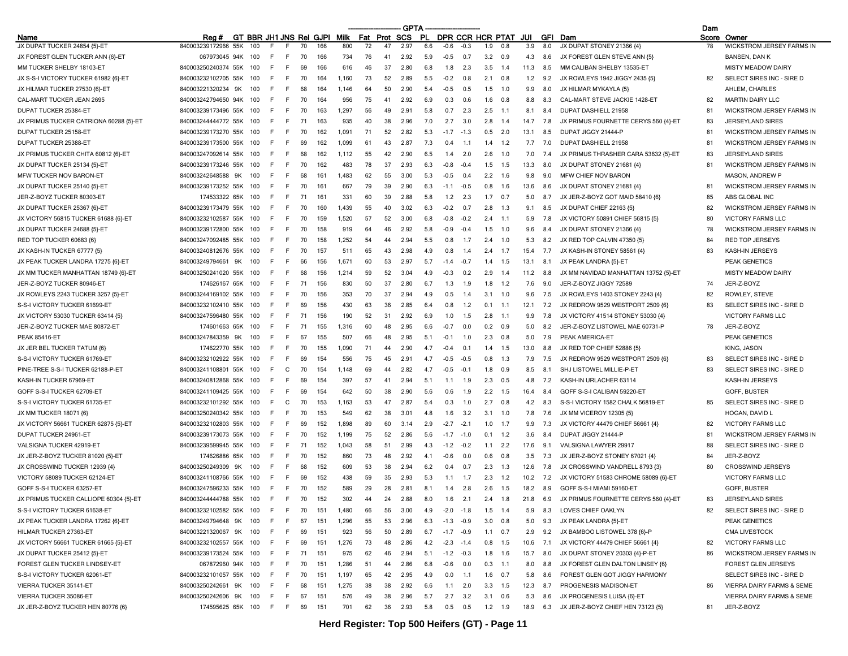|                                        |                         |                         |     |       |          |     |       |          |    | <b>GPTA</b>  |     |                  |                  |                  |        |      |     |                                            | Dam      |                                                       |
|----------------------------------------|-------------------------|-------------------------|-----|-------|----------|-----|-------|----------|----|--------------|-----|------------------|------------------|------------------|--------|------|-----|--------------------------------------------|----------|-------------------------------------------------------|
| Name                                   | Rea #                   | GT BBR JH1 JNS Rei GJPI |     |       |          |     | Milk  | Fat Prot |    | SCS          | .PL |                  |                  | DPR CCR HCR PTAT |        | JUI  | GFI | Dam                                        | Score    | Owner                                                 |
| JX DUPAT TUCKER 24854 {5}-ET           | 840003239172966<br>55K  |                         |     |       | 70       | 166 | 800   | 72       | 47 | 2.97         | 6.6 | $-0.6$           | $-0.3$           | 1.9              |        | 3.9  | 8.0 | JX DUPAT STONEY 21366 {4}                  | 78       | <b>WICKSTROM JERSEY FARMS IN</b>                      |
| JX FOREST GLEN TUCKER ANN {6}-ET       | 067973045 94K           | 100                     |     | F     | 70       | 166 | 734   | 76       | 41 | 2.92         | 5.9 | $-0.5$           | 0.7              | 3.2              | 0.9    | 4.3  | 8.6 | JX FOREST GLEN STEVE ANN (5)               |          | <b>BANSEN, DAN K</b>                                  |
| MM TUCKER SHELBY 18103-ET              | 840003250240374 55K     | 100                     |     | F     | 69       | 166 | 616   | 46       | 37 | 2.80         | 6.8 | 1.8              | 2.3              | 3.5              | 1.4    | 11.3 | 8.5 | MM CALIBAN SHELBY 13535-ET                 |          | <b>MISTY MEADOW DAIRY</b>                             |
| JX S-S-I VICTORY TUCKER 61982 {6}-ET   | 840003232102705 55K     | 100                     |     | F     | 70       | 164 | 1.160 | 73       | 52 | 2.89         | 5.5 | $-0.2$           | 0.8              | 2.1              | 0.8    | 1.2  | 9.2 | JX ROWLEYS 1942 JIGGY 2435 {5}             | 82       | SELECT SIRES INC - SIRE D                             |
| JX HILMAR TUCKER 27530 {6}-ET          | 840003221320234<br>9K   | 100                     |     | F     | 68       | 164 | 1,146 | 64       | 50 | 2.90         | 5.4 | -0.5             | 0.5              | 1.5              | 1.0    | 9.9  | 8.0 | JX HILMAR MYKAYLA (5)                      |          | AHLEM, CHARLES                                        |
| CAL-MART TUCKER JEAN 2695              | 840003242794650 94K     | 100                     |     | F     | 70       | 164 | 956   | 75       | 41 | 2.92         | 6.9 | 0.3              | 0.6              | 1.6              | 0.8    | 8.8  | 8.3 | CAL-MART STEVE JACKIE 1428-ET              | 82       | <b>MARTIN DAIRY LLC</b>                               |
| DUPAT TUCKER 25384-ET                  | 840003239173496 55K     | 100                     | F   | F     | 70       | 163 | 1,297 | 56       | 49 | 2.91         | 5.8 | 0.7              | 2.3              | 2.5              | 1.1    | 8.1  | 8.4 | DUPAT DASHIELL 21958                       | 81       | WICKSTROM JERSEY FARMS IN                             |
| JX PRIMUS TUCKER CATRIONA 60288 {5}-ET | 840003244444772 55K     |                         |     | F     | 71       | 163 | 935   | 40       | 38 | 2.96         | 7.0 | 2.7              | 3.0              | 2.8              | 1.4    | 14.7 | 7.8 | JX PRIMUS FOURNETTE CERYS 560 {4}-ET       | 83       | <b>JERSEYLAND SIRES</b>                               |
| DUPAT TUCKER 25158-ET                  | 840003239173270 55K     | 100                     | E   | F     | 70       | 162 | 1,091 | 71       | 52 | 2.82         | 5.3 | $-1.7$           | $-1.3$           | 0.5              | 2.0    | 13.1 | 8.5 | DUPAT JIGGY 21444-P                        | 81       | WICKSTROM JERSEY FARMS IN                             |
| DUPAT TUCKER 25388-ET                  | 840003239173500 55K     | 100                     |     | F.    | 69       | 162 | 1,099 | 61       | 43 | 2.87         | 7.3 | 0 <sup>4</sup>   | $-1.1$           | 1.4              | 1.2    | 7.7  | 7.0 | DUPAT DASHIELL 21958                       | 81       | <b>WICKSTROM JERSEY FARMS IN</b>                      |
| JX PRIMUS TUCKER CHITA 60812 {6}-ET    | 840003247092614 55K     | 100                     |     | F     | 68       | 162 | 1,112 | 55       | 42 | 2.90         | 6.5 |                  | 2.0              | 2.6              | 1.0    | 7.0  | 7.4 | JX PRIMUS THRASHER CARA 53632 {5}-ET       | 83       | <b>JERSEYLAND SIRES</b>                               |
| JX DUPAT TUCKER 25134 {5}-ET           | 840003239173246 55K     | 100                     | F   | F     | 70       | 162 | 483   | 78       | 37 | 2.93         | 6.3 | $-0.8$           | $-0.4$           | 1.5              | 1.5    | 13.3 | 8.0 | JX DUPAT STONEY 21681 {4}                  | 81       | WICKSTROM JERSEY FARMS IN                             |
| MFW TUCKER NOV BARON-ET                | 840003242648588 9K      | 100                     |     | F     | 68       | 161 | 1,483 | 62       | 55 | 3.00         | 5.3 | $-0.5$           | 0.4              | 2.2              | 1.6    | 9.8  | 9.0 | <b>MFW CHIEF NOV BARON</b>                 |          | MASON, ANDREW P                                       |
| JX DUPAT TUCKER 25140 {5}-ET           | 840003239173252 55K     | 100                     |     | F     | 70       | 161 | 667   | 79       | 39 | 2.90         | 6.3 | $-1.1$           | -0.5             | 0.8              | 1.6    | 13.6 | 8.6 | JX DUPAT STONEY 21681 {4}                  | 81       | WICKSTROM JERSEY FARMS IN                             |
| JER-Z-BOYZ TUCKER 80303-ET             | 174533322 65K           | 100                     | E   | F     | 71       | 161 | 331   | 60       | 39 | 2.88         | 5.8 | 1.2              | 2.3              | 1.7              | 0.7    | 5.0  | 8.7 | JX JER-Z-BOYZ GOT MAID 58410 {6}           | 85       | ABS GLOBAL INC                                        |
| JX DUPAT TUCKER 25367 {6}-ET           | 840003239173479 55K     | 100                     |     | F     | 70       | 160 | 1,439 | 55       | 40 | 3.02         | 6.3 | $-0.2$           | 0.7              | 2.8              | 1.3    | 9.1  | 8.5 | JX DUPAT CHIEF 22163 {5}                   | 82       | WICKSTROM JERSEY FARMS IN                             |
| JX VICTORY 56815 TUCKER 61688 {6}-ET   | 840003232102587 55K     | 100                     |     | F     | 70       | 159 | 1,520 | 57       | 52 | 3.00         | 6.8 | -በ ጸ             | $-0.2$           | 2.4              | 1.1    | 5.9  | 7.8 | JX VICTORY 50891 CHIEF 56815 {5}           | 80       | <b>VICTORY FARMS LLC</b>                              |
| JX DUPAT TUCKER 24688 {5}-ET           | 840003239172800 55K     | 100                     | E   | F     | 70       | 158 | 919   | 64       | 46 | 2.92         | 5.8 | -0.9             | -04              | 1.5              | 1.0    | 9.6  | 8.4 | JX DUPAT STONEY 21366 {4}                  | 78       | <b>WICKSTROM JERSEY FARMS IN</b>                      |
| RED TOP TUCKER 60683 {6}               | 840003247092485 55K     | 100                     |     | F     | 70       | 158 | 1,252 | 54       | 44 | 2.94         | 5.5 | 0.8              | 1.7              | 2.4              | 1.0    | 5.3  | 8.2 | JX RED TOP CALVIN 47350 {5}                | 84       | <b>RED TOP JERSEYS</b>                                |
| JX KASH-IN TUCKER 67777 {5}            | 840003240812676 55K     | 100                     |     | F     | 70       | 157 | 511   | 65       | 43 | 2.98         | 4.9 | 0.8              | 1.4              | 2.4              | 1.7    | 15.4 | 7.7 | JX KASH-IN STONEY 58561 {4}                | 83       | KASH-IN JERSEYS                                       |
| JX PEAK TUCKER LANDRA 17275 {6}-ET     | 840003249794661<br>9K   | 100                     | E   | F     | 66       | 156 | 1.671 | 60       | 53 | 2.97         | 5.7 | $-1.4$           | $-0.7$           | 1.4              | 1.5    | 13.1 | 8.1 | JX PEAK LANDRA {5}-ET                      |          | PEAK GENETICS                                         |
| JX MM TUCKER MANHATTAN 18749 {6}-ET    | 840003250241020 55K     | 100                     | E   | F.    | 68       | 156 | 1,214 | 59       | 52 | 3.04         | 4.9 | $-0.3$           | 0.2              | 2.9              | 1.4    | 11.2 | 8.8 | JX MM NAVIDAD MANHATTAN 13752 {5}-ET       |          | <b>MISTY MEADOW DAIRY</b>                             |
| JER-Z-BOYZ TUCKER 80946-ET             | 174626167 65K           | 100                     | F   | F     | 71       | 156 | 830   | 50       | 37 | 2.80         | 6.7 | 1.3              | 1.9              | 1.8              | 1.2    | 7.6  | 9.0 | JER-Z-BOYZ JIGGY 72589                     | 74       | JER-Z-BOYZ                                            |
| JX ROWLEYS 2243 TUCKER 3257 {5}-ET     | 840003244169102 55K     | 100                     |     | F     | 70       | 156 | 353   | 70       | 37 | 2.94         | 4.9 | 0.5              | 1.4              | 3.1              | 1.0    | 9.6  | 7.5 | JX ROWLEYS 1403 STONEY 2243 {4}            | 82       | ROWLEY, STEVE                                         |
| S-S-I VICTORY TUCKER 61699-ET          | 840003232102410 55K     | 100                     |     | F     | 69       | 156 | 430   | 63       | 36 | 2.85         | 6.4 | 0.8              | 1.2              | 0.1              | 1.1    | 12.1 | 7.2 | JX REDROW 9529 WESTPORT 2509 {6}           | 83       | SELECT SIRES INC - SIRE D                             |
| JX VICTORY 53030 TUCKER 63414 {5}      | 840003247596480 55K     | 100                     |     | F     | 71       | 156 | 190   | 52       | 31 | 2.92         | 6.9 | 1.0              | 1.5              | 2.8              | 1.1    | 9.9  | 7.8 | JX VICTORY 41514 STONEY 53030 {4}          |          | <b>VICTORY FARMS LLC</b>                              |
| JER-Z-BOYZ TUCKER MAE 80872-ET         | 174601663 65K           | 100                     |     | F     | 71       | 155 | 1.316 | 60       | 48 | 2.95         | 6.6 | -0.7             | 0.0              | 0.2              | 0.9    | 5.0  | 8.2 | JER-Z-BOYZ LISTOWEL MAE 60731-P            | 78       | JER-Z-BOYZ                                            |
| <b>PEAK 85416-ET</b>                   | 840003247843359 9K      | 100                     |     | F.    | 67       | 155 | 507   | 66       | 48 | 2.95         | 5.1 | $-0.1$           | 1.0              | 2.3              | 0.8    | 5.0  | 7.9 | PEAK AMERICA-ET                            |          | <b>PEAK GENETICS</b>                                  |
| JX JER BEL TUCKER TATUM {6}            | 174622770 55K           | 100                     | E   | F     | 70       | 155 | 1.090 | 71       | 44 | 2.90         | 47  | $-0.4$           | 0.1              | 1.4              | 1.5    | 13.0 | 8.8 | JX RED TOP CHIEF 52886 {5}                 |          | KING, JASON                                           |
| S-S-I VICTORY TUCKER 61769-ET          | 840003232102922<br>55K  | 100                     |     | F     | 69       | 154 | 556   | 75       | 45 | 2.91         | 4.7 | -0               | $-0.5$           | 0.8              | 1.3    | 7.9  | 7.5 | JX REDROW 9529 WESTPORT 2509 {6}           | 83       | SELECT SIRES INC - SIRE D                             |
| PINE-TREE S-S-I TUCKER 62188-P-ET      | 840003241108801 55K     | 100                     |     | C     | 70       | 154 | 1,148 | 69       | 44 | 2.82         | 4.7 | $-0.5$           | $-0.1$           | 1.8              | 0.9    | 8.5  | 8.1 | SHJ LISTOWEL MILLIE-P-ET                   | 83       | SELECT SIRES INC - SIRE D                             |
| KASH-IN TUCKER 67969-ET                | 840003240812868 55K     | 100                     | E   | E     | 69       | 154 | 397   | 57       | 41 | 2.94         | 5.1 | 1.1              | 1.9              | 2.3              | 0.5    | 4.8  | 7.2 | KASH-IN URLACHER 63114                     |          | KASH-IN JERSEYS                                       |
| GOFF S-S-I TUCKER 62709-ET             | 840003241109425 55K     | 100                     | E   | F     | 69       | 154 | 642   | 50       | 38 | 2.90         | 5.6 | 0.6              | 1.9              | 2.2              | 1.5    | 16.4 | 8.4 | GOFF S-S-I CALIBAN 59220-ET                |          | GOFF, BUSTER                                          |
| S-S-I VICTORY TUCKER 61735-ET          | 840003232101292 55K     | 100                     | F   | C     | 70       | 153 | 1,163 | 53       | 47 | 2.87         | 5.4 | 0.3              | 1.0              | 2.7              | 0.8    | 4.2  | 8.3 | S-S-I VICTORY 1582 CHALK 56819-ET          | 85       | SELECT SIRES INC - SIRE D                             |
|                                        |                         | 100                     | E   | F.    |          | 153 | 549   | 62       | 38 |              | 4.8 |                  |                  |                  |        |      |     | JX MM VICEROY 12305 {5}                    |          |                                                       |
| JX MM TUCKER 18071 {6}                 | 840003250240342 55K     |                         |     | F     | 70       |     |       |          | 60 | 3.01         | 2.9 | 1.6              | 3.2              | 3.1              | 1.0    | 7.8  | 7.6 |                                            |          | HOGAN, DAVID L                                        |
| JX VICTORY 56661 TUCKER 62875 {5}-ET   | 840003232102803 55K     | 100<br>100              | F   | F     | 69<br>70 | 152 | 1,898 | 89<br>75 | 52 | 3.14<br>2.86 |     | $-2.7$<br>$-1.7$ | $-2.1$<br>$-1.0$ | 1.0<br>0.1       | 1.7    | 9.9  | 7.3 | JX VICTORY 44479 CHIEF 56661 {4}           | 82<br>81 | <b>VICTORY FARMS LLC</b><br>WICKSTROM JERSEY FARMS IN |
| DUPAT TUCKER 24961-ET                  | 840003239173073 55K     |                         |     |       |          | 152 | 1,199 |          |    |              | 5.6 |                  |                  |                  | 1.2    | 3.6  | 8.4 | DUPAT JIGGY 21444-P                        |          |                                                       |
| VALSIGNA TUCKER 42919-ET               | 840003239599945 55K     | 100                     |     | F     | 71       | 152 | 1,043 | 58       | 51 | 2.99         | 4.3 | $-1.2$           | $-0.2$           | 1.1              | 2.2    | 17.6 | 9.1 | VALSIGNA LAWYER 29917                      | 88       | SELECT SIRES INC - SIRE D                             |
| JX JER-Z-BOYZ TUCKER 81020 {5}-ET      | 174626886 65K           | 100                     |     | F     | 70       | 152 | 860   | 73       | 48 | 2.92         | 4.1 | -በ 6             | 0.0              | 0.6              | 0.8    | 3.5  | 7.3 | JX JER-Z-BOYZ STONEY 67021 {4}             | 84       | JER-Z-BOYZ                                            |
| JX CROSSWIND TUCKER 12939 {4}          | 840003250249309<br>9K   | 100                     | E   | F     | 68       | 152 | 609   | 53       | 38 | 2.94         | 6.2 |                  | 0.7              | 2.3              | 1.3    | 12.6 | 7.8 | JX CROSSWIND VANDRELL 8793 {3}             | 80       | <b>CROSSWIND JERSEYS</b>                              |
| VICTORY 58089 TUCKER 62124-ET          | 840003241108766 55K     | 100                     |     | F     | 69       | 152 | 438   | 59       | 35 | 2.93         | 5.3 | 1.1              | 1.7              | 2.3              | 1.2    | 10.2 | 7.2 | JX VICTORY 51583 CHROME 58089 {6}-ET       |          | <b>VICTORY FARMS LLC</b>                              |
| GOFF S-S-I TUCKER 63257-ET             | 840003247596233 55K     | 100                     |     |       | 70       | 152 | 589   | 29       | 28 | 2.81         | 8.1 | 14               | 2.8              | 2.6              | 1.5    | 18.2 | 8.9 | GOFF S-S-I MIAMI 59160-ET                  |          | GOFF, BUSTER                                          |
| JX PRIMUS TUCKER CALLIOPE 60304 {5}-ET | 840003244444788 55K     | 100                     | F.  | F.    | 70       | 152 | 302   | 44       | 24 | 2.88         | 8.0 | 1.6              | 2.1              | 2.4              | 1.8    | 21.8 | 6.9 | JX PRIMUS FOURNETTE CERYS 560 {4}-ET       | 83       | <b>JERSEYLAND SIRES</b>                               |
| S-S-I VICTORY TUCKER 61638-ET          | 840003232102582 55K 100 |                         | F.  | F.    | 70       | 151 | 1,480 | 66       | 56 | 3.00         | 4.9 | $-2.0$           | $-1.8$           | 1.5              | 1.4    | 5.9  | 8.3 | LOVES CHIEF OAKLYN                         | 82       | SELECT SIRES INC - SIRE D                             |
| JX PEAK TUCKER LANDRA 17262 {6}-ET     | 840003249794648 9K      | 100                     |     |       | 67       | 151 | 1,296 | 55       | 53 | 2.96         | 6.3 | $-1.3$           | $-0.9$           | 3.0              | 0.8    | 5.0  | 9.3 | JX PEAK LANDRA {5}-ET                      |          | PEAK GENETICS                                         |
| HILMAR TUCKER 27363-ET                 | 840003221320067 9K      | 100                     |     | E     | 69       | 151 | 923   | 56       | 50 | 2.89         | 6.7 | $-1.7$           | $-0.9$           | $1.1 \t 0.7$     |        | 2.9  | 9.2 | JX BAMBOO LISTOWEL 378 {6}-P               |          | <b>CMA LIVESTOCK</b>                                  |
| JX VICTORY 56661 TUCKER 61665 {5}-ET   | 840003232102557 55K 100 |                         | F.  | F.    | 69       | 151 | 1,276 | 73       | 48 | 2.86         | 4.2 | $-2.3$           | $-1.4$           | $0.8$ 1.5        |        | 10.6 | 7.1 | JX VICTORY 44479 CHIEF 56661 {4}           | 82       | VICTORY FARMS LLC                                     |
| JX DUPAT TUCKER 25412 {5}-ET           | 840003239173524 55K     | 100                     |     | F.    | 71       | 151 | 975   | 62       | 46 | 2.94         | 5.1 | $-1.2$           | $-0.3$           | 1.8              | 1.6    | 15.7 | 8.0 | JX DUPAT STONEY 20303 {4}-P-ET             | 86       | WICKSTROM JERSEY FARMS IN                             |
| FOREST GLEN TUCKER LINDSEY-ET          | 067872960 94K           | 100                     | F   | F.    | 70       | 151 | 1,286 | 51       | 44 | 2.86         | 6.8 | -0.6             | 0.0              | 0.3              | $-1.1$ | 8.0  | 8.8 | JX FOREST GLEN DALTON LINSEY {6}           |          | FOREST GLEN JERSEYS                                   |
| S-S-I VICTORY TUCKER 62061-ET          | 840003232101057 55K 100 |                         | F.  | F.    | 70       | 151 | 1,197 | 65       | 42 | 2.95         | 4.9 | 0.0              | $-1.1$           | $1.6$ 0.7        |        | 5.8  | 8.6 | FOREST GLEN GOT JIGGY HARMONY              |          | SELECT SIRES INC - SIRE D                             |
| VIERRA TUCKER 35141-ET                 | 840003250242661 9K      | 100                     | F.  | F.    | 68       | 151 | 1,275 | 38       | 38 | 2.92         | 6.6 | 1.1              | 2.0              | 3.3              | 1.5    | 12.3 | 8.7 | PROGENESIS MADISON-ET                      | 86       | VIERRA DAIRY FARMS & SEME                             |
| VIERRA TUCKER 35086-ET                 | 840003250242606 9K      | 100                     | F.  | F.    | 67       | 151 | 576   | 49       | 38 | 2.96         | 5.7 | 2.7              | 3.2              | 3.1              | 0.6    | 5.3  | 8.6 | JX PROGENESIS LUISA {6}-ET                 |          | VIERRA DAIRY FARMS & SEME                             |
| JX JER-Z-BOYZ TUCKER HEN 80776 {6}     | 174595625 65K 100       |                         | - F | $-$ F | 69       | 151 | 701   | 62       | 36 | 2.93         | 5.8 |                  | $0.5\qquad 0.5$  | $1.2$ 1.9        |        |      |     | 18.9 6.3 JX JER-Z-BOYZ CHIEF HEN 73123 {5} | 81       | JER-Z-BOYZ                                            |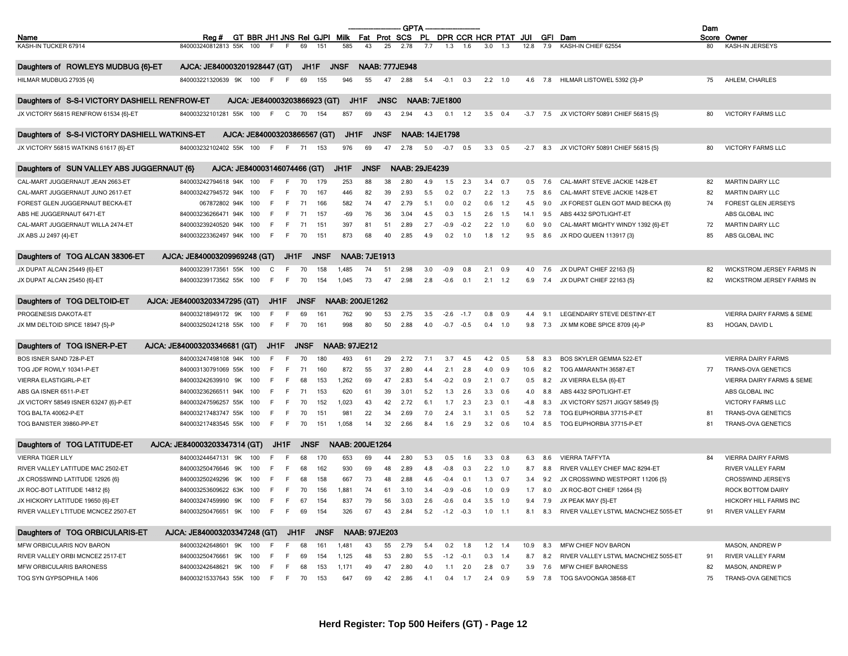|                                                                         |                                       |                              |      |      |             |             |                        |                      |             | <b>GPTA</b>           |                       |                       |             |     |                      |        |            |                                                           | Dam |                                  |
|-------------------------------------------------------------------------|---------------------------------------|------------------------------|------|------|-------------|-------------|------------------------|----------------------|-------------|-----------------------|-----------------------|-----------------------|-------------|-----|----------------------|--------|------------|-----------------------------------------------------------|-----|----------------------------------|
| Name                                                                    | Reg #                                 | GT BBR JH1 JNS Rei GJPI Milk |      |      |             |             |                        | Fat Prot SCS         |             |                       | -PL                   |                       |             |     | DPR CCR HCR PTAT JUI |        |            | <b>GFI</b> Dam                                            |     | Score Owner                      |
| KASH-IN TUCKER 67914                                                    | 840003240812813 55K                   | 100                          |      | E    | 69          | 151         | 585                    | 43                   | 25          | 2.78                  | 7.7                   | 13                    | 16          | 3.0 | 1.3                  | 12.8   | 7.9        | KASH-IN CHIEF 62554                                       | 80  | KASH-IN JERSEYS                  |
| Daughters of ROWLEYS MUDBUG {6}-ET                                      | AJCA: JE840003201928447 (GT)          |                              |      |      | JH1F        |             | <b>JNSF</b>            |                      |             | <b>NAAB: 777JE948</b> |                       |                       |             |     |                      |        |            |                                                           |     |                                  |
|                                                                         |                                       |                              |      | E    |             |             |                        |                      | 47          |                       |                       |                       |             |     |                      |        |            |                                                           |     |                                  |
| HILMAR MUDBUG 27935 {4}                                                 | 840003221320639 9K                    | 100                          | F.   |      | 69          | 155         | 946                    | 55                   |             | 2.88                  |                       | $5.4$ $-0.1$ 0.3      |             |     | $2.2$ 1.0            |        |            | 4.6 7.8 HILMAR LISTOWEL 5392 {3}-P                        | 75  | AHLEM, CHARLES                   |
| Daughters of S-S-I VICTORY DASHIELL RENFROW-ET                          |                                       | AJCA: JE840003203866923 (GT) |      |      |             |             |                        | JH1F                 | <b>JNSC</b> |                       | <b>NAAB: 7JE1800</b>  |                       |             |     |                      |        |            |                                                           |     |                                  |
| JX VICTORY 56815 RENFROW 61534 {6}-ET                                   | 840003232101281 55K                   | 100                          | F.   | C    | 70          | 154         | 857                    | 69                   | 43          | 2.94                  | 4.3                   |                       | $0.1$ 1.2   | 3.5 | 0.4                  |        |            | -3.7 7.5 JX VICTORY 50891 CHIEF 56815 {5}                 | 80  | <b>VICTORY FARMS LLC</b>         |
| Daughters of S-S-I VICTORY DASHIELL WATKINS-ET                          |                                       | AJCA: JE840003203866567 (GT) |      |      |             |             | JH1F                   |                      | <b>JNSF</b> |                       | <b>NAAB: 14JE1798</b> |                       |             |     |                      |        |            |                                                           |     |                                  |
| JX VICTORY 56815 WATKINS 61617 {6}-ET                                   | 840003232102402 55K 100               |                              | - F  | F    | 71          | 153         | 976                    | 69                   | 47          | 2.78                  | 5.0                   | $-0.7$                | 0.5         | 3.3 | 0.5                  | $-2.7$ |            | 8.3 JX VICTORY 50891 CHIEF 56815 {5}                      | 80  | <b>VICTORY FARMS LLC</b>         |
| Daughters of SUN VALLEY ABS JUGGERNAUT {6}                              |                                       | AJCA: JE840003146074466 (GT) |      |      |             |             | JH1F                   | <b>JNSF</b>          |             |                       | <b>NAAB: 29JE4239</b> |                       |             |     |                      |        |            |                                                           |     |                                  |
| CAL-MART JUGGERNAUT JEAN 2663-ET                                        | 840003242794618 94K                   |                              |      |      |             |             | 253                    | 88                   | 38          |                       |                       |                       | 2.3         | 3.4 | 0.7                  |        | 7.6        | CAL-MART STEVE JACKIE 1428-ET                             | 82  | <b>MARTIN DAIRY LLC</b>          |
|                                                                         |                                       | 100                          | F    | F    | 70          | 179         |                        |                      |             | 2.80                  | 4.9                   | 1.5                   |             |     |                      | 0.5    |            |                                                           |     |                                  |
| CAL-MART JUGGERNAUT JUNO 2617-ET                                        | 840003242794572 94K                   | 100                          |      | E    | 70          | 167         | 446                    | 82                   | 39          | 2.93                  | 5.5                   | 0.2                   | 0.7         | 2.2 | 1.3                  | 7.5    | 8.6        | CAL-MART STEVE JACKIE 1428-ET                             | 82  | <b>MARTIN DAIRY LLC</b>          |
| FOREST GLEN JUGGERNAUT BECKA-ET                                         | 067872802 94K                         | 100                          |      | E    | 71          | 166         | 582                    | 74                   | 47          | 2.79                  | 5.1                   | 0.0                   | 0.2         | 0.6 | 1.2                  | 4.5    | 9.0        | JX FOREST GLEN GOT MAID BECKA {6}                         | 74  | FOREST GLEN JERSEYS              |
| ABS HE JUGGERNAUT 6471-ET                                               | 840003236266471 94K 100               |                              | E    | E    | 71          | 157         | $-69$                  | 76                   | 36          | 3.04                  | 4.5                   | 0.3                   | 1.5         | 2.6 | 1.5                  | 14.1   | 9.5        | ABS 4432 SPOTLIGHT-ET                                     |     | ABS GLOBAL INC                   |
| CAL-MART JUGGERNAUT WILLA 2474-ET                                       | 840003239240520 94K                   | 100                          | F    | E    | 71          | 151         | 397                    | 81                   | 51          | 2.89                  | 2.7                   | $-0.9$                | $-0.2$      | 2.2 | 1.0                  | 6.0    | 9.0        | CAL-MART MIGHTY WINDY 1392 {6}-ET                         | 72  | <b>MARTIN DAIRY LLC</b>          |
| JX ABS JJ 2497 {4}-ET                                                   | 840003223362497 94K                   | 100                          | E    | E    | 70          | 151         | 873                    | 68                   | 40          | 2.85                  | 4.9                   | 0.2                   | 1.0         | 1.8 | 1.2                  | 9.5    | 8.6        | JX RDO QUEEN 113917 {3}                                   | 85  | ABS GLOBAL INC                   |
| Daughters of TOG ALCAN 38306-ET                                         | AJCA: JE840003209969248 (GT)          |                              |      | JH1F |             | <b>JNSF</b> |                        | <b>NAAB: 7JE1913</b> |             |                       |                       |                       |             |     |                      |        |            |                                                           |     |                                  |
| JX DUPAT ALCAN 25449 {6}-ET                                             | 840003239173561 55K                   | 100                          | С    | E    | 70          | 158         | 1,485                  | 74                   | 51          | 2.98                  | 3.0                   | $-0.9$                | 0.8         | 2.1 | 0.9                  | 4.0    | 7.6        | JX DUPAT CHIEF 22163 {5}                                  | 82  | <b>WICKSTROM JERSEY FARMS IN</b> |
| JX DUPAT ALCAN 25450 {6}-ET                                             | 840003239173562 55K                   | 100                          | F    | F    | 70          | 154         | 1,045                  | 73                   | 47          | 2.98                  | 2.8                   | $-0.6$                | 0.1         | 2.1 | 1.2                  | 6.9    | 7.4        | JX DUPAT CHIEF 22163 {5}                                  | 82  | WICKSTROM JERSEY FARMS IN        |
|                                                                         |                                       |                              |      |      |             |             |                        |                      |             |                       |                       |                       |             |     |                      |        |            |                                                           |     |                                  |
| Daughters of TOG DELTOID-ET                                             | AJCA: JE840003203347295 (GT)          |                              | JH1F |      | <b>JNSF</b> |             | <b>NAAB: 200JE1262</b> |                      |             |                       |                       |                       |             |     |                      |        |            |                                                           |     |                                  |
| PROGENESIS DAKOTA-ET                                                    | 840003218949172 9K                    | 100                          |      | F    | 69          | 161         | 762                    | 90                   | 53          | 2.75                  | 3.5                   | $-2.6$                | $-1.7$      | 0.8 | 0.9                  | 4.4    | 9.1        | LEGENDAIRY STEVE DESTINY-ET                               |     | VIERRA DAIRY FARMS & SEME        |
| JX MM DELTOID SPICE 18947 {5}-P                                         | 840003250241218 55K 100               |                              | F.   | F    | 70          | 161         | 998                    | 80                   | 50          | 2.88                  | 4.0                   |                       | $-0.7 -0.5$ |     | $0.4$ 1.0            | 9.8    | 7.3        | JX MM KOBE SPICE 8709 {4}-P                               | 83  | HOGAN, DAVID L                   |
| Daughters of TOG ISNER-P-ET                                             | AJCA: JE840003203346681 (GT)          |                              | JH1F |      | <b>JNSF</b> |             | <b>NAAB: 97JE212</b>   |                      |             |                       |                       |                       |             |     |                      |        |            |                                                           |     |                                  |
|                                                                         |                                       |                              |      | E    |             |             |                        |                      |             |                       |                       |                       |             |     |                      |        | 8.3        |                                                           |     |                                  |
| BOS ISNER SAND 728-P-ET                                                 | 840003247498108 94K                   | 100                          |      |      | 70          | 180         | 493                    | 61                   | 29          | 2.72                  | 7.1                   | 3.7                   | 4.5         | 4.2 | 0.5                  | 5.8    |            | BOS SKYLER GEMMA 522-E1                                   |     | VIERRA DAIRY FARMS               |
| TOG JDF ROWLY 10341-P-ET                                                | 840003130791069 55K                   | 100                          | F    | E    | 71          | 160         | 872                    | 55                   | 37          | 2.80                  | 4.4                   | 2.1                   | 2.8         | 4.0 | 0.9                  | 10.6   | 8.2        | TOG AMARANTH 36587-ET                                     | 77  | TRANS-OVA GENETICS               |
| <b>VIERRA ELASTIGIRL-P-ET</b>                                           | 840003242639910 9K                    | 100                          | E    | E    | 68          | 153         | 1,262                  | 69                   | 47          | 2.83                  | 5.4                   | $-0.2$                | 0.9         | 2.1 | 0.7                  | 0.5    | 8.2        | JX VIERRA ELSA {6}-ET                                     |     | VIERRA DAIRY FARMS & SEME        |
| ABS GA ISNER 6511-P-ET                                                  | 840003236266511 94K                   | 100                          | F    | E    | 71          | 153         | 620                    | 61                   | 39          | 3.01                  | 5.2                   | 1.3                   | 2.6         | 3.3 | 0.6                  | 4.0    | 8.8        | ABS 4432 SPOTLIGHT-ET                                     |     | ABS GLOBAL INC                   |
| JX VICTORY 58549 ISNER 63247 {6}-P-ET                                   | 840003247596257 55K                   | 100                          |      | E    | 70          | 152         | 1,023                  | 43                   | 42          | 2.72                  | 6.1                   | 1.7                   | 2.3         | 2.3 | 0.1                  | $-4.8$ | 8.3        | JX VICTORY 52571 JIGGY 58549 {5}                          |     | VICTORY FARMS LLC                |
| TOG BALTA 40062-P-ET                                                    | 840003217483747 55K                   | 100                          |      | E    | 70          | 151         | 981                    | 22                   | 34          | 2.69                  | 7.0                   | 2.4                   | 3.1         | 3.1 | 0.5                  | 5.2    | 7.8        | TOG EUPHORBIA 37715-P-ET                                  | -81 | TRANS-OVA GENETICS               |
| TOG BANISTER 39860-PP-ET                                                | 840003217483545 55K 100               |                              | E    | F    | 70          | 151         | 1,058                  | 14                   | 32          | 2.66                  | 8.4                   | 1.6                   | 2.9         | 3.2 | 0.6                  | 10.4   | 8.5        | TOG EUPHORBIA 37715-P-ET                                  | 81  | TRANS-OVA GENETICS               |
| Daughters of TOG LATITUDE-ET                                            | AJCA: JE840003203347314 (GT)          |                              |      | JH1F | <b>JNSF</b> |             | <b>NAAB: 200JE1264</b> |                      |             |                       |                       |                       |             |     |                      |        |            |                                                           |     |                                  |
| <b>VIERRA TIGER LILY</b>                                                | 840003244647131                       | .9K<br>100                   |      | E    | 68          | 170         | 653                    | 69                   | 44          | 2.80                  | 5.3                   | 0.5                   | 1.6         | 3.3 | 0.8                  | 6.3    | 8.6        | <b>VIERRA TAFFYTA</b>                                     | 84  | VIERRA DAIRY FARMS               |
| RIVER VALLEY LATITUDE MAC 2502-ET                                       | 840003250476646 9K                    | 100                          | F    | E    | 68          | 162         | 930                    | 69                   | 48          | 2.89                  | 4.8                   | $-0.8$                | 0.3         | 2.2 | 1.0                  | 8.7    | 8.8        | RIVER VALLEY CHIEF MAC 8294-ET                            |     | RIVER VALLEY FARM                |
| JX CROSSWIND LATITUDE 12926 {6}                                         | 840003250249296                       | 9K<br>100                    |      | E    | 68          | 158         | 667                    | 73                   | 48          | 2.88                  | 4.6                   | $-0.4$                | 0.1         | 1.3 | 0.7                  | 3.4    | 9.2        | JX CROSSWIND WESTPORT 11206 {5}                           |     | CROSSWIND JERSEYS                |
| JX ROC-BOT LATITUDE 14812 {6}                                           | 840003253609622 63K                   | 100                          |      | E    | 70          | 156         | 1,881                  | 74                   | 61          | 3.10                  | 3.4                   | $-0.9$                | $-0.6$      | 1.0 | 0.9                  | 1.7    | 8.0        | JX ROC-BOT CHIEF 12664 {5}                                |     | ROCK BOTTOM DAIRY                |
|                                                                         |                                       |                              |      | E    | 67          |             |                        |                      |             |                       |                       |                       |             |     |                      |        |            |                                                           |     |                                  |
| JX HICKORY LATITUDE 19650 {6}-ET<br>RIVER VALLEY LTITUDE MCNCEZ 2507-ET | 840003247459990<br>840003250476651 9K | 9K<br>100<br>100             | F    | E    | 69          | 154<br>154  | 837<br>326             | 79<br>67             | 56<br>43    | 3.03<br>2.84          | 2.6                   | $-0.6$<br>$-1.2 -0.3$ | 0.4         | 3.5 | 1.0<br>1.1           | 9.4    | 7.9<br>8.3 | JX PEAK MAY {5}-ET<br>RIVER VALLEY LSTWL MACNCHEZ 5055-ET |     | HICKORY HILL FARMS INC           |
|                                                                         |                                       |                              |      |      |             |             |                        |                      |             |                       | 5.2                   |                       |             | 1.0 |                      | 8.1    |            |                                                           | 91  | RIVER VALLEY FARM                |
| Daughters of TOG ORBICULARIS-ET                                         | AJCA: JE840003203347248 (GT)          |                              |      |      | JH1F        | <b>JNSF</b> |                        | <b>NAAB: 97JE203</b> |             |                       |                       |                       |             |     |                      |        |            |                                                           |     |                                  |
| MFW ORBICULARIS NOV BARON                                               | 840003242648601                       | 9K<br>100                    |      |      | 68          | 161         | 1,481                  | 43                   | 55          | 2.79                  | 5.4                   | 0.2                   | 1.8         | 1.2 | 1.4                  | 10.9   | 8.3        | MFW CHIEF NOV BARON                                       |     | MASON, ANDREW P                  |
| RIVER VALLEY ORBI MCNCEZ 2517-ET                                        | 840003250476661                       | 9K<br>100                    |      | F    | 69          | 154         | 1,125                  | 48                   | 53          | 2.80                  | 5.5                   | $-1.2$                | $-0.1$      | 0.3 | 1.4                  | 8.7    | 82         | RIVER VALLEY LSTWL MACNCHEZ 5055-ET                       | 91  | RIVER VALLEY FARM                |
| <b>MFW ORBICULARIS BARONESS</b>                                         | 840003242648621 9K                    | 100                          |      |      | 68          | 153         | 1,171                  | 49                   | 47          | 2.80                  | 4.0                   | 1.1                   | 2.0         | 2.8 | 0.7                  | 3.9    | 7.6        | <b>MFW CHIEF BARONESS</b>                                 | 82  | MASON, ANDREW P                  |
| TOG SYN GYPSOPHILA 1406                                                 | 840003215337643 55K                   | 100                          | F    | E    | 70          | 153         | 647                    | 69                   | 42          | 2.86                  | 4.1                   | 0.4                   | 1.7         | 2.4 | 0.9                  | 5.9    | 7.8        | TOG SAVOONGA 38568-ET                                     | 75  | TRANS-OVA GENETICS               |
|                                                                         |                                       |                              |      |      |             |             |                        |                      |             |                       |                       |                       |             |     |                      |        |            |                                                           |     |                                  |